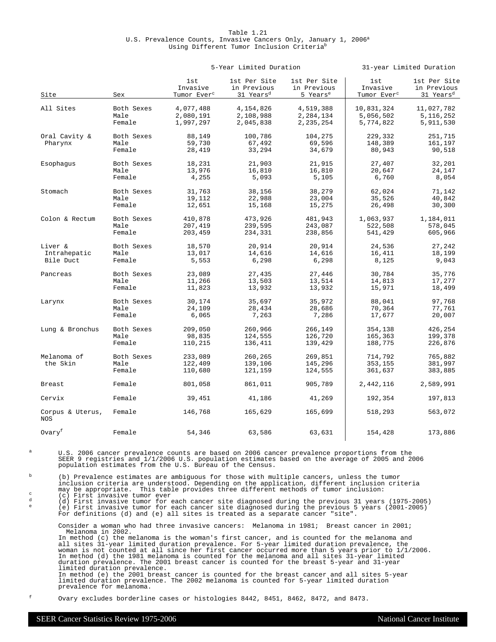# Table 1.21 U.S. Prevalence Counts, Invasive Cancers Only, January 1, 2006<sup>a</sup> Using Different Tumor Inclusion Criteria<sup>b</sup>

|                                |                              |                                            | 5-Year Limited Duration                              |                                                     | 31-year Limited Duration                   |                                                      |  |
|--------------------------------|------------------------------|--------------------------------------------|------------------------------------------------------|-----------------------------------------------------|--------------------------------------------|------------------------------------------------------|--|
| Site                           | Sex                          | 1st<br>Invasive<br>Tumor Ever <sup>c</sup> | 1st Per Site<br>in Previous<br>31 Years <sup>d</sup> | 1st Per Site<br>in Previous<br>5 Years <sup>e</sup> | 1st<br>Invasive<br>Tumor Ever <sup>c</sup> | 1st Per Site<br>in Previous<br>31 Years <sup>d</sup> |  |
| All Sites                      | Both Sexes                   | 4,077,488                                  | 4,154,826                                            | 4,519,388                                           | 10,831,324                                 | 11,027,782                                           |  |
|                                | Male                         | 2,080,191                                  | 2,108,988                                            | 2,284,134                                           | 5,056,502                                  | 5,116,252                                            |  |
|                                | Female                       | 1,997,297                                  | 2,045,838                                            | 2, 235, 254                                         | 5,774,822                                  | 5,911,530                                            |  |
| Oral Cavity &<br>Pharynx       | Both Sexes<br>Male<br>Female | 88,149<br>59,730<br>28,419                 | 100,786<br>67,492<br>33,294                          | 104,275<br>69,596<br>34,679                         | 229,332<br>148,389<br>80,943               | 251,715<br>161,197<br>90,518                         |  |
| Esophagus                      | Both Sexes                   | 18,231                                     | 21,903                                               | 21,915                                              | 27,407                                     | 32,201                                               |  |
|                                | Male                         | 13,976                                     | 16,810                                               | 16,810                                              | 20,647                                     | 24,147                                               |  |
|                                | Female                       | 4,255                                      | 5,093                                                | 5,105                                               | 6,760                                      | 8,054                                                |  |
| Stomach                        | Both Sexes                   | 31,763                                     | 38,156                                               | 38,279                                              | 62,024                                     | 71,142                                               |  |
|                                | Male                         | 19,112                                     | 22,988                                               | 23,004                                              | 35,526                                     | 40,842                                               |  |
|                                | Female                       | 12,651                                     | 15,168                                               | 15,275                                              | 26,498                                     | 30,300                                               |  |
| Colon & Rectum                 | Both Sexes                   | 410,878                                    | 473,926                                              | 481,943                                             | 1,063,937                                  | 1,184,011                                            |  |
|                                | Male                         | 207,419                                    | 239,595                                              | 243,087                                             | 522,508                                    | 578,045                                              |  |
|                                | Female                       | 203,459                                    | 234,331                                              | 238,856                                             | 541,429                                    | 605,966                                              |  |
| Liver &                        | Both Sexes                   | 18,570                                     | 20,914                                               | 20,914                                              | 24,536                                     | 27,242                                               |  |
| Intrahepatic                   | Male                         | 13,017                                     | 14,616                                               | 14,616                                              | 16,411                                     | 18,199                                               |  |
| Bile Duct                      | Female                       | 5,553                                      | 6,298                                                | 6,298                                               | 8,125                                      | 9,043                                                |  |
| Pancreas                       | Both Sexes                   | 23,089                                     | 27,435                                               | 27,446                                              | 30,784                                     | 35,776                                               |  |
|                                | Male                         | 11,266                                     | 13,503                                               | 13,514                                              | 14,813                                     | 17,277                                               |  |
|                                | Female                       | 11,823                                     | 13,932                                               | 13,932                                              | 15,971                                     | 18,499                                               |  |
| Larynx                         | Both Sexes                   | 30,174                                     | 35,697                                               | 35,972                                              | 88,041                                     | 97,768                                               |  |
|                                | Male                         | 24,109                                     | 28,434                                               | 28,686                                              | 70,364                                     | 77,761                                               |  |
|                                | Female                       | 6,065                                      | 7,263                                                | 7,286                                               | 17,677                                     | 20,007                                               |  |
| Lung & Bronchus                | Both Sexes                   | 209,050                                    | 260,966                                              | 266,149                                             | 354,138                                    | 426,254                                              |  |
|                                | Male                         | 98,835                                     | 124,555                                              | 126,720                                             | 165,363                                    | 199,378                                              |  |
|                                | Female                       | 110,215                                    | 136,411                                              | 139,429                                             | 188,775                                    | 226,876                                              |  |
| Melanoma of<br>the Skin        | Both Sexes<br>Male<br>Female | 233,089<br>122,409<br>110,680              | 260,265<br>139,106<br>121,159                        | 269,851<br>145,296<br>124,555                       | 714,792<br>353,155<br>361,637              | 765,882<br>381,997<br>383,885                        |  |
| <b>Breast</b>                  | Female                       | 801,058                                    | 861,011                                              | 905,789                                             | 2,442,116                                  | 2,589,991                                            |  |
| Cervix                         | Female                       | 39,451                                     | 41,186                                               | 41,269                                              | 192,354                                    | 197,813                                              |  |
| Corpus & Uterus,<br><b>NOS</b> | Female                       | 146,768                                    | 165,629                                              | 165,699                                             | 518,293                                    | 563,072                                              |  |
| Ovaryf                         | Female                       | 54,346                                     | 63,586                                               | 63,631                                              | 154,428                                    | 173,886                                              |  |

U.S. 2006 cancer prevalence counts are based on 2006 cancer prevalence proportions from the SEER 9 registries and 1/1/2006 U.S. population estimates based on the average of 2005 and 2006 population estimates from the U.S.

 $b$  (b) Prevalence estimates are ambiguous for those with multiple cancers, unless the tumor inclusion criteria are understood. Depending on the application, different inclusion criteria may be appropriate. This table provides three different methods of tumor inclusion:

c)<br>(c) First invasive tumor ever<br>(d) First invasive tumor for each cancer site diagnosed during the previous 31 years (1975–2005)<br>(e) First invasive tumor for each cancer site diagnosed during the previous 5 years (2001–20 For definitions (d) and (e) all sites is treated as a separate cancer "site".

Consider a woman who had three invasive cancers: Melanoma in 1981; Breast cancer in 2001; Melanoma in 2002.<br>In method (c) the melanoma is the woman's first cancer, and is counted for the melanoma and<br>all sites 31-year limited duration prevalence. For 5-year limited duration prevalence, the<br>woman is not counted In method (d) the 1981 melanoma is counted for the melanoma and all sites 31-year limited duration prevalence. The 2001 breast cancer is counted for the breast 5-year and 31-year limited duration prevalence. In method (e) the 2001 breast cancer is counted for the breast cancer and all sites 5-year limited duration prevalence. The 2002 melanoma is counted for 5-year limited duration prevalence for melanoma.

<sup>f</sup> Ovary excludes borderline cases or histologies 8442, 8451, 8462, 8472, and 8473.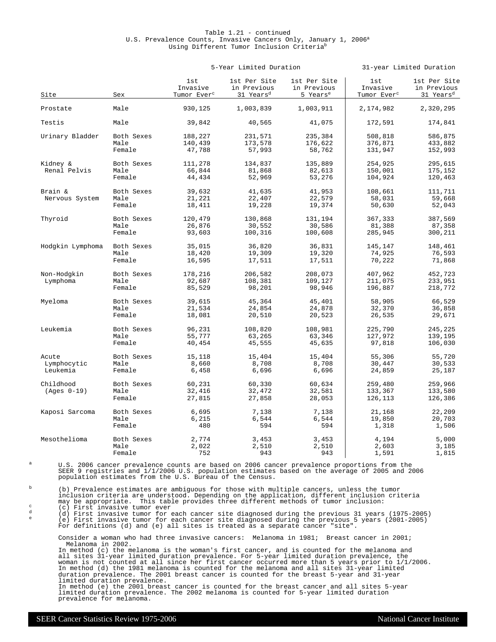# Table 1.21 - continued U.S. Prevalence Counts, Invasive Cancers Only, January 1, 2006<sup>a</sup> Using Different Tumor Inclusion Criteria<sup>b</sup>

|  | 5-Year Limited Duration |
|--|-------------------------|
|  |                         |
|  |                         |

5-Year Limited Duration 31-year Limited Duration

| Site             | Sex        | 1st<br>Invasive<br>Tumor Ever <sup>c</sup> | 1st Per Site<br>in Previous<br>31 Years <sup>d</sup> | 1st Per Site<br>in Previous<br>5 Years <sup>e</sup> | 1st<br>Invasive<br>Tumor Ever <sup>c</sup> | 1st Per Site<br>in Previous<br>31 Years <sup>d</sup> |
|------------------|------------|--------------------------------------------|------------------------------------------------------|-----------------------------------------------------|--------------------------------------------|------------------------------------------------------|
| Prostate         | Male       | 930,125                                    | 1,003,839                                            | 1,003,911                                           | 2,174,982                                  | 2,320,295                                            |
| Testis           | Male       | 39,842                                     | 40,565                                               | 41,075                                              | 172,591                                    | 174,841                                              |
| Urinary Bladder  | Both Sexes | 188,227                                    | 231,571                                              | 235,384                                             | 508,818                                    | 586,875                                              |
|                  | Male       | 140,439                                    | 173,578                                              | 176,622                                             | 376,871                                    | 433,882                                              |
|                  | Female     | 47,788                                     | 57,993                                               | 58,762                                              | 131,947                                    | 152,993                                              |
| Kidney &         | Both Sexes | 111,278                                    | 134,837                                              | 135,889                                             | 254,925                                    | 295,615                                              |
| Renal Pelvis     | Male       | 66,844                                     | 81,868                                               | 82,613                                              | 150,001                                    | 175,152                                              |
|                  | Female     | 44,434                                     | 52,969                                               | 53,276                                              | 104,924                                    | 120,463                                              |
| Brain &          | Both Sexes | 39,632                                     | 41,635                                               | 41,953                                              | 108,661                                    | 111,711                                              |
| Nervous System   | Male       | 21,221                                     | 22,407                                               | 22,579                                              | 58,031                                     | 59,668                                               |
|                  | Female     | 18,411                                     | 19,228                                               | 19,374                                              | 50,630                                     | 52,043                                               |
| Thyroid          | Both Sexes | 120,479                                    | 130,868                                              | 131,194                                             | 367,333                                    | 387,569                                              |
|                  | Male       | 26,876                                     | 30,552                                               | 30,586                                              | 81,388                                     | 87,358                                               |
|                  | Female     | 93,603                                     | 100,316                                              | 100,608                                             | 285,945                                    | 300,211                                              |
| Hodgkin Lymphoma | Both Sexes | 35,015                                     | 36,820                                               | 36,831                                              | 145,147                                    | 148,461                                              |
|                  | Male       | 18,420                                     | 19,309                                               | 19,320                                              | 74,925                                     | 76,593                                               |
|                  | Female     | 16,595                                     | 17,511                                               | 17,511                                              | 70,222                                     | 71,868                                               |
| Non-Hodgkin      | Both Sexes | 178,216                                    | 206,582                                              | 208,073                                             | 407,962                                    | 452,723                                              |
| Lymphoma         | Male       | 92,687                                     | 108,381                                              | 109,127                                             | 211,075                                    | 233,951                                              |
|                  | Female     | 85,529                                     | 98,201                                               | 98,946                                              | 196,887                                    | 218,772                                              |
| Myeloma          | Both Sexes | 39,615                                     | 45,364                                               | 45,401                                              | 58,905                                     | 66,529                                               |
|                  | Male       | 21,534                                     | 24,854                                               | 24,878                                              | 32,370                                     | 36,858                                               |
|                  | Female     | 18,081                                     | 20,510                                               | 20,523                                              | 26,535                                     | 29,671                                               |
| Leukemia         | Both Sexes | 96,231                                     | 108,820                                              | 108,981                                             | 225,790                                    | 245,225                                              |
|                  | Male       | 55,777                                     | 63,265                                               | 63,346                                              | 127,972                                    | 139,195                                              |
|                  | Female     | 40,454                                     | 45,555                                               | 45,635                                              | 97,818                                     | 106,030                                              |
| Acute            | Both Sexes | 15,118                                     | 15,404                                               | 15,404                                              | 55,306                                     | 55,720                                               |
| Lymphocytic      | Male       | 8,660                                      | 8,708                                                | 8,708                                               | 30,447                                     | 30,533                                               |
| Leukemia         | Female     | 6,458                                      | 6,696                                                | 6,696                                               | 24,859                                     | 25,187                                               |
| Childhood        | Both Sexes | 60,231                                     | 60,330                                               | 60,634                                              | 259,480                                    | 259,966                                              |
| $(Ages 0-19)$    | Male       | 32,416                                     | 32,472                                               | 32,581                                              | 133,367                                    | 133,580                                              |
|                  | Female     | 27,815                                     | 27,858                                               | 28,053                                              | 126,113                                    | 126,386                                              |
| Kaposi Sarcoma   | Both Sexes | 6,695                                      | 7,138                                                | 7,138                                               | 21,168                                     | 22,209                                               |
|                  | Male       | 6,215                                      | 6,544                                                | 6,544                                               | 19,850                                     | 20,703                                               |
|                  | Female     | 480                                        | 594                                                  | 594                                                 | 1,318                                      | 1,506                                                |
| Mesothelioma     | Both Sexes | 2,774                                      | 3,453                                                | 3,453                                               | 4,194                                      | 5,000                                                |
|                  | Male       | 2,022                                      | 2,510                                                | 2,510                                               | 2,603                                      | 3,185                                                |
|                  | Female     | 752                                        | 943                                                  | 943                                                 | 1,591                                      | 1,815                                                |

<sup>a</sup> U.S. 2006 cancer prevalence counts are based on 2006 cancer prevalence proportions from the SEER 9 registries and 1/1/2006 U.S. population estimates based on the average of 2005 and 2006 population estimates from the U.S. Bureau of the Census.

(b) Prevalence estimates are ambiguous for those with multiple cancers, unless the tumor<br>inclusion criteria are understood. Depending on the application, different inclusion criteria<br>may be appropriate. This table provides

For definitions (d) and (e) all sites is treated as a separate cancer "site"

Consider a woman who had three invasive cancers: Melanoma in 1981; Breast cancer in 2001;

Melanoma in 2002. In method (c) the melanoma is the woman's first cancer, and is counted for the melanoma and all sites 31-year limited duration prevalence. For 5-year limited duration prevalence, the woman is not counted at all since her first cancer occurred more than 5 years prior to 1/1/2006.<br>In method (d) the 1981 melanoma is counted for the melanoma and all sites 31-year limited In method (d) the 1981 melanoma is counted for the melanoma and all sites 31-year limited duration prevalence. The 2001 breast cancer is counted for the breast 5-year and 31-year limited duration prevalence.

In method (e) the 2001 breast cancer is counted for the breast cancer and all sites 5-year limited duration prevalence. The 2002 melanoma is counted for 5-year limited duration prevalence for melanoma.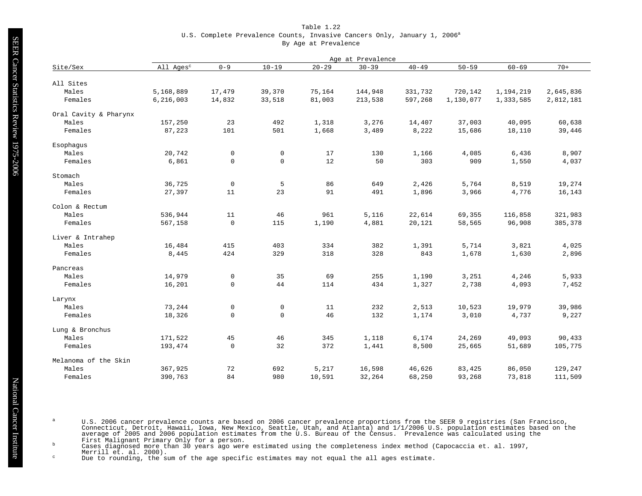# Table 1.22 U.S. Complete Prevalence Counts, Invasive Cancers Only, January 1, 2006<sup>a</sup> By Age at Prevalence

|                       | Age at Prevalence     |             |                     |           |           |           |           |           |           |  |  |  |  |
|-----------------------|-----------------------|-------------|---------------------|-----------|-----------|-----------|-----------|-----------|-----------|--|--|--|--|
| Site/Sex              | All Ages <sup>c</sup> | $0 - 9$     | $10 - 19$           | $20 - 29$ | $30 - 39$ | $40 - 49$ | $50 - 59$ | $60 - 69$ | $70+$     |  |  |  |  |
|                       |                       |             |                     |           |           |           |           |           |           |  |  |  |  |
| All Sites             |                       |             |                     |           |           |           |           |           |           |  |  |  |  |
| Males                 | 5,168,889             | 17,479      | 39,370              | 75,164    | 144,948   | 331,732   | 720,142   | 1,194,219 | 2,645,836 |  |  |  |  |
| Females               | 6, 216, 003           | 14,832      | 33,518              | 81,003    | 213,538   | 597,268   | 1,130,077 | 1,333,585 | 2,812,181 |  |  |  |  |
| Oral Cavity & Pharynx |                       |             |                     |           |           |           |           |           |           |  |  |  |  |
| Males                 | 157,250               | 23          | 492                 | 1,318     | 3,276     | 14,407    | 37,003    | 40,095    | 60,638    |  |  |  |  |
| Females               | 87,223                | 101         | 501                 | 1,668     | 3,489     | 8,222     | 15,686    | 18,110    | 39,446    |  |  |  |  |
| Esophagus             |                       |             |                     |           |           |           |           |           |           |  |  |  |  |
| Males                 | 20,742                | $\mathbf 0$ | 0                   | 17        | 130       | 1,166     | 4,085     | 6,436     | 8,907     |  |  |  |  |
| Females               | 6,861                 | $\mathbf 0$ | $\mathsf{O}\xspace$ | 12        | 50        | 303       | 909       | 1,550     | 4,037     |  |  |  |  |
| Stomach               |                       |             |                     |           |           |           |           |           |           |  |  |  |  |
| Males                 | 36,725                | $\mathbf 0$ | 5                   | 86        | 649       | 2,426     | 5,764     | 8,519     | 19,274    |  |  |  |  |
| Females               | 27,397                | 11          | 23                  | 91        | 491       | 1,896     | 3,966     | 4,776     | 16,143    |  |  |  |  |
| Colon & Rectum        |                       |             |                     |           |           |           |           |           |           |  |  |  |  |
| Males                 | 536,944               | 11          | 46                  | 961       | 5,116     | 22,614    | 69,355    | 116,858   | 321,983   |  |  |  |  |
| Females               | 567,158               | $\mathbf 0$ | 115                 | 1,190     | 4,881     | 20,121    | 58,565    | 96,908    | 385,378   |  |  |  |  |
| Liver & Intrahep      |                       |             |                     |           |           |           |           |           |           |  |  |  |  |
| Males                 | 16,484                | 415         | 403                 | 334       | 382       | 1,391     | 5,714     | 3,821     | 4,025     |  |  |  |  |
| Females               | 8,445                 | 424         | 329                 | 318       | 328       | 843       | 1,678     | 1,630     | 2,896     |  |  |  |  |
| Pancreas              |                       |             |                     |           |           |           |           |           |           |  |  |  |  |
| Males                 | 14,979                | $\mathsf 0$ | 35                  | 69        | 255       | 1,190     | 3,251     | 4,246     | 5,933     |  |  |  |  |
| Females               | 16,201                | $\Omega$    | 44                  | 114       | 434       | 1,327     | 2,738     | 4,093     | 7,452     |  |  |  |  |
| Larynx                |                       |             |                     |           |           |           |           |           |           |  |  |  |  |
| Males                 | 73,244                | $\mathsf 0$ | 0                   | 11        | 232       | 2,513     | 10,523    | 19,979    | 39,986    |  |  |  |  |
| Females               | 18,326                | $\mathbf 0$ | $\mathsf{O}\xspace$ | 46        | 132       | 1,174     | 3,010     | 4,737     | 9,227     |  |  |  |  |
| Lung & Bronchus       |                       |             |                     |           |           |           |           |           |           |  |  |  |  |
| Males                 | 171,522               | 45          | 46                  | 345       | 1,118     | 6,174     | 24,269    | 49,093    | 90,433    |  |  |  |  |
| Females               | 193,474               | $\mathsf 0$ | 32                  | 372       | 1,441     | 8,500     | 25,665    | 51,689    | 105,775   |  |  |  |  |
| Melanoma of the Skin  |                       |             |                     |           |           |           |           |           |           |  |  |  |  |
| Males                 | 367,925               | 72          | 692                 | 5,217     | 16,598    | 46,626    | 83,425    | 86,050    | 129,247   |  |  |  |  |
| Females               | 390,763               | 84          | 980                 | 10,591    | 32,264    | 68,250    | 93,268    | 73,818    | 111,509   |  |  |  |  |

U.S. 2006 cancer prevalence counts are based on 2006 cancer prevalence proportions from the SEER 9 registries (San Francisco, Connecticut, Detroit, Hawaii, Iowa, New Mexico, Seattle, Utah, and Atlanta) and 1/1/2006 U.S. po

<sup>c</sup> Due to rounding, the sum of the age specific estimates may not equal the all ages estimate.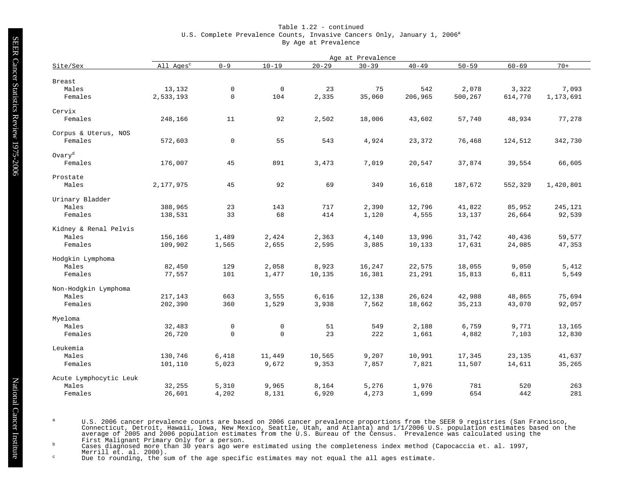# Table 1.22 - continued U.S. Complete Prevalence Counts, Invasive Cancers Only, January 1, 2006<sup>a</sup> By Age at Prevalence

|                        | Age at Prevalence     |                     |             |           |           |           |           |           |           |  |  |  |
|------------------------|-----------------------|---------------------|-------------|-----------|-----------|-----------|-----------|-----------|-----------|--|--|--|
| Site/Sex               | All Ages <sup>c</sup> | $0 - 9$             | $10 - 19$   | $20 - 29$ | $30 - 39$ | $40 - 49$ | $50 - 59$ | $60 - 69$ | $70+$     |  |  |  |
|                        |                       |                     |             |           |           |           |           |           |           |  |  |  |
| Breast                 |                       |                     |             |           |           |           |           |           |           |  |  |  |
| Males                  | 13,132                | $\mathsf 0$         | $\mathbf 0$ | 23        | 75        | 542       | 2,078     | 3,322     | 7,093     |  |  |  |
| Females                | 2,533,193             | $\mathsf 0$         | 104         | 2,335     | 35,060    | 206,965   | 500,267   | 614,770   | 1,173,691 |  |  |  |
| Cervix                 |                       |                     |             |           |           |           |           |           |           |  |  |  |
| Females                | 248,166               | 11                  | 92          | 2,502     | 18,006    | 43,602    | 57,740    | 48,934    | 77,278    |  |  |  |
| Corpus & Uterus, NOS   |                       |                     |             |           |           |           |           |           |           |  |  |  |
| Females                | 572,603               | $\mathsf{O}\xspace$ | 55          | 543       | 4,924     | 23,372    | 76,468    | 124,512   | 342,730   |  |  |  |
| Ovary <sup>d</sup>     |                       |                     |             |           |           |           |           |           |           |  |  |  |
| Females                | 176,007               | 45                  | 891         | 3,473     | 7,019     | 20,547    | 37,874    | 39,554    | 66,605    |  |  |  |
|                        |                       |                     |             |           |           |           |           |           |           |  |  |  |
| Prostate               |                       |                     |             |           |           |           |           |           |           |  |  |  |
| Males                  | 2,177,975             | 45                  | 92          | 69        | 349       | 16,618    | 187,672   | 552,329   | 1,420,801 |  |  |  |
| Urinary Bladder        |                       |                     |             |           |           |           |           |           |           |  |  |  |
| Males                  | 388,965               | 23                  | 143         | 717       | 2,390     | 12,796    | 41,822    | 85,952    | 245,121   |  |  |  |
| Females                | 138,531               | 33                  | 68          | 414       | 1,120     | 4,555     | 13,137    | 26,664    | 92,539    |  |  |  |
| Kidney & Renal Pelvis  |                       |                     |             |           |           |           |           |           |           |  |  |  |
| Males                  | 156,166               | 1,489               | 2,424       | 2,363     | 4,140     | 13,996    | 31,742    | 40,436    | 59,577    |  |  |  |
| Females                | 109,902               | 1,565               | 2,655       | 2,595     | 3,885     | 10,133    | 17,631    | 24,085    | 47,353    |  |  |  |
| Hodgkin Lymphoma       |                       |                     |             |           |           |           |           |           |           |  |  |  |
| Males                  | 82,450                | 129                 | 2,058       | 8,923     | 16,247    | 22,575    | 18,055    | 9,050     | 5,412     |  |  |  |
| Females                | 77,557                | 101                 | 1,477       | 10,135    | 16,381    | 21,291    | 15,813    | 6,811     | 5,549     |  |  |  |
|                        |                       |                     |             |           |           |           |           |           |           |  |  |  |
| Non-Hodgkin Lymphoma   |                       |                     |             |           |           |           |           |           |           |  |  |  |
| Males                  | 217,143               | 663                 | 3,555       | 6,616     | 12,138    | 26,624    | 42,988    | 48,865    | 75,694    |  |  |  |
| Females                | 202,390               | 360                 | 1,529       | 3,938     | 7,562     | 18,662    | 35,213    | 43,070    | 92,057    |  |  |  |
| Myeloma                |                       |                     |             |           |           |           |           |           |           |  |  |  |
| Males                  | 32,483                | $\mathsf 0$         | $\mathbf 0$ | 51        | 549       | 2,188     | 6,759     | 9,771     | 13,165    |  |  |  |
| Females                | 26,720                | $\mathbf 0$         | $\mathbf 0$ | 23        | 222       | 1,661     | 4,882     | 7,103     | 12,830    |  |  |  |
| Leukemia               |                       |                     |             |           |           |           |           |           |           |  |  |  |
| Males                  | 130,746               | 6,418               | 11,449      | 10,565    | 9,207     | 10,991    | 17,345    | 23,135    | 41,637    |  |  |  |
| Females                | 101,110               | 5,023               | 9,672       | 9,353     | 7,857     | 7,821     | 11,507    | 14,611    | 35,265    |  |  |  |
| Acute Lymphocytic Leuk |                       |                     |             |           |           |           |           |           |           |  |  |  |
| Males                  | 32,255                | 5,310               | 9,965       | 8,164     | 5,276     | 1,976     | 781       | 520       | 263       |  |  |  |
| Females                | 26,601                | 4,202               | 8,131       | 6,920     | 4,273     | 1,699     | 654       | 442       | 281       |  |  |  |

U.S. 2006 cancer prevalence counts are based on 2006 cancer prevalence proportions from the SEER 9 registries (San Francisco, Connecticut, Detroit, Hawaii, Iowa, New Mexico, Seattle, Utah, and Atlanta) and 1/1/2006 U.S. po

<sup>c</sup> Due to rounding, the sum of the age specific estimates may not equal the all ages estimate.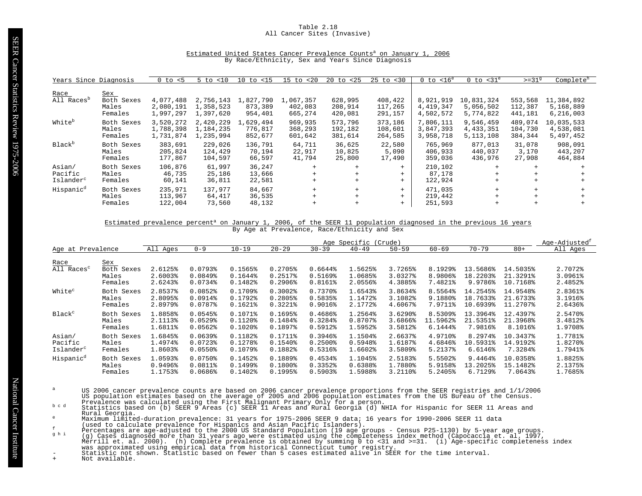#### Table 2.18 All Cancer Sites (Invasive)

#### Estimated United States Cancer Prevalence Counts<sup>a</sup> on January 1, 2006 By Race/Ethnicity, Sex and Years Since Diagnosis

| Years Since Diagnosis  |                                | $0$ to $< 5$                        | $5$ to $< 10$                       | $10$ to $\langle 15 \rangle$    | $15$ to $< 20$                  | $20 \text{ to } 25$           | $25$ to $< 30$                | $0$ to $< 16^e$                     | $0$ to $<$ 31 $^{\circ}$                | $>=31^9$                      | Complete <sup>h</sup>                |
|------------------------|--------------------------------|-------------------------------------|-------------------------------------|---------------------------------|---------------------------------|-------------------------------|-------------------------------|-------------------------------------|-----------------------------------------|-------------------------------|--------------------------------------|
| Race                   | Sex                            |                                     |                                     |                                 |                                 |                               |                               |                                     |                                         |                               |                                      |
| All Races <sup>p</sup> | Both Sexes<br>Males<br>Females | 4,077,488<br>2,080,191<br>1,997,297 | 2,756,143<br>1,358,523<br>1,397,620 | 1,827,790<br>873,389<br>954,401 | 1,067,357<br>402,083<br>665,274 | 628,995<br>208,914<br>420,081 | 408,422<br>117,265<br>291,157 | 8,921,919<br>4,419,347<br>4,502,572 | 10,831,324<br>5,056,502<br>5,774,822    | 553,568<br>112,387<br>441,181 | 11,384,892<br>5,168,889<br>6,216,003 |
| White <sup>b</sup>     | Both Sexes<br>Males<br>Females | 3,520,272<br>1,788,398<br>1,731,874 | 2,420,229<br>1,184,235<br>1,235,994 | 1,629,494<br>776,817<br>852,677 | 969,935<br>368,293<br>601,642   | 573,796<br>192,182<br>381,614 | 373,186<br>108,601<br>264,585 | 7,806,111<br>3,847,393<br>3,958,718 | 9,546,459<br>4, 433, 351<br>5, 113, 108 | 489,074<br>104,730<br>384,344 | 10,035,533<br>4,538,081<br>5,497,452 |
| Black <sup>b</sup>     | Both Sexes<br>Males<br>Females | 383,691<br>205,824<br>177,867       | 229,026<br>124,429<br>104,597       | 136,791<br>70,194<br>66,597     | 64,711<br>22,917<br>41,794      | 36,625<br>10,825<br>25,800    | 22,580<br>5,090<br>17,490     | 765,969<br>406,933<br>359,036       | 877,013<br>440,037<br>436,976           | 31,078<br>3,170<br>27,908     | 908,091<br>443,207<br>464,884        |
| Asian/<br>Pacific      | Both Sexes<br>Males            | 106,876<br>46,735                   | 61,997<br>25,186                    | 36,247<br>13,666                | $+$<br>$+$                      |                               | $+$<br>$+$                    | 210,102<br>87,178                   | $+$<br>$+$                              | $+$<br>$+$                    |                                      |
| Islander <sup>c</sup>  | Females                        | 60,141                              | 36,811                              | 22,581                          | $+$                             |                               |                               | 122,924                             | $+$                                     | $+$                           |                                      |
| Hispanic <sup>d</sup>  | Both Sexes                     | 235,971                             | 137,977                             | 84,667                          | $+$                             |                               | $+$                           | 471,035                             | $+$                                     | $+$                           |                                      |
|                        | Males<br>Females               | 113,967<br>122,004                  | 64,417<br>73,560                    | 36,535<br>48,132                | $+$<br>$+$                      | $^{+}$                        | $+$<br>$+$                    | 219,442<br>251,593                  | $+$<br>$+$                              | $+$<br>$+$                    |                                      |
|                        |                                |                                     |                                     |                                 |                                 |                               |                               |                                     |                                         |                               |                                      |

#### Estimated prevalence percent<sup>a</sup> on January 1, 2006, of the SEER 11 population diagnosed in the previous 16 years By Age at Prevalence, Race/Ethnicity and Sex

|                                |                                              | Age Specific<br>(Crude)       |                               |                               |                                                |                               |                               |                               |                               |                                 |                                  | Age-Adjusted <sup>t</sup>     |
|--------------------------------|----------------------------------------------|-------------------------------|-------------------------------|-------------------------------|------------------------------------------------|-------------------------------|-------------------------------|-------------------------------|-------------------------------|---------------------------------|----------------------------------|-------------------------------|
| Age at Prevalence              |                                              | All Ages                      | $0 - 9$                       | $10 - 19$                     | $20 - 29$                                      | $30 - 39$                     | $40 - 49$                     | $50 - 59$                     | $60 - 69$                     | $70 - 79$                       | $80+$                            | All Ages                      |
| Race<br>All Races <sup>c</sup> | <u>Sex</u><br>Both Sexes<br>Males<br>Females | 2.6125%<br>2.6003%<br>2.6243% | 0.0793%<br>0.0849%<br>0.0734% | 0.1565%<br>0.1644%<br>0.1482% | 0.2705%<br>$0.2517$ %<br>$0.2906$ <sup>8</sup> | 0.6644%<br>0.5169%<br>0.8161% | 1.5625%<br>1.0685%<br>2.0556% | 3.7265%<br>3.0327%<br>4.3885% | 8.1929%<br>8.9806%<br>7.4821% | 13.5686%<br>18.2203%<br>9.9786% | 14.5035%<br>21.3291%<br>10.7168% | 2.7072%<br>3.0961%<br>2.4852% |
| White <sup>c</sup>             | Both Sexes                                   | 2.8537%                       | 0.0852                        | 0.1709%                       | $0.3002$ $%$                                   | $0.7370$ $8$                  | 1.6543%                       | 3.8634%                       | 8.5564%                       | 14.2545%                        | 14.9548%                         | 2.8361%                       |
|                                | Males                                        | 2.8095%                       | $0.0914$ $%$                  | 0.1792%                       | 0.2805%                                        | 0.5835%                       | 1.1472%                       | 3.1082%                       | 9.1880%                       | 18.7633%                        | 21.6733%                         | 3.1916%                       |
|                                | Females                                      | 2.8979%                       | $0.0787$ $%$                  | $0.1621$ $%$                  | 0.3221%                                        | $0.9016$ <sup>8</sup>         | 2.1772%                       | 4.6067%                       | 7.9711%                       | 10.6939%                        | 11.2707%                         | 2.6436%                       |
| Black <sup>c</sup>             | Both Sexes                                   | 1.8858%                       | 0.0545%                       | $0.1071$ %                    | 0.1695%                                        | 0.4686%                       | 1.2564%                       | 3.6290%                       | 8.5309%                       | 13.3964%                        | 12.4397%                         | 2.5470%                       |
|                                | Males                                        | 2.1113%                       | $0.0529$ <sup>8</sup>         | $0.1120$ $%$                  | 0.1484%                                        | 0.3284%                       | 0.8707%                       | 3.6866%                       | 11.5962%                      | 21.5351%                        | 21.3968%                         | 3.4812%                       |
|                                | Females                                      | 1.6811%                       | $0.0562$ $%$                  | $0.1020$ $8$                  | 0.1897%                                        | 0.5912%                       | 1.5952%                       | 3.5812%                       | 6.1444%                       | 7.9816%                         | 8.1016%                          | 1.9708%                       |
| Asian/                         | Both Sexes                                   | 1.6845%                       | $0.0639$ <sup>8</sup>         | 0.1182%                       | 0.1711%                                        | $0.3946$ <sup>8</sup>         | 1.1504%                       | 2.6637%                       | 4.9710%                       | 8.2974%                         | 10.3437%                         | 1.7781%                       |
| Pacific                        | Males                                        | 1.4974%                       | $0.0723$ <sup>8</sup>         | 0.1278%                       | 0.1540%                                        | $0.2500$ $%$                  | 0.5948%                       | 1.6187%                       | 4.6846%                       | 10.5931%                        | 14.9192%                         | 1.8270%                       |
| Islander <sup>c</sup>          | Females                                      | 1.8603%                       | $0.0550$ $%$                  | $0.1079$ $%$                  | 0.1882%                                        | 0.5316%                       | 1.6602%                       | 3.5809%                       | 5.2137%                       | $6.6146$ <sup>2</sup>           | 7.3284%                          | 1.7941%                       |
| Hispanic <sup>d</sup>          | Both Sexes                                   | 1.0593%                       | $0.0750$ <sup>8</sup>         | 0.1452%                       | 0.1889%                                        | 0.4534%                       | 1.1045%                       | 2.5183%                       | 5.5502%                       | 9.4464%                         | 10.0358%                         | 1.8825%                       |
|                                | Males                                        | 0.9496%                       | $0.0811$ %                    | 0.1499%                       | $0.1800$ <sup>8</sup>                          | 0.3352%                       | 0.6388%                       | 1.7880%                       | 5.9158%                       | 13.2025%                        | 15.1482%                         | 2.1375%                       |
|                                | Females                                      | 1.1753%                       | 0.0686                        | 0.1402%                       | 0.1995%                                        | $0.5903$ <sup>8</sup>         | 1.5988%                       | 3.2110%                       | 5.2405%                       | 6.7129%                         | 7.0643%                          | 1.7685%                       |

- US 2006 cancer prevalence counts are based on 2006 cancer prevalence proportions from the SEER registries and 1/1/2006<br>US population estimates based on the average of 2005 and 2006 population estimates from the US Bureau o
- Rural Georgia.
- 
- 
- 
- Maximum limited-duration prevalence: 31 years for 1975-2006 SEER 9 data; 16 years for 1990-2006 SEER 11 data<br>
(used to claculate prevalence for Hispanics and Asian Pacific Islanders).<br>
Percentages are age-adjusted to the 2
-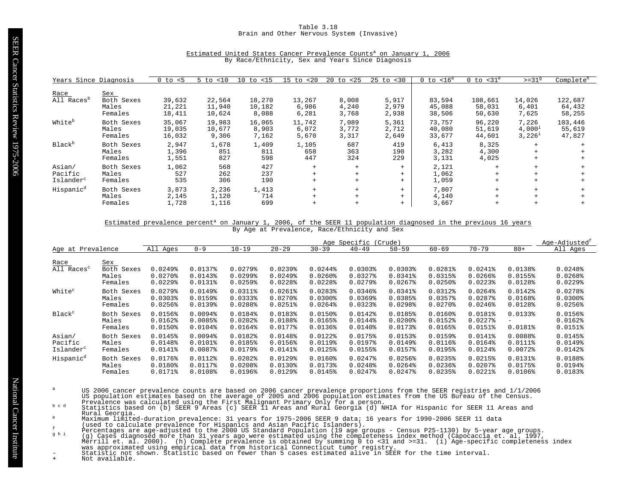## Table 3.18 Brain and Other Nervous System (Invasive)

| Years Since Diagnosis                      |                                       | < 5<br>0 to                | < 10<br>5.<br>to           | $10$ to $< 15$            | < 20<br>$15$ to          | 20 to<br>$25$           | $25$ to $< 30$          | $< 16^e$<br>0 to           | $<$ 31 $^{\circ}$<br>0 to   | $>=319$                                  | Complete <sup>h</sup>       |
|--------------------------------------------|---------------------------------------|----------------------------|----------------------------|---------------------------|--------------------------|-------------------------|-------------------------|----------------------------|-----------------------------|------------------------------------------|-----------------------------|
| Race<br>All Races <sup>p</sup>             | Sex<br>Both Sexes<br>Males<br>Females | 39,632<br>21,221<br>18,411 | 22,564<br>11,940<br>10,624 | 18,270<br>10,182<br>8,088 | 13,267<br>6,986<br>6,281 | 8,008<br>4,240<br>3,768 | 5,917<br>2,979<br>2,938 | 83,594<br>45,088<br>38,506 | 108,661<br>58,031<br>50,630 | 14,026<br>6,401<br>7,625                 | 122,687<br>64,432<br>58,255 |
| White <sup>b</sup>                         | Both Sexes<br>Males<br>Females        | 35,067<br>19,035<br>16,032 | 19,983<br>10,677<br>9,306  | 16,065<br>8,903<br>7,162  | 11,742<br>6,072<br>5,670 | 7,089<br>3,772<br>3,317 | 5,361<br>2,712<br>2,649 | 73,757<br>40,080<br>33,677 | 96,220<br>51,619<br>44,601  | 7,226<br>$4,000^1$<br>3,226 <sup>1</sup> | 103,446<br>55,619<br>47,827 |
| Black <sup>b</sup>                         | Both Sexes<br>Males<br>Females        | 2,947<br>1,396<br>1,551    | 1,678<br>851<br>827        | 1,409<br>811<br>598       | 1,105<br>658<br>447      | 687<br>363<br>324       | 419<br>190<br>229       | 6,413<br>3,282<br>3,131    | 8,325<br>4,300<br>4,025     | $+$<br>$+$<br>$+$                        |                             |
| Asian/<br>Pacific<br>Islander <sup>c</sup> | Both Sexes<br>Males<br>Females        | 1,062<br>527<br>535        | 568<br>262<br>306          | 427<br>237<br>190         | $+$<br>$+$               | $+$<br>$+$<br>$+$       | $+$<br>$+$<br>$+$       | 2,121<br>1,062<br>1,059    | $+$<br>$+$<br>$+$           | $+$<br>$+$<br>$+$                        |                             |
| Hispanic <sup>d</sup>                      | Both Sexes<br>Males<br>Females        | 3,873<br>2,145<br>1,728    | 2,236<br>1,120<br>1,116    | 1,413<br>714<br>699       | $+$                      | $+$<br>$+$              | $+$<br>$+$<br>$+$       | 7,807<br>4,140<br>3,667    | $+$<br>$+$<br>$^{+}$        | $+$<br>$+$                               |                             |

# Estimated United States Cancer Prevalence Counts<sup>a</sup> on January 1, 2006 By Race/Ethnicity, Sex and Years Since Diagnosis

#### Estimated prevalence percent<sup>a</sup> on January 1, 2006, of the SEER 11 population diagnosed in the previous 16 years By Age at Prevalence, Race/Ethnicity and Sex

|                                |                                       | Age Specific<br>(Crude)                                        |                               |                                                                |                                                           |                                                                 |                                                  |                                         |                                                  |                                                     |                                                  |                                                           |
|--------------------------------|---------------------------------------|----------------------------------------------------------------|-------------------------------|----------------------------------------------------------------|-----------------------------------------------------------|-----------------------------------------------------------------|--------------------------------------------------|-----------------------------------------|--------------------------------------------------|-----------------------------------------------------|--------------------------------------------------|-----------------------------------------------------------|
| Age at Prevalence              |                                       | All Ages                                                       | $0 - 9$                       | $10 - 19$                                                      | $20 - 29$                                                 | $30 - 39$                                                       | $40 - 49$                                        | $50 - 59$                               | $60 - 69$                                        | $70 - 79$                                           | $80+$                                            | All Ages                                                  |
| Race<br>All Races <sup>c</sup> | Sex<br>Both Sexes<br>Males<br>Females | $0.0249$ <sup>8</sup><br>$0.0270$ $%$<br>$0.0229$ <sup>§</sup> | 0.0137%<br>0.0143%<br>0.0131% | $0.0279$ <sup>8</sup><br>$0.0299$ $8$<br>$0.0259$ <sup>*</sup> | $0.0239$ <sup>8</sup><br>$0.0249$ <sup>8</sup><br>0.0228% | $0.0244$ <sup>8</sup><br>$0.0260$ $8$<br>$0.0228$ <sup>\$</sup> | 0.0303%<br>$0.0327$ $8$<br>$0.0279$ <sup>8</sup> | 0.03038<br>$0.0341$ $%$<br>$0.0267$ $%$ | $0.0281$ $%$<br>0.0315%<br>$0.0250$ <sup>§</sup> | $0.0241$ %<br>$0.0266$ $8$<br>$0.0223$ <sup>*</sup> | $0.0138$ <sup>2</sup><br>0.0155%<br>$0.0128$ $%$ | $0.0248$ <sup>*</sup><br>0.0268<br>$0.0229$ <sup>\$</sup> |
| White <sup>c</sup>             | Both Sexes                            | $0.0279$ <sup>8</sup>                                          | $0.0149$ <sup>8</sup>         | $0.0311$ %                                                     | $0.0261$ <sup>8</sup>                                     | $0.0283$ <sup>8</sup>                                           | 0.0346%                                          | 0.0341%                                 | 0.0312%                                          | $0.0264$ <sup>8</sup>                               | $0.0142$ $%$                                     | 0.0278                                                    |
|                                | Males                                 | 0.03038                                                        | 0.0159%                       | 0.03338                                                        | $0.0270$ <sup>8</sup>                                     | $0.0300$ $%$                                                    | $0.0369$ <sup>8</sup>                            | 0.0385%                                 | 0.0357%                                          | $0.0287$ $%$                                        | 0.0168%                                          | $0.0300$ $%$                                              |
|                                | Females                               | $0.0256$ <sup>8</sup>                                          | 0.01398                       | 0.0288                                                         | $0.0251$ $8$                                              | $0.0264$ <sup>8</sup>                                           | $0.0323$ <sup>8</sup>                            | $0.0298$ <sup>\$</sup>                  | $0.0270$ $%$                                     | $0.0246$ $%$                                        | 0.0128%                                          | $0.0256$ <sup>8</sup>                                     |
| Black <sup>c</sup>             | Both Sexes                            | 0.0156%                                                        | 0.0094%                       | 0.0184%                                                        | 0.0183%                                                   | 0.0150%                                                         | 0.0142%                                          | 0.0185%                                 | $0.0160$ $%$                                     | $0.0181$ %                                          | 0.01338                                          | 0.0156%                                                   |
|                                | Males                                 | $0.0162$ $% 0.0162$                                            | 0.0085%                       | $0.0202$ <sup>8</sup>                                          | 0.0188%                                                   | 0.0165%                                                         | $0.0144$ %                                       | $0.0200$ $%$                            | $0.0152$ $%$                                     | $0.0227$ $8$                                        | -                                                | $0.0162$ $% 0.0162$                                       |
|                                | Females                               | $0.0150$ %                                                     | $0.0104\$                     | $0.0164\$                                                      | 0.0177%                                                   | $0.0136$ <sup>8</sup>                                           | $0.0140$ %                                       | 0.0173%                                 | 0.0165%                                          | $0.0151$ %                                          | $0.0181$ $8$                                     | $0.0151$ %                                                |
| Asian/                         | Both Sexes                            | 0.0145%                                                        | 0.0094%                       | $0.0182$ $%$                                                   | 0.0148%                                                   | $0.0122$ $%$                                                    | 0.0175%                                          | 0.0153%                                 | $0.0159$ <sup>*</sup>                            | $0.0141$ %                                          | 0.0088                                           | 0.0145%                                                   |
| Pacific                        | Males                                 | 0.0148%                                                        | $0.0101$ %                    | 0.0185%                                                        | 0.0156%                                                   | 0.0119%                                                         | 0.01978                                          | 0.0149%                                 | $0.0116$ $%$                                     | $0.0164$ <sup>8</sup>                               | 0.0111%                                          | 0.0149%                                                   |
| Islander <sup>c</sup>          | Females                               | $0.0141$ %                                                     | $0.0087$ $%$                  | 0.0179%                                                        | 0.0141%                                                   | $0.0125$ <sup>8</sup>                                           | 0.0155%                                          | $0.0157$ %                              | 0.0195%                                          | 0.0124%                                             | $0.0072$ $8$                                     | $0.0142$ $%$                                              |
| Hispanic <sup>d</sup>          | Both Sexes                            | 0.0176%                                                        | 0.0112%                       | $0.0202$ $%$                                                   | $0.0129$ <sup>8</sup>                                     | 0.0160%                                                         | $0.0247$ $8$                                     | 0.0256%                                 | $0.0235$ <sup>8</sup>                            | $0.0215$ $%$                                        | $0.0131$ %                                       | 0.0188%                                                   |
|                                | Males                                 | $0.0180$ <sup>2</sup>                                          | 0.0117%                       | 0.0208                                                         | $0.0130$ <sup>8</sup>                                     | 0.0173%                                                         | $0.0248$ <sup>*</sup>                            | $0.0264$ <sup>8</sup>                   | $0.0236$ <sup>8</sup>                            | $0.0207$ $8$                                        | 0.0175%                                          | 0.0194%                                                   |
|                                | Females                               | 0.0171%                                                        | 0.0108                        | $0.0196$ <sup>2</sup>                                          | $0.0129$ <sup>2</sup>                                     | $0.0145$ $%$                                                    | $0.0247$ $8$                                     | $0.0247$ $%$                            | 0.0235%                                          | $0.0221$ $%$                                        | $0.0106$ $%$                                     | 0.0183%                                                   |

- US 2006 cancer prevalence counts are based on 2006 cancer prevalence proportions from the SEER registries and 1/1/2006<br>US population estimates based on the average of 2005 and 2006 population estimates from the US Bureau o
- Rural Georgia.
- 
- 
- 
- Maximum limited-duration prevalence: 31 years for 1975-2006 SEER 9 data; 16 years for 1990-2006 SEER 11 data<br>
(used to claculate prevalence for Hispanics and Asian Pacific Islanders).<br>
Percentages are age-adjusted to the 2
-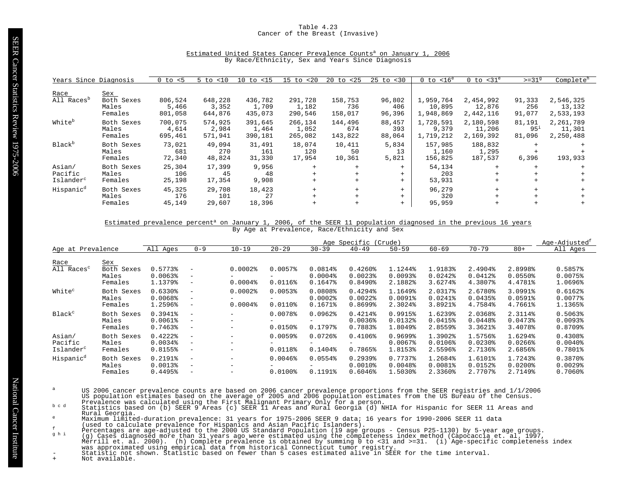## Table 4.23 Cancer of the Breast (Invasive)

#### Estimated United States Cancer Prevalence Counts<sup>a</sup> on January 1, 2006 By Race/Ethnicity, Sex and Years Since Diagnosis

| Years Since Diagnosis                      |                                       | $0$ to $< 5$                | $5$ to $< 10$               | $10$ to $\langle 15 \rangle$ | $15$ to $< 20$              | $20 \text{ to } 25$       | $25$ to $< 30$          | $0$ to $< 16^e$                  | $0$ to $<$ 31 $^{\circ}$         | $>=31^9$                     | Complete <sup>h</sup>            |
|--------------------------------------------|---------------------------------------|-----------------------------|-----------------------------|------------------------------|-----------------------------|---------------------------|-------------------------|----------------------------------|----------------------------------|------------------------------|----------------------------------|
|                                            |                                       |                             |                             |                              |                             |                           |                         |                                  |                                  |                              |                                  |
| Race<br>All Races <sup>p</sup>             | Sex<br>Both Sexes<br>Males<br>Females | 806,524<br>5,466<br>801,058 | 648,228<br>3,352<br>644,876 | 436,782<br>1,709<br>435,073  | 291,728<br>1,182<br>290,546 | 158,753<br>736<br>158,017 | 96,802<br>406<br>96,396 | 1,959,764<br>10,895<br>1,948,869 | 2,454,992<br>12,876<br>2,442,116 | 91,333<br>256<br>91,077      | 2,546,325<br>13,132<br>2,533,193 |
| White <sup>b</sup>                         | Both Sexes<br>Males<br>Females        | 700,075<br>4,614<br>695,461 | 574,925<br>2,984<br>571,941 | 391,645<br>1,464<br>390,181  | 266,134<br>1,052<br>265,082 | 144,496<br>674<br>143,822 | 88,457<br>393<br>88,064 | 1,728,591<br>9,379<br>1,719,212  | 2,180,598<br>11,206<br>2,169,392 | 81,191<br>$95^{3}$<br>81,096 | 2,261,789<br>11,301<br>2,250,488 |
| Black <sup>b</sup>                         | Both Sexes<br>Males<br>Females        | 73,021<br>681<br>72,340     | 49,094<br>270<br>48,824     | 31,491<br>161<br>31,330      | 18,074<br>120<br>17,954     | 10,411<br>50<br>10,361    | 5,834<br>13<br>5,821    | 157,985<br>1,160<br>156,825      | 188,832<br>1,295<br>187,537      | 6,396                        | 193,933                          |
| Asian/<br>Pacific<br>Islander <sup>c</sup> | Both Sexes<br>Males<br>Females        | 25,304<br>106<br>25,198     | 17,399<br>45<br>17,354      | 9,956<br>48<br>9,908         | $+$                         | $+$                       | $+$<br>$+$<br>$+$       | 54,134<br>203<br>53,931          | $+$<br>$+$                       |                              |                                  |
| Hispanic <sup>d</sup>                      | Both Sexes<br>Males<br>Females        | 45,325<br>176<br>45,149     | 29,708<br>101<br>29,607     | 18,423<br>27<br>18,396       | $+$                         | $+$                       | $+$<br>$+$<br>$+$       | 96,279<br>320<br>95,959          | $+$                              |                              |                                  |
|                                            |                                       |                             |                             |                              |                             |                           |                         |                                  |                                  |                              |                                  |

#### Estimated prevalence percent<sup>a</sup> on January 1, 2006, of the SEER 11 population diagnosed in the previous 16 years By Age at Prevalence, Race/Ethnicity and Sex

|                                            |                                              | Age Specific (Crude)                                      |                                                                           |                                                                                  |                                       |                                    |                                                                |                                    |                                    |                                             | Age-Adjusted <sup>t</sup>                   |                                                  |
|--------------------------------------------|----------------------------------------------|-----------------------------------------------------------|---------------------------------------------------------------------------|----------------------------------------------------------------------------------|---------------------------------------|------------------------------------|----------------------------------------------------------------|------------------------------------|------------------------------------|---------------------------------------------|---------------------------------------------|--------------------------------------------------|
| Age at Prevalence                          |                                              | All Ages                                                  | $0 - 9$                                                                   | $10 - 19$                                                                        | $20 - 29$                             | $30 - 39$                          | $40 - 49$                                                      | $50 - 59$                          | $60 - 69$                          | $70 - 79$                                   | $80+$                                       | All Ages                                         |
| Race<br>All Races <sup>c</sup>             | <u>Sex</u><br>Both Sexes<br>Males<br>Females | 0.5773%<br>$0.0063$ <sup>8</sup><br>1.1379%               | $\qquad \qquad -$<br>$\overline{\phantom{m}}$<br>$\qquad \qquad -$        | $0.0002$ $%$<br>$0.0004$ $%$                                                     | 0.0057%<br>$0.0116$ $%$               | 0.0814%<br>$0.0004$ $8$<br>0.1647% | $0.4260$ $%$<br>$0.0023$ <sup>8</sup><br>$0.8490$ $%$          | 1.1244%<br>0.00938<br>2.1882%      | 1.9183%<br>$0.0242$ $%$<br>3.6274% | 2.4904%<br>$0.0412$ $%$<br>4.3807%          | 2.8998%<br>$0.0550$ <sup>8</sup><br>4.4781% | 0.5857%<br>$0.0075$ <sup>8</sup><br>1.0696%      |
| White <sup>c</sup>                         | Both Sexes<br>Males<br>Females               | $0.6330$ <sup>8</sup><br>0.0068<br>1.2596%                | $\overline{\phantom{m}}$<br>$\qquad \qquad -$<br>$\qquad \qquad -$        | $0.0002$ $8$<br>$0.0004$ $%$                                                     | $0.0053$ <sup>8</sup><br>$0.0110$ %   | 0.0808<br>$0.0002$ $8$<br>0.1671%  | 0.4294%<br>$0.0022$ $8$<br>0.8699%                             | 1.1649%<br>$0.0091$ %<br>2.3024%   | 2.0317%<br>$0.0241$ $%$<br>3.8921% | 2.6780%<br>0.0435%<br>4.7584%               | 3.0991%<br>0.0591%<br>4.7661%               | 0.6162<br>0.0077%<br>1.1365%                     |
| Black <sup>c</sup>                         | Both Sexes<br>Males<br>Females               | $0.3941$ $%$<br>0.0061%<br>0.7463%                        | $\overline{\phantom{a}}$<br>$\qquad \qquad -$<br>$\overline{\phantom{m}}$ | $\overline{\phantom{a}}$<br>$\overline{\phantom{m}}$<br>$\overline{\phantom{m}}$ | 0.0078%<br>$0.0150$ %                 | $0.0962$ <sup>8</sup><br>0.1797%   | 0.4214%<br>$0.0036$ <sup>8</sup><br>0.7883%                    | 0.9915%<br>0.0132%<br>1.8049%      | 1.6239%<br>0.0415%<br>2.8559%      | 2.0368%<br>0.0448<br>3.3621%                | 2.3114%<br>$0.0473$ <sup>8</sup><br>3.4078% | 0.5063%<br>0.00938<br>0.8709%                    |
| Asian/<br>Pacific<br>Islander <sup>c</sup> | Both Sexes<br>Males<br>Females               | 0.4222<br>$0.0034$ $%$<br>0.8155%                         | $\overline{\phantom{a}}$<br>$\overline{\phantom{m}}$<br>$\qquad \qquad -$ | $\overline{\phantom{m}}$<br>$\overline{\phantom{m}}$                             | 0.0059%<br>0.0118%                    | $0.0726$ <sup>8</sup><br>0.1404%   | 0.4106%<br>0.7865%                                             | 0.9699%<br>$0.0067$ $8$<br>1.8153% | 1.3902%<br>0.0106%<br>2.5596%      | 1.5756%<br>$0.0230$ <sup>8</sup><br>2.7136% | 1.6294%<br>$0.0266$ <sup>8</sup><br>2.6856% | 0.4308%<br>$0.0040$ $%$<br>0.7801%               |
| Hispanic <sup>d</sup>                      | Both Sexes<br>Males<br>Females               | $0.2191$ <sup>8</sup><br>$0.0013$ <sup>8</sup><br>0.4495% | $\qquad \qquad -$<br>$\overline{\phantom{a}}$<br>$\qquad \qquad -$        | $\overline{\phantom{m}}$<br>$\overline{\phantom{m}}$<br>$\overline{\phantom{m}}$ | $0.0046$ <sup>8</sup><br>$0.0100$ $%$ | 0.0554%<br>$0.1191$ <sup>8</sup>   | $0.2939$ <sup>8</sup><br>$0.0010$ $8$<br>$0.6046$ <sup>8</sup> | 0.7737%<br>0.0048<br>1.5030%       | 1.2684%<br>0.0081%<br>2.3360%      | 1.6101%<br>$0.0152$ $%$<br>2.7707%          | 1.7243%<br>$0.0200$ $%$<br>2.7149%          | 0.3870%<br>$0.0029$ <sup>8</sup><br>$0.7060$ $%$ |

- US 2006 cancer prevalence counts are based on 2006 cancer prevalence proportions from the SEER registries and 1/1/2006<br>US population estimates based on the average of 2005 and 2006 population estimates from the US Bureau o
- Rural Georgia.
- 
- 
- 
- Maximum limited-duration prevalence: 31 years for 1975-2006 SEER 9 data; 16 years for 1990-2006 SEER 11 data<br>
(used to claculate prevalence for Hispanics and Asian Pacific Islanders).<br>
Percentages are age-adjusted to the 2
-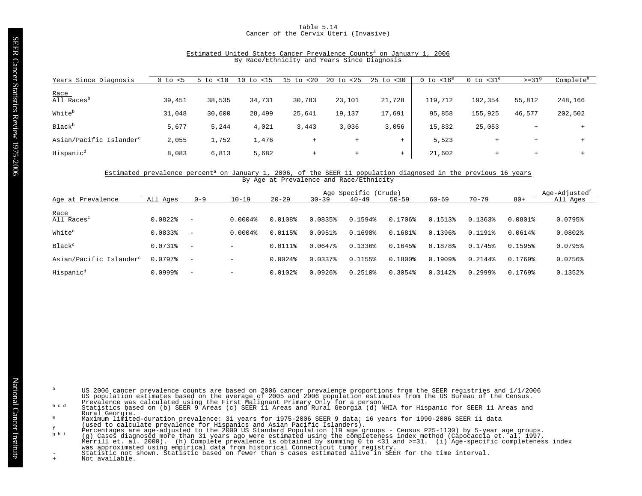# Table 5.14 Cancer of the Cervix Uteri (Invasive)

# Estimated United States Cancer Prevalence Counts<sup>a</sup> on January 1, 2006 By Race/Ethnicity and Years Since Diagnosis

| Years Since Diagnosis               | < 5<br>0 to | $<$ 10<br>5 to | to <15<br>10 | $15$ to<br>< 20 | 20<br>< 25<br>to | $25 \text{ to } < 30$ | $0$ to $< 16^e$ | 0 to $<$ 31 $^{\circ}$ | $>=319$        | Complete <sup>h</sup> |
|-------------------------------------|-------------|----------------|--------------|-----------------|------------------|-----------------------|-----------------|------------------------|----------------|-----------------------|
| Race                                |             |                |              |                 |                  |                       |                 |                        |                |                       |
| All Races <sup>D</sup>              | 39,451      | 38,535         | 34,731       | 30,783          | 23,101           | 21,728                | 119,712         | 192,354                | 55,812         | 248,166               |
| White <sup>b</sup>                  | 31,048      | 30,600         | 28,499       | 25,641          | 19,137           | 17,691                | 95,858          | 155,925                | 46,577         | 202,502               |
| <b>Black</b> <sup>b</sup>           | 5,677       | 5,244          | 4,021        | 3,443           | 3,036            | 3,056                 | 15,832          | 25,053                 | $\overline{+}$ |                       |
| Asian/Pacific Islander <sup>c</sup> | 2,055       | 1,752          | 1,476        | $+$             | $^{+}$           | $+$                   | 5,523           |                        | $^{+}$         |                       |
| Hispanic <sup>d</sup>               | 8,083       | 6,813          | 5,682        | $+$             | $^{+}$           | $+$                   | 21,602          | $^+$                   | $+$            |                       |

#### Estimated prevalence percent<sup>a</sup> on January 1, 2006, of the SEER 11 population diagnosed in the previous 16 years By Age at Prevalence and Race/Ethnicity

|                                     | Age-Adjusted <sup>t</sup><br>Age Specific (Crude) |                          |              |              |              |              |                       |                       |                       |                       |              |  |
|-------------------------------------|---------------------------------------------------|--------------------------|--------------|--------------|--------------|--------------|-----------------------|-----------------------|-----------------------|-----------------------|--------------|--|
| Age at Prevalence                   | All Ages                                          | $0 - 9$                  | $10 - 19$    | $20 - 29$    | $30 - 39$    | $40 - 49$    | $50 - 59$             | $60 - 69$             | $70 - 79$             | $80+$                 | All Ages     |  |
| <u>Race</u>                         |                                                   |                          |              |              |              |              |                       |                       |                       |                       |              |  |
| All Races <sup>c</sup>              | $0.0822$ $%$                                      | $\overline{\phantom{m}}$ | $0.0004$ $8$ | $0.0108$ %   | 0.0835%      | 0.1594%      | $0.1706$ <sup>8</sup> | 0.1513%               | 0.1363%               | $0.0801$ %            | 0.0795%      |  |
| White <sup>c</sup>                  | 0.0833%                                           | $\overline{\phantom{m}}$ | $0.0004$ $%$ | 0.0115%      | $0.0951$ $%$ | 0.1698%      | 0.1681%               | 0.1396%               | 191%<br>0.1           | $0.0614$ $%$          | $0.0802$ $%$ |  |
| Black <sup>c</sup>                  | $0.0731$ %                                        | $\overline{\phantom{m}}$ | -            | $0.0111$ %   | $0.0647$ $8$ | 0.1336%      | 0.1645%               | 0.1878%               | 0.1745%               | 0.1595%               | 0.0795%      |  |
| Asian/Pacific Islander <sup>c</sup> | $0.0797$ $%$                                      | $\overline{\phantom{a}}$ | -            | $0.0024$ $8$ | 0.03378      | 0.1155%      | $0.1800$ %            | $0.1909$ <sup>8</sup> | 0.2144%               | $0.1769$ <sup>8</sup> | 0.0756%      |  |
| Hispanic <sup>d</sup>               | 0.0999%                                           | $\overline{\phantom{a}}$ | -            | $0.0102$ $%$ | 0.0926       | $0.2510$ $%$ | 0.3054%               | 0.3142%               | $0.2999$ <sup>8</sup> | 0.1769%               | 0.1352%      |  |

- US 2006 cancer prevalence counts are based on 2006 cancer prevalence proportions from the SEER registries and 1/1/2006<br>US population estimates based on the average of 2005 and 2006 population estimates from the US Bureau o
- Rural Georgia.
- 
- 
- Maximum limited-duration prevalence: 31 years for 1975-2006 SEER 9 data; 16 years for 1990-2006 SEER 11 data<br>
(used to claculate prevalence for Hispanics and Asian Pacific Islanders).<br>
Percentages are age-adjusted to the 2
	-
-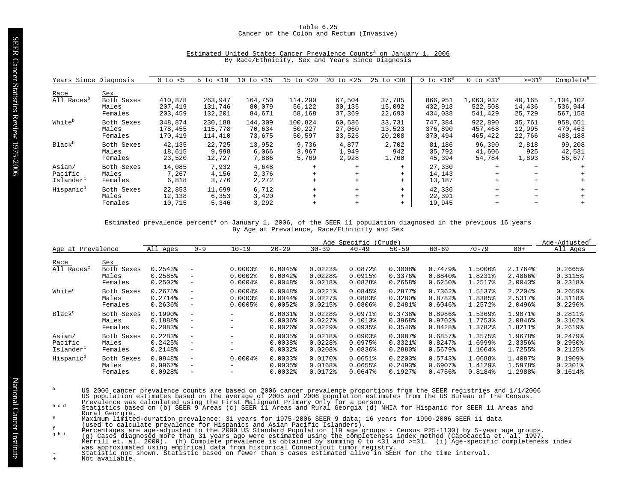## Table 6.25 Cancer of the Colon and Rectum (Invasive)

| Years Since Diagnosis                      |                                       | $0$ to $< 5$                  | 5 to<br>< 10                  | $10$ to $< 15$              | $15$ to $< 20$              | $20$ to $< 25$             | $25$ to $< 30$             | $0$ to $< 16^e$               | $0$ to $<$ 31 $^{\circ}$        | $>=319$                    | Complete <sup>h</sup>           |
|--------------------------------------------|---------------------------------------|-------------------------------|-------------------------------|-----------------------------|-----------------------------|----------------------------|----------------------------|-------------------------------|---------------------------------|----------------------------|---------------------------------|
| Race<br>All Races <sup>b</sup>             | Sex<br>Both Sexes<br>Males<br>Females | 410,878<br>207,419<br>203,459 | 263,947<br>131,746<br>132,201 | 164,750<br>80,079<br>84,671 | 114,290<br>56,122<br>58,168 | 67,504<br>30,135<br>37,369 | 37,785<br>15,092<br>22,693 | 866,951<br>432,913<br>434,038 | 1,063,937<br>522,508<br>541,429 | 40,165<br>14,436<br>25,729 | 1,104,102<br>536,944<br>567,158 |
| White <sup>b</sup>                         | Both Sexes<br>Males<br>Females        | 348,874<br>178,455<br>170,419 | 230,188<br>115,778<br>114,410 | 144,309<br>70,634<br>73,675 | 100,824<br>50,227<br>50,597 | 60,586<br>27,060<br>33,526 | 33,731<br>13,523<br>20,208 | 747,384<br>376,890<br>370,494 | 922,890<br>457,468<br>465,422   | 35,761<br>12,995<br>22,766 | 958,651<br>470,463<br>488,188   |
| Black <sup>b</sup>                         | Both Sexes<br>Males<br>Females        | 42,135<br>18,615<br>23,520    | 22,725<br>9,998<br>12,727     | 13,952<br>6,066<br>7,886    | 9,736<br>3,967<br>5,769     | 4,877<br>1,949<br>2,928    | 2,702<br>942<br>1,760      | 81,186<br>35,792<br>45,394    | 96,390<br>41,606<br>54,784      | 2,818<br>925<br>1,893      | 99,208<br>42,531<br>56,677      |
| Asian/<br>Pacific<br>Islander <sup>c</sup> | Both Sexes<br>Males<br>Females        | 14,085<br>7,267<br>6,818      | 7,932<br>4,156<br>3,776       | 4,648<br>2,376<br>2,272     | $+$<br>$+$<br>$+$           |                            | $+$<br>$+$<br>$+$          | 27,330<br>14,143<br>13,187    | $+$<br>$+$<br>$+$               | $+$                        |                                 |
| Hispanic <sup>d</sup>                      | Both Sexes<br>Males<br>Females        | 22,853<br>12,138<br>10,715    | 11,699<br>6,353<br>5,346      | 6,712<br>3,420<br>3,292     | $+$<br>$+$                  |                            | $+$<br>$+$<br>$+$          | 42,336<br>22,391<br>19,945    | $+$<br>$+$<br>$+$               |                            |                                 |

# Estimated United States Cancer Prevalence Counts<sup>a</sup> on January 1, 2006 By Race/Ethnicity, Sex and Years Since Diagnosis

#### Estimated prevalence percent<sup>a</sup> on January 1, 2006, of the SEER 11 population diagnosed in the previous 16 years By Age at Prevalence, Race/Ethnicity and Sex

|                                |                                       | Age Specific<br>(Crude)                                   |                                                             |                                                    |                                   |                                                                         |                              |                             |                             | Age-Adjusted <sup>t</sup>     |                               |                               |
|--------------------------------|---------------------------------------|-----------------------------------------------------------|-------------------------------------------------------------|----------------------------------------------------|-----------------------------------|-------------------------------------------------------------------------|------------------------------|-----------------------------|-----------------------------|-------------------------------|-------------------------------|-------------------------------|
| Age at Prevalence              |                                       | All Ages                                                  | $0 - 9$                                                     | $10 - 19$                                          | $20 - 29$                         | $30 - 39$                                                               | $40 - 49$                    | $50 - 59$                   | $60 - 69$                   | $70 - 79$                     | $80+$                         | All Ages                      |
| Race<br>All Races <sup>c</sup> | Sex<br>Both Sexes<br>Males<br>Females | $0.2543$ <sup>8</sup><br>0.2585%<br>$0.2502$ <sup>*</sup> | $\overline{\phantom{m}}$<br>$-$<br>$\overline{\phantom{m}}$ | $0.0003$ <sup>8</sup><br>$0.0002$ $%$<br>$0.0004\$ | 0.0045%<br>$0.0042$ $%$<br>0.0048 | $0.0223$ <sup>8</sup><br>$0.0228$ <sup>*</sup><br>$0.0218$ <sup>*</sup> | 0.0872%<br>0.0915%<br>0.0828 | 0.3008<br>0.3376%<br>0.2658 | 0.7479%<br>0.8840<br>0.6250 | 1.5006%<br>1.8231%<br>1.2517% | 2.1764%<br>2.4866%<br>2.0043% | 0.2665%<br>0.3115%<br>0.2318% |
| White <sup>c</sup>             | Both Sexes                            | 0.2675%                                                   | $\overline{\phantom{a}}$                                    | $0.0004$ $%$                                       | $0.0048$ <sup>8</sup>             | $0.0221$ $%$                                                            | 0.0845%                      | $0.2877$ $%$                | 0.7362%                     | 1.5137%                       | 2.2204%                       | $0.2659$ <sup>8</sup>         |
|                                | Males                                 | $0.2714$ <sup>8</sup>                                     | $\overline{\phantom{a}}$                                    | 0.00038                                            | $0.0044$ <sup>8</sup>             | $0.0227$ $8$                                                            | 0.0883%                      | 0.3280%                     | 0.8782%                     | 1.8385%                       | 2.5317%                       | 0.3118%                       |
|                                | Females                               | $0.2636$ <sup>8</sup>                                     | $\overline{\phantom{m}}$                                    | 0.0005%                                            | $0.0052$ <sup>8</sup>             | 0.0215%                                                                 | $0.0806$ <sup>8</sup>        | 0.2481%                     | 0.6046%                     | 1.2572%                       | 2.0496%                       | $0.2296$ <sup>8</sup>         |
| Black <sup>c</sup>             | Both Sexes                            | $0.1990$ <sup>8</sup>                                     | $\overline{\phantom{m}}$                                    | -                                                  | $0.0031$ $%$                      | $0.0228$ <sup>*</sup>                                                   | $0.0971$ %                   | 0.3738%                     | 0.8986%                     | 1.5369%                       | 1.9071%                       | 0.2811%                       |
|                                | Males                                 | 0.1888%                                                   | $\overline{\phantom{a}}$                                    | -                                                  | $0.0036$ <sup>8</sup>             | $0.0227$ $8$                                                            | 0.1013%                      | 0.3968%                     | 0.9702%                     | 1.7753%                       | 2.0846%                       | 0.3102%                       |
|                                | Females                               | 0.2083%                                                   | $\overline{\phantom{m}}$                                    | -                                                  | $0.0026$ <sup>8</sup>             | $0.0229$ <sup>\$</sup>                                                  | $0.0935$ <sup>8</sup>        | 0.3546%                     | 0.8428%                     | 1.3782%                       | 1.8211%                       | $0.2619$ <sup>8</sup>         |
| Asian/                         | Both Sexes                            | $0.2283$ <sup>8</sup>                                     | $\overline{\phantom{a}}$                                    | -                                                  | $0.0035$ <sup>8</sup>             | 0.0218%                                                                 | 0.09038                      | 0.3087%                     | 0.6857%                     | 1.3575%                       | 1.9678%                       | 0.2479%                       |
| Pacific                        | Males                                 | $0.2425$ <sup>8</sup>                                     | $\overline{\phantom{m}}$                                    | -                                                  | $0.0038$ <sup>8</sup>             | $0.0228$ <sup>\$</sup>                                                  | 0.0975%                      | 0.3321%                     | 0.8247%                     | 1.6999%                       | 2.3356%                       | $0.2950$ <sup>*</sup>         |
| Islander <sup>c</sup>          | Females                               | 0.2148%                                                   | $\overline{\phantom{m}}$                                    | -                                                  | $0.0032$ $%$                      | 0.0208                                                                  | $0.0836$ <sup>8</sup>        | $0.2880$ <sup>8</sup>       | 0.5679%                     | 1.1064%                       | 1.7255%                       | $0.2125$ <sup>8</sup>         |
| Hispanic <sup>d</sup>          | Both Sexes                            | 0.0948                                                    | $\overline{\phantom{m}}$                                    | $0.0004$ $%$                                       | 0.00338                           | $0.0170$ %                                                              | 0.0651%                      | $0.2203$ <sup>8</sup>       | 0.5743%                     | 1.0688%                       | 1.4087%                       | 0.1909%                       |
|                                | Males                                 | 0.0967                                                    | $\overline{\phantom{m}}$                                    | -                                                  | 0.0035%                           | 0.0168%                                                                 | 0.0655%                      | $0.2493$ <sup>8</sup>       | 0.6907                      | 1.4129%                       | 1.5978%                       | $0.2301$ $%$                  |
|                                | Females                               | 0.0928%                                                   | $\overline{\phantom{m}}$                                    | -                                                  | $0.0032$ $%$                      | 0.0172%                                                                 | $0.0647$ $%$                 | 0.1927%                     | 0.4756%                     | 0.8184%                       | 1.2988%                       | 0.1614%                       |

- US 2006 cancer prevalence counts are based on 2006 cancer prevalence proportions from the SEER registries and 1/1/2006<br>US population estimates based on the average of 2005 and 2006 population estimates from the US Bureau o
- Rural Georgia.
- 
- 
- 
- Maximum limited-duration prevalence: 31 years for 1975-2006 SEER 9 data; 16 years for 1990-2006 SEER 11 data<br>
(used to claculate prevalence for Hispanics and Asian Pacific Islanders).<br>
Percentages are age-adjusted to the 2
-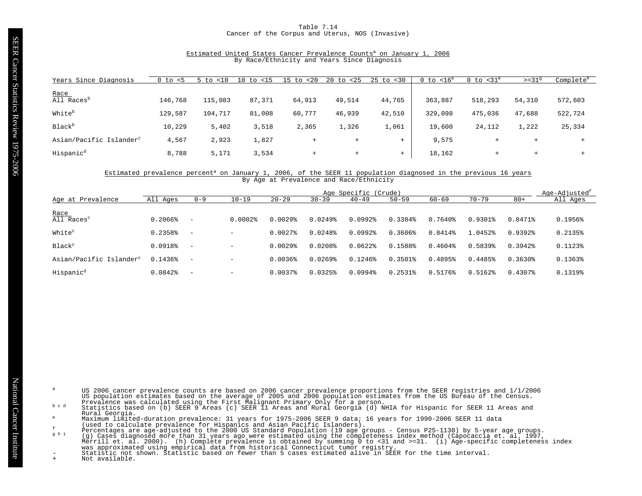# Table 7.14 Cancer of the Corpus and Uterus, NOS (Invasive)

#### Estimated United States Cancer Prevalence Counts<sup>a</sup> on January 1, 2006 By Race/Ethnicity and Years Since Diagnosis

| Years Since Diagnosis               | 0 to<br>- < 5 | < 10<br>5 to | $15$<br>LO.<br>to | $\perp$ 5<br>20<br>t.o | 20<br>< 25<br>to | $25$ to $< 30$ | $< 16^e$<br>0 to | $\leq 31^\circ$<br>to<br>0 | $>=319$ | Complete <sup>h</sup> |
|-------------------------------------|---------------|--------------|-------------------|------------------------|------------------|----------------|------------------|----------------------------|---------|-----------------------|
| Race                                |               |              |                   |                        |                  |                |                  |                            |         |                       |
| All Races <sup>b</sup>              | 146,768       | 115,083      | 87,371            | 64,913                 | 49,514           | 44,765         | 363,887          | 518,293                    | 54,310  | 572,603               |
| White <sup>b</sup>                  | 129,587       | 104,717      | 81,008            | 60,777                 | 46,939           | 42,510         | 329,098          | 475,036                    | 47,688  | 522,724               |
| Black <sup>b</sup>                  | 10,229        | 5,402        | 3,518             | 2,365                  | 1,326            | 1,061          | 19,600           | 24,112                     | 1,222   | 25,334                |
| Asian/Pacific Islander <sup>c</sup> | 4,567         | 2,923        | 1,827             | $+$                    | $^{+}$           | $+$            | 9,575            |                            | $+$     |                       |
| Hispanic <sup>d</sup>               | 8,788         | 5,171        | 3,534             | $+$                    | $^{+}$           | $^{+}$         | 18,162           | $+$                        | $+$     |                       |

#### Estimated prevalence percent<sup>a</sup> on January 1, 2006, of the SEER 11 population diagnosed in the previous 16 years By Age at Prevalence and Race/Ethnicity

|                                     | Age-Adjusted <sup>t</sup><br>Age Specific (Crude) |                          |              |                       |                       |              |                       |              |           |              |          |
|-------------------------------------|---------------------------------------------------|--------------------------|--------------|-----------------------|-----------------------|--------------|-----------------------|--------------|-----------|--------------|----------|
| Age at Prevalence                   | All Ages                                          | $0 - 9$                  | $10 - 19$    | $20 - 29$             | $30 - 39$             | $40 - 49$    | $50 - 59$             | $60 - 69$    | $70 - 79$ | $80+$        | All Ages |
| $Race$<br>All Races <sup>c</sup>    | 0.2066%                                           | $\overline{\phantom{m}}$ | $0.0002$ $8$ | $0.0029$ $8$          | $0.0249$ <sup>8</sup> | $0.0992$ $%$ | 0.3384%               | $0.7640$ $%$ | $0.9301\$ | 0.8471%      | 0.1956%  |
| White <sup>c</sup>                  | 0.2358%                                           | $\overline{\phantom{a}}$ | -            | $0.0027$ $%$          | 0.0248%               | $0.0992$ $%$ | 0.3606%               | 0.8414%      | 1.0452%   | 0.9392       | 0.2135%  |
| Black <sup>c</sup>                  | 0.0918%                                           | $\overline{\phantom{m}}$ | -            | $0.0029$ $8$          | $0.0208$ <sup>8</sup> | $0.0622$ $%$ | 0.1588%               | $0.4604\$    | 0.5839%   | 0.3942       | 0.1123%  |
| Asian/Pacific Islander <sup>c</sup> | 0.1436%                                           |                          | -            | $0.0036$ <sup>8</sup> | $0.0269$ <sup>8</sup> | 0.1246%      | $0.3501$ <sup>8</sup> | 0.4895%      | 0.4485%   | 0.3630%      | 0.1363%  |
| Hispanic <sup>d</sup>               | $0.0842$ $%$                                      | $\overline{\phantom{m}}$ | -            | $0.0037$ $%$          | $0.0325$ $%$          | $0.0994$ $%$ | $0.2531$ $8$          | 0.5176%      | 0.5162%   | $0.4307$ $%$ | 0.1319%  |

- US 2006 cancer prevalence counts are based on 2006 cancer prevalence proportions from the SEER registries and 1/1/2006<br>US population estimates based on the average of 2005 and 2006 population estimates from the US Bureau o
- Rural Georgia.
- 
- 
- Maximum limited-duration prevalence: 31 years for 1975-2006 SEER 9 data; 16 years for 1990-2006 SEER 11 data<br>
(used to claculate prevalence for Hispanics and Asian Pacific Islanders).<br>
Percentages are age-adjusted to the 2
	-
-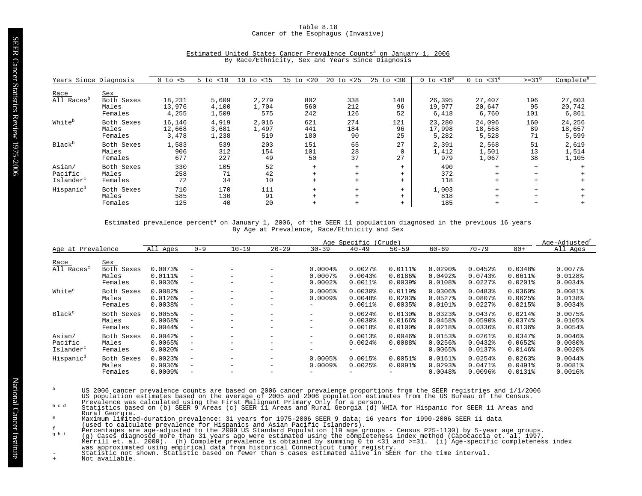# Table 8.18 Cancer of the Esophagus (Invasive)

| Years Since Diagnosis                      |                                       | $<$ 5<br>0 to             | < 10<br>5 to            | $10$ to $\langle 15$  | < 20<br>$15$ to   | 20 to<br>< 25     | $25$ to $< 30$       | $16^e$<br>0 to            | $0$ to $<$ 31 $^{\circ}$  | $>=319$           | Complete <sup>h</sup>     |
|--------------------------------------------|---------------------------------------|---------------------------|-------------------------|-----------------------|-------------------|-------------------|----------------------|---------------------------|---------------------------|-------------------|---------------------------|
| Race<br>All Races <sup>p</sup>             | Sex<br>Both Sexes<br>Males<br>Females | 18,231<br>13,976<br>4,255 | 5,609<br>4,100<br>1,509 | 2,279<br>1,704<br>575 | 802<br>560<br>242 | 338<br>212<br>126 | 148<br>96<br>52      | 26,395<br>19,977<br>6,418 | 27,407<br>20,647<br>6,760 | 196<br>95<br>101  | 27,603<br>20,742<br>6,861 |
| White <sup>b</sup>                         | Both Sexes<br>Males<br>Females        | 16,146<br>12,668<br>3,478 | 4,919<br>3,681<br>1,238 | 2,016<br>1,497<br>519 | 621<br>441<br>180 | 274<br>184<br>90  | 121<br>96<br>25      | 23,280<br>17,998<br>5,282 | 24,096<br>18,568<br>5,528 | 160<br>89<br>71   | 24,256<br>18,657<br>5,599 |
| Black <sup>b</sup>                         | Both Sexes<br>Males<br>Females        | 1,583<br>906<br>677       | 539<br>312<br>227       | 203<br>154<br>49      | 151<br>101<br>50  | 65<br>28<br>37    | 27<br>$\Omega$<br>27 | 2,391<br>1,412<br>979     | 2,568<br>1,501<br>1,067   | 51<br>13<br>38    | 2,619<br>1,514<br>1,105   |
| Asian/<br>Pacific<br>Islander <sup>c</sup> | Both Sexes<br>Males<br>Females        | 330<br>258<br>72          | 105<br>71<br>34         | 52<br>42<br>10        | $+$<br>$+$        | $+$<br>$+$<br>$+$ | $+$<br>$+$<br>$+$    | 490<br>372<br>118         | $+$<br>$+$<br>$+$         | $+$<br>$+$<br>$+$ |                           |
| Hispanic <sup>d</sup>                      | Both Sexes<br>Males<br>Females        | 710<br>585<br>125         | 170<br>130<br>40        | 111<br>91<br>20       |                   | $+$<br>$+$        | $+$<br>$+$<br>$+$    | 1,003<br>818<br>185       | $+$<br>$+$<br>$+$         | $+$               |                           |

# Estimated United States Cancer Prevalence Counts<sup>a</sup> on January 1, 2006 By Race/Ethnicity, Sex and Years Since Diagnosis

# Estimated prevalence percent<sup>a</sup> on January 1, 2006, of the SEER 11 population diagnosed in the previous 16 years By Age at Prevalence, Race/Ethnicity and Sex

|                                            |                                   | Age Specific (Crude)                                                    |                                                                                  |                                                                                  |                                                                                      |                                  |                                                                 |                                                   |                                               | Age-Adjusted <sup>f</sup>                                      |                                                  |                                                                |
|--------------------------------------------|-----------------------------------|-------------------------------------------------------------------------|----------------------------------------------------------------------------------|----------------------------------------------------------------------------------|--------------------------------------------------------------------------------------|----------------------------------|-----------------------------------------------------------------|---------------------------------------------------|-----------------------------------------------|----------------------------------------------------------------|--------------------------------------------------|----------------------------------------------------------------|
| Age at Prevalence                          |                                   | All Ages                                                                | $0 - 9$                                                                          | $10 - 19$                                                                        | $20 - 29$                                                                            | $30 - 39$                        | $40 - 49$                                                       | $50 - 59$                                         | $60 - 69$                                     | $70 - 79$                                                      | $80+$                                            | All Ages                                                       |
| Race<br>All Races <sup>c</sup>             | <u>Sex</u><br>Both Sexes<br>Males | 0.0073<br>0.0111%                                                       | $\overline{\phantom{a}}$<br>$\qquad \qquad -$                                    | $\overline{\phantom{m}}$                                                         | -<br>$\overline{\phantom{0}}$                                                        | $0.0004$ $%$<br>$0.0007$ $8$     | $0.0027$ $8$<br>$0.0043$ <sup>8</sup>                           | 0.0111%<br>0.0186%                                | $0.0290$ <sup>8</sup><br>0.0492               | 0.0452<br>$0.0743$ <sup>8</sup>                                | 0.0348%<br>$0.0611$ $%$                          | $0.0077$ %<br>0.0128%                                          |
|                                            | Females                           | $0.0036$ <sup>8</sup>                                                   | $\overline{\phantom{a}}$                                                         |                                                                                  | -                                                                                    | $0.0002$ $%$                     | $0.0011$ %                                                      | $0.0039$ $%$                                      | $0.0108$ <sup>\$</sup>                        | $0.0227$ $8$                                                   | $0.0201$ $8$                                     | $0.0034$ $%$                                                   |
| White <sup>c</sup>                         | Both Sexes<br>Males<br>Females    | $0.0082$ $% 0.0082$<br>$0.0126$ <sup>2</sup><br>$0.0038$ <sup>\$</sup>  | $\equiv$<br>$\qquad \qquad -$<br>$\overline{\phantom{m}}$                        | $\overline{\phantom{m}}$                                                         | $\overline{\phantom{0}}$<br>$\qquad \qquad \blacksquare$<br>$\overline{\phantom{0}}$ | 0.0005%<br>$0.0009$ <sup>8</sup> | $0.0030$ <sup>§</sup><br>0.0048<br>$0.0011$ %                   | 0.0119%<br>0.02038<br>0.0035%                     | 0.0306%<br>$0.0527$ $%$<br>$0.0101$ %         | 0.0483%<br>$0.0807$ %<br>$0.0227$ $8$                          | $0.0360$ $%$<br>0.0625%<br>$0.0215$ $%$          | 0.0081%<br>0.0138%<br>$0.0034$ $%$                             |
| Black <sup>c</sup>                         | Both Sexes<br>Males<br>Females    | 0.0055%<br>0.0068<br>$0.0044$ $%$                                       | $\overline{\phantom{a}}$<br>$\overline{\phantom{m}}$<br>$\overline{\phantom{m}}$ | $\overline{\phantom{m}}$<br>$\overline{\phantom{m}}$<br>$\overline{\phantom{m}}$ | -<br>$\qquad \qquad \blacksquare$<br>-                                               | -<br>-<br>-                      | $0.0024$ $%$<br>$0.0030$ <sup>§</sup><br>$0.0018$ <sup>\$</sup> | $0.0130$ <sup>*</sup><br>$0.0166$ %<br>$0.0100$ % | 0.0323%<br>0.0458<br>0.0218%                  | $0.0437$ $%$<br>$0.0590$ <sup>8</sup><br>$0.0336$ <sup>8</sup> | 0.0214<br>0.0374%<br>$0.0136$ <sup>8</sup>       | 0.0075%<br>0.0105%<br>$0.0054$ <sup>8</sup>                    |
| Asian/<br>Pacific<br>Islander <sup>c</sup> | Both Sexes<br>Males<br>Females    | $0.0042$ $%$<br>0.0065%<br>$0.0020$ $%$                                 | $\overline{\phantom{m}}$<br>$\overline{\phantom{0}}$<br>$\overline{\phantom{m}}$ | $\overline{\phantom{m}}$<br>$\overline{\phantom{m}}$                             | $\overline{\phantom{0}}$<br>$\qquad \qquad \blacksquare$<br>-                        | -<br>-<br>-                      | $0.0013$ <sup>8</sup><br>$0.0024$ $%$<br>$-$                    | $0.0046$ <sup>8</sup><br>0.0088%                  | 0.0153%<br>$0.0256$ <sup>8</sup><br>0.0065%   | $0.0261$ $%$<br>0.0432<br>0.01378                              | 0.0347%<br>0.0652%<br>0.0146%                    | $0.0046$ <sup>2</sup><br>$0.0080$ <sup>8</sup><br>$0.0020$ $%$ |
| Hispanic <sup>d</sup>                      | Both Sexes<br>Males<br>Females    | $0.0023$ <sup>8</sup><br>$0.0036$ <sup>8</sup><br>$0.0009$ <sup>8</sup> | $\overline{\phantom{m}}$<br>$\qquad \qquad -$<br>$\overline{\phantom{m}}$        | $\overline{\phantom{m}}$<br>$-$                                                  | -<br>$\overline{\phantom{0}}$<br>$\overline{\phantom{0}}$                            | 0.0005%<br>$0.0009$ <sup>8</sup> | 0.0015%<br>0.0025%                                              | 0.0051%<br>$0.0091$ $%$                           | $0.0161$ %<br>$0.0293$ <sup>8</sup><br>0.0048 | 0.0254%<br>$0.0471$ %<br>$0.0096$ <sup>2</sup>                 | $0.0263$ <sup>8</sup><br>$0.0491$ $%$<br>0.0131% | $0.0044$ $%$<br>0.0081%<br>$0.0016$ $%$                        |

- US 2006 cancer prevalence counts are based on 2006 cancer prevalence proportions from the SEER registries and 1/1/2006<br>US population estimates based on the average of 2005 and 2006 population estimates from the US Bureau o
- Rural Georgia.
- 
- 
- 
- Maximum limited-duration prevalence: 31 years for 1975-2006 SEER 9 data; 16 years for 1990-2006 SEER 11 data<br>
(used to claculate prevalence for Hispanics and Asian Pacific Islanders).<br>
Percentages are age-adjusted to the 2
-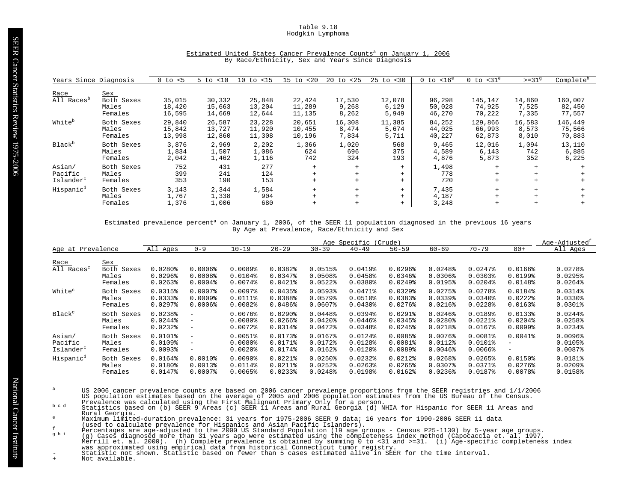# Table 9.18 Hodgkin Lymphoma

| Years Since Diagnosis                      |                                | $0$ to $< 5$               | < 10<br>$5$ to             | 10<br>to <15               | < 20<br>$15$ to            | 20<br>to <25             | $25$ to<br>$<$ 30        | $0$ to $< 16^e$            | $0$ to $<$ 31 $^{\circ}$    | $>=31^9$                 | Complete <sup>h</sup>       |
|--------------------------------------------|--------------------------------|----------------------------|----------------------------|----------------------------|----------------------------|--------------------------|--------------------------|----------------------------|-----------------------------|--------------------------|-----------------------------|
| Race                                       | <b>Sex</b>                     |                            |                            |                            |                            |                          |                          |                            |                             |                          |                             |
| All Races <sup>p</sup>                     | Both Sexes<br>Males<br>Females | 35,015<br>18,420<br>16,595 | 30,332<br>15,663<br>14,669 | 25,848<br>13,204<br>12,644 | 22,424<br>11,289<br>11,135 | 17,530<br>9,268<br>8,262 | 12,078<br>6,129<br>5,949 | 96,298<br>50,028<br>46,270 | 145,147<br>74,925<br>70,222 | 14,860<br>7,525<br>7,335 | 160,007<br>82,450<br>77,557 |
| White <sup>b</sup>                         | Both Sexes<br>Males<br>Females | 29,840<br>15,842<br>13,998 | 26,587<br>13,727<br>12,860 | 23,228<br>11,920<br>11,308 | 20,651<br>10,455<br>10,196 | 16,308<br>8,474<br>7,834 | 11,385<br>5,674<br>5,711 | 84,252<br>44,025<br>40,227 | 129,866<br>66,993<br>62,873 | 16,583<br>8,573<br>8,010 | 146,449<br>75,566<br>70,883 |
| <b>Black</b> <sup>b</sup>                  | Both Sexes<br>Males<br>Females | 3,876<br>1,834<br>2,042    | 2,969<br>1,507<br>1,462    | 2,202<br>1,086<br>1,116    | 1,366<br>624<br>742        | 1,020<br>696<br>324      | 568<br>375<br>193        | 9,465<br>4,589<br>4,876    | 12,016<br>6,143<br>5,873    | 1,094<br>742<br>352      | 13,110<br>6,885<br>6,225    |
| Asian/<br>Pacific<br>Islander <sup>c</sup> | Both Sexes<br>Males<br>Females | 752<br>399<br>353          | 431<br>241<br>190          | 277<br>124<br>153          | $+$<br>$+$<br>$+$          | $+$<br>$+$<br>$+$        | $+$<br>$+$<br>$^{+}$     | 1,498<br>778<br>720        | $+$                         | $+$<br>$+$<br>$+$        |                             |
| Hispanic <sup>d</sup>                      | Both Sexes<br>Males<br>Females | 3,143<br>1,767<br>1,376    | 2,344<br>1,338<br>1,006    | 1,584<br>904<br>680        | $+$<br>$+$<br>$^{+}$       | $+$<br>$+$<br>$\ddot{}$  | $+$<br>$+$<br>$+$        | 7,435<br>4,187<br>3,248    | $+$<br>$\ddot{}$            | $+$                      |                             |

# Estimated United States Cancer Prevalence Counts<sup>a</sup> on January 1, 2006 By Race/Ethnicity, Sex and Years Since Diagnosis

#### Estimated prevalence percent<sup>a</sup> on January 1, 2006, of the SEER 11 population diagnosed in the previous 16 years By Age at Prevalence, Race/Ethnicity and Sex

|                                |                                              | Age Specific<br>(Crude)                                                 |                                              |                                 |                                    |                                   |                                            |                                                                         |                                                           | Age-Adjusted <sup>t</sup>               |                                  |                                   |
|--------------------------------|----------------------------------------------|-------------------------------------------------------------------------|----------------------------------------------|---------------------------------|------------------------------------|-----------------------------------|--------------------------------------------|-------------------------------------------------------------------------|-----------------------------------------------------------|-----------------------------------------|----------------------------------|-----------------------------------|
| Age at Prevalence              |                                              | All Ages                                                                | $0 - 9$                                      | $10 - 19$                       | $20 - 29$                          | $30 - 39$                         | $40 - 49$                                  | $50 - 59$                                                               | $60 - 69$                                                 | $70 - 79$                               | $80+$                            | All Ages                          |
| Race<br>All Races <sup>c</sup> | <u>Sex</u><br>Both Sexes<br>Males<br>Females | $0.0280$ <sup>*</sup><br>$0.0296$ <sup>8</sup><br>$0.0263$ <sup>8</sup> | $0.0006$ <sup>8</sup><br>0.0008<br>$0.0004\$ | 0.0089%<br>0.0104%<br>$0.0074\$ | 0.0382%<br>0.0347%<br>$0.0421$ $%$ | 0.0515%<br>0.0508<br>$0.0522$ $%$ | 0.0419%<br>0.0458<br>$0.0380$ <sup>8</sup> | $0.0296$ <sup>8</sup><br>$0.0346$ <sup>8</sup><br>$0.0249$ <sup>8</sup> | $0.0248$ <sup>*</sup><br>$0.0306$ <sup>8</sup><br>0.0195% | $0.0247$ $8$<br>0.03038<br>$0.0204$ $%$ | $0.0166$ %<br>0.0199%<br>0.0148% | 0.0278<br>0.0295%<br>$0.0264$ $%$ |
| White <sup>c</sup>             | Both Sexes                                   | 0.0315%                                                                 | $0.0007$ $8$                                 | 0.00978                         | 0.0435%                            | 0.0593%                           | 0.0471%                                    | 0.0329%                                                                 | 0.0275%                                                   | $0.0278$ <sup>8</sup>                   | 0.0184%                          | 0.0314%                           |
|                                | Males                                        | 0.0333%                                                                 | $0.0009$ <sup>s</sup>                        | $0.0111$ %                      | 0.0388%                            | $0.0579$ <sup>8</sup>             | $0.0510$ %                                 | 0.0383%                                                                 | $0.0339$ <sup>8</sup>                                     | $0.0340$ $8$                            | $0.0222$ $%$                     | $0.0330$ <sup>8</sup>             |
|                                | Females                                      | $0.0297$ $%$                                                            | $0.0006$ <sup>2</sup>                        | $0.0082$ $8$                    | $0.0486$ <sup>2</sup>              | $0.0607$ $8$                      | $0.0430$ $%$                               | 0.0276                                                                  | $0.0216$ <sup>8</sup>                                     | $0.0228$ <sup>*</sup>                   | $0.0163$ $8$                     | $0.0301$ $8$                      |
| Black <sup>c</sup>             | Both Sexes                                   | $0.0238$ <sup>*</sup>                                                   | $\overline{\phantom{0}}$                     | 0.0076%                         | $0.0290$ <sup>8</sup>              | $0.0448$ <sup>8</sup>             | 0.0394%                                    | $0.0291$ $%$                                                            | $0.0246$ <sup>8</sup>                                     | $0.0189$ <sup>8</sup>                   | 0.01338                          | $0.0244$ <sup>8</sup>             |
|                                | Males                                        | $0.0244$ <sup>8</sup>                                                   | -                                            | $0.0080$ $%$                    | $0.0266$ <sup>8</sup>              | $0.0420$ $%$                      | $0.0446$ <sup>8</sup>                      | 0.0345%                                                                 | $0.0280$ <sup>\$</sup>                                    | $0.0221$ $%$                            | $0.0204$ <sup>8</sup>            | 0.0258                            |
|                                | Females                                      | $0.0232$ $%$                                                            | $\overline{\phantom{a}}$                     | $0.0072$ $8$                    | 0.0314%                            | 0.0472                            | 0.0348%                                    | $0.0245$ <sup>8</sup>                                                   | $0.0218$ <sup>*</sup>                                     | $0.0167$ $%$                            | $0.0099$ $8$                     | $0.0234$ <sup>8</sup>             |
| Asian/                         | Both Sexes                                   | $0.0101$ %                                                              | $\overline{\phantom{a}}$                     | 0.0051%                         | 0.0173%                            | 0.0167%                           | 0.0124%                                    | 0.0085%                                                                 | $0.0076$ <sup>8</sup>                                     | $0.0081$ %                              | $0.0041$ %                       | $0.0096$ <sup>8</sup>             |
| Pacific                        | Males                                        | $0.0109$ %                                                              | $\overline{\phantom{m}}$                     | $0.0080$ $%$                    | 0.0171%                            | 0.0172%                           | $0.0128$ <sup>*</sup>                      | 0.0081%                                                                 | $0.0112$ $%$                                              | $0.0101$ %                              | $\overline{\phantom{0}}$         | 0.0105%                           |
| Islander <sup>c</sup>          | Females                                      | $0.0093$ <sup>8</sup>                                                   | $\overline{\phantom{m}}$                     | $0.0020$ $8$                    | 0.0174%                            | $0.0162$ $%$                      | $0.0120$ <sup>8</sup>                      | 0.0089%                                                                 | $0.0046$ $%$                                              | $0.0066$ $8$                            | $\overline{\phantom{m}}$         | $0.0087$ $8$                      |
| Hispanic <sup>d</sup>          | Both Sexes                                   | 0.0164%                                                                 | $0.0010$ <sup>8</sup>                        | $0.0090$ $%$                    | $0.0221$ $8$                       | $0.0250$ <sup>8</sup>             | 0.0232                                     | $0.0212$ $%$                                                            | 0.0268                                                    | $0.0265$ <sup>8</sup>                   | 0.0150%                          | $0.0181$ %                        |
|                                | Males                                        | $0.0180$ <sup>2</sup>                                                   | 0.00138                                      | $0.0114$ %                      | $0.0211$ %                         | $0.0252$ <sup>8</sup>             | $0.0263$ <sup>8</sup>                      | 0.0265%                                                                 | $0.0307$ $%$                                              | $0.0371$ %                              | $0.0276$ <sup>8</sup>            | $0.0209$ <sup>8</sup>             |
|                                | Females                                      | 0.0147%                                                                 | $0.0007$ $8$                                 | $0.0065$ $8$                    | 0.02338                            | 0.0248                            | 0.0198%                                    | $0.0162$ $% 0.0162$                                                     | $0.0236$ <sup>8</sup>                                     | 0.0187%                                 | 0.0078%                          | 0.0158%                           |

- US 2006 cancer prevalence counts are based on 2006 cancer prevalence proportions from the SEER registries and 1/1/2006<br>US population estimates based on the average of 2005 and 2006 population estimates from the US Bureau o
- Rural Georgia.
- 
- 
- 
- Maximum limited-duration prevalence: 31 years for 1975-2006 SEER 9 data; 16 years for 1990-2006 SEER 11 data<br>
(used to claculate prevalence for Hispanics and Asian Pacific Islanders).<br>
Percentages are age-adjusted to the 2
-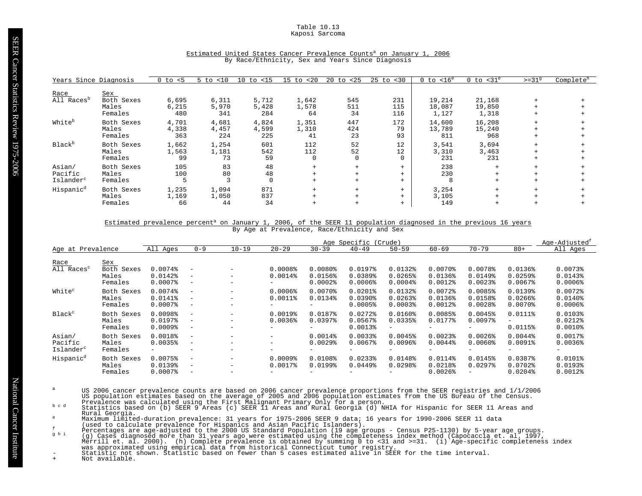Table 10.13 Kaposi Sarcoma

| Years Since Diagnosis  |            | $0$ to $< 5$ | $5$ to $< 10$ | $10$ to $\langle 15 \rangle$ | $15$ to $< 20$ | $20$ to $< 25$ | $25$ to $< 30$ | $0$ to $< 16^e$ | $0$ to $<$ 31 $^{\circ}$ | $>=319$ | Complete <sup>h</sup> |
|------------------------|------------|--------------|---------------|------------------------------|----------------|----------------|----------------|-----------------|--------------------------|---------|-----------------------|
| Race                   | <u>Sex</u> |              |               |                              |                |                |                |                 |                          |         |                       |
| All Races <sup>b</sup> | Both Sexes | 6,695        | 6,311         | 5,712                        | 1,642          | 545            | 231            | 19,214          | 21,168                   | $+$     |                       |
|                        | Males      | 6,215        | 5,970         | 5,428                        | 1,578          | 511            | 115            | 18,087          | 19,850                   |         |                       |
|                        | Females    | 480          | 341           | 284                          | 64             | 34             | 116            | 1,127           | 1,318                    |         |                       |
| White <sup>b</sup>     | Both Sexes | 4,701        | 4,681         | 4,824                        | 1,351          | 447            | 172            | 14,600          | 16,208                   | $+$     |                       |
|                        | Males      | 4,338        | 4,457         | 4,599                        | 1,310          | 424            | 79             | 13,789          | 15,240                   |         |                       |
|                        | Females    | 363          | 224           | 225                          | 41             | 23             | 93             | 811             | 968                      |         |                       |
| Black <sup>b</sup>     | Both Sexes | 1,662        | 1,254         | 601                          | 112            | 52             | 12             | 3,541           | 3,694                    | $+$     |                       |
|                        | Males      | 1,563        | 1,181         | 542                          | 112            | 52             | 12             | 3,310           | 3,463                    |         |                       |
|                        | Females    | 99           | 73            | 59                           | $\mathbf 0$    | $\mathbf 0$    | $\Omega$       | 231             | 231                      |         |                       |
| Asian/                 | Both Sexes | 105          | 83            | 48                           |                | $+$            | $+$            | 238             | $+$                      | $+$     |                       |
| Pacific                | Males      | 100          | 80            | 48                           |                | $+$            | $+$            | 230             |                          |         |                       |
| Islander <sup>c</sup>  | Females    | 5            |               | $\mathbf 0$                  |                | $+$            | $+$            | 8               | $+$                      |         |                       |
| Hispanic <sup>d</sup>  | Both Sexes | 1,235        | 1,094         | 871                          | $+$            | $+$            | $+$            | 3,254           | $+$                      |         |                       |
|                        | Males      | 1,169        | 1,050         | 837                          |                | $+$            | $+$            | 3,105           |                          |         |                       |
|                        | Females    | 66           | 44            | 34                           |                | $+$            | $+$            | 149             | $^{+}$                   |         |                       |

# Estimated United States Cancer Prevalence Counts<sup>a</sup> on January 1, 2006 By Race/Ethnicity, Sex and Years Since Diagnosis

# Estimated prevalence percent<sup>a</sup> on January 1, 2006, of the SEER 11 population diagnosed in the previous 16 years By Age at Prevalence, Race/Ethnicity and Sex

|                                            |                                              |                                         |                                                                                  |                                                      |                                                              |                                                  | Age Specific (Crude)                                  |                                                              |                                                                   |                                                                   |                                                                | Age-Adjusted <sup>1</sup>                                 |
|--------------------------------------------|----------------------------------------------|-----------------------------------------|----------------------------------------------------------------------------------|------------------------------------------------------|--------------------------------------------------------------|--------------------------------------------------|-------------------------------------------------------|--------------------------------------------------------------|-------------------------------------------------------------------|-------------------------------------------------------------------|----------------------------------------------------------------|-----------------------------------------------------------|
| Age at Prevalence                          |                                              | All Ages                                | $0 - 9$                                                                          | $10 - 19$                                            | $20 - 29$                                                    | $30 - 39$                                        | $40 - 49$                                             | $50 - 59$                                                    | $60 - 69$                                                         | $70 - 79$                                                         | $80+$                                                          | All Ages                                                  |
| Race<br>All Races <sup>c</sup>             | <u>Sex</u><br>Both Sexes<br>Males<br>Females | 0.0074%<br>$0.0142$ $%$<br>$0.0007$ $8$ | $\overline{\phantom{m}}$<br>$\overline{\phantom{m}}$<br>$-$                      | $\overline{\phantom{m}}$                             | 0.0008<br>$0.0014$ %                                         | $0.0080$ <sup>8</sup><br>0.0156%<br>$0.0002$ $%$ | 0.0197%<br>0.0389%<br>$0.0006$ <sup>8</sup>           | $0.0132$ $%$<br>0.0265%<br>$0.0004$ $8$                      | $0.0070$ $%$<br>$0.0136$ <sup>8</sup><br>$0.0012$ %               | 0.0078<br>$0.0149$ <sup>8</sup><br>$0.0023$ <sup>8</sup>          | 0.0136%<br>0.0259%<br>$0.0067$ $8$                             | $0.0073$ <sup>*</sup><br>0.01438<br>$0.0006$ <sup>8</sup> |
| White <sup>c</sup>                         | Both Sexes<br>Males<br>Females               | 0.0074%<br>$0.0141$ %<br>$0.0007$ $8$   | $\overline{\phantom{a}}$<br>$\qquad \qquad -$<br>$\overline{\phantom{m}}$        | $\overline{\phantom{m}}$                             | $0.0006$ <sup>8</sup><br>$0.0011$ %<br>-                     | $0.0070$ $%$<br>0.0134%<br>-                     | $0.0201$ $%$<br>$0.0390$ <sup>8</sup><br>$0.0005$ $8$ | 0.0132%<br>$0.0263$ <sup>8</sup><br>$0.0003$ <sup>8</sup>    | $0.0072$ $%$<br>$0.0136$ <sup>8</sup><br>$0.0012$ %               | 0.0085%<br>0.0158%<br>$0.0028$ <sup>\$</sup>                      | $0.0139$ <sup>8</sup><br>$0.0266$ <sup>8</sup><br>$0.0070$ $%$ | $0.0072$ $%$<br>$0.0140$ $8$<br>$0.0006$ $8$              |
| Black <sup>c</sup>                         | Both Sexes<br>Males<br>Females               | 0.0098%<br>$0.0197$ %<br>$0.0009$ $%$   | $\overline{\phantom{a}}$<br>$\qquad \qquad -$<br>$\overline{\phantom{m}}$        | $\overline{\phantom{m}}$<br>$\overline{\phantom{m}}$ | $0.0019$ <sup>8</sup><br>$0.0036$ <sup>8</sup><br>-          | $0.0187$ $%$<br>0.03978<br>-                     | $0.0272$ $%$<br>$0.0567$ $%$<br>$0.0013$ <sup>8</sup> | 0.0160%<br>$0.0335$ <sup>8</sup>                             | 0.0085%<br>0.0177%<br>$\qquad \qquad -$                           | 0.0045%<br>$0.0097$ $8$                                           | $0.0111$ %<br>$\overline{\phantom{0}}$<br>0.0115%              | 0.01038<br>$0.0212$ $%$<br>$0.0010$ $8$                   |
| Asian/<br>Pacific<br>Islander <sup>c</sup> | Both Sexes<br>Males<br>Females               | 0.0018%<br>0.0035%<br>$-$               | $\overline{\phantom{m}}$<br>$\overline{\phantom{m}}$<br>$\overline{\phantom{m}}$ | $\overline{\phantom{m}}$                             | $\qquad \qquad -$<br>$-$<br>-                                | $0.0014$ %<br>$0.0029$ <sup>8</sup><br>-         | 0.00338<br>$0.0067$ $8$<br>-                          | 0.0045%<br>$0.0096$ <sup>8</sup><br>$\overline{\phantom{0}}$ | $0.0023$ <sup>8</sup><br>$0.0044$ $%$<br>$\overline{\phantom{m}}$ | $0.0026$ <sup>2</sup><br>$0.0060$ $%$<br>$\overline{\phantom{0}}$ | 0.0044%<br>0.0091%<br>$\overline{\phantom{0}}$                 | $0.0017$ %<br>$0.0036$ <sup>2</sup><br>-                  |
| Hispanic <sup>d</sup>                      | Both Sexes<br>Males<br>Females               | 0.0075%<br>0.0139%<br>$0.0007$ $8$      | $\overline{\phantom{m}}$<br>$\qquad \qquad -$<br>$\overline{\phantom{m}}$        | $\overline{\phantom{m}}$<br>$\overline{\phantom{0}}$ | $0.0009$ <sup>8</sup><br>0.0017%<br>$\overline{\phantom{0}}$ | 0.0108%<br>$0.0199$ <sup>8</sup>                 | 0.02338<br>$0.0449$ <sup>8</sup>                      | 0.0148%<br>0.0298                                            | 0.0114%<br>$0.0218$ <sup>*</sup><br>$0.0026$ <sup>\$</sup>        | 0.0145%<br>$0.0297$ <sup>8</sup>                                  | 0.0387%<br>$0.0702$ $%$<br>$0.0204$ <sup>8</sup>               | $0.0101$ %<br>0.01938<br>$0.0012$ $8$                     |

- US 2006 cancer prevalence counts are based on 2006 cancer prevalence proportions from the SEER registries and 1/1/2006<br>US population estimates based on the average of 2005 and 2006 population estimates from the US Bureau o
- Rural Georgia.
- 
- 
- 
- Maximum limited-duration prevalence: 31 years for 1975-2006 SEER 9 data; 16 years for 1990-2006 SEER 11 data<br>
(used to claculate prevalence for Hispanics and Asian Pacific Islanders).<br>
Percentages are age-adjusted to the 2
-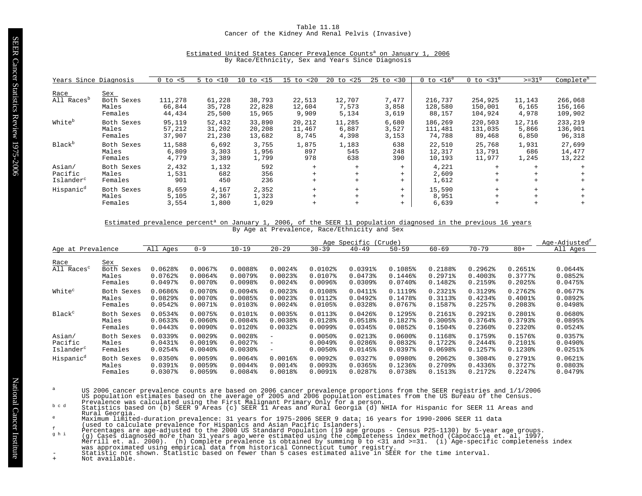# Table 11.18 Cancer of the Kidney And Renal Pelvis (Invasive)

| Years Since Diagnosis                      |                                       | $0$ to $< 5$                | < 10<br>5 to               | $10$ to $< 15$             | $15$ to $< 20$            | 20<br>to <25             | $25 \text{ to } < 30$   | $0$ to $< 16^e$              | $0$ to $<$ 31 $^{\circ}$      | $>=319$                  | Complete <sup>h</sup>         |
|--------------------------------------------|---------------------------------------|-----------------------------|----------------------------|----------------------------|---------------------------|--------------------------|-------------------------|------------------------------|-------------------------------|--------------------------|-------------------------------|
| Race<br>All Races <sup>b</sup>             | Sex<br>Both Sexes<br>Males<br>Females | 111,278<br>66,844<br>44,434 | 61,228<br>35,728<br>25,500 | 38,793<br>22,828<br>15,965 | 22,513<br>12,604<br>9,909 | 12,707<br>7,573<br>5,134 | 7,477<br>3,858<br>3,619 | 216,737<br>128,580<br>88,157 | 254,925<br>150,001<br>104,924 | 11,143<br>6,165<br>4,978 | 266,068<br>156,166<br>109,902 |
| White <sup>b</sup>                         | Both Sexes<br>Males<br>Females        | 95,119<br>57,212<br>37,907  | 52,432<br>31,202<br>21,230 | 33,890<br>20,208<br>13,682 | 20,212<br>11,467<br>8,745 | 11,285<br>6,887<br>4,398 | 6,680<br>3,527<br>3,153 | 186,269<br>111,481<br>74,788 | 220,503<br>131,035<br>89,468  | 12,716<br>5,866<br>6,850 | 233,219<br>136,901<br>96,318  |
| Black <sup>b</sup>                         | Both Sexes<br>Males<br>Females        | 11,588<br>6,809<br>4,779    | 6,692<br>3,303<br>3,389    | 3,755<br>1,956<br>1,799    | 1,875<br>897<br>978       | 1,183<br>545<br>638      | 638<br>248<br>390       | 22,510<br>12,317<br>10,193   | 25,768<br>13,791<br>11,977    | 1,931<br>686<br>1,245    | 27,699<br>14,477<br>13,222    |
| Asian/<br>Pacific<br>Islander <sup>c</sup> | Both Sexes<br>Males<br>Females        | 2,432<br>1,531<br>901       | 1,132<br>682<br>450        | 592<br>356<br>236          | $+$<br>$+$<br>$+$         | $+$<br>$+$<br>$+$        | $+$<br>$+$<br>$+$       | 4,221<br>2,609<br>1,612      | $+$<br>$+$<br>$+$             | $+$<br>$+$               |                               |
| Hispanic <sup>d</sup>                      | Both Sexes<br>Males<br>Females        | 8,659<br>5,105<br>3,554     | 4,167<br>2,367<br>1,800    | 2,352<br>1,323<br>1,029    | $+$<br>$+$<br>$^{+}$      | $+$                      | $+$<br>$+$<br>$+$       | 15,590<br>8,951<br>6,639     | $+$<br>$+$<br>$+$             | $+$<br>$+$               |                               |

#### Estimated United States Cancer Prevalence Counts<sup>a</sup> on January 1, 2006 By Race/Ethnicity, Sex and Years Since Diagnosis

#### Estimated prevalence percent<sup>a</sup> on January 1, 2006, of the SEER 11 population diagnosed in the previous 16 years By Age at Prevalence, Race/Ethnicity and Sex

|                                |                                       |                                  |                                              |                                   |                                                       |                                                  | Age Specific                                              | (Crude)                                     |                                    |                                                          |                                         | Age-Adjusted <sup>t</sup>         |
|--------------------------------|---------------------------------------|----------------------------------|----------------------------------------------|-----------------------------------|-------------------------------------------------------|--------------------------------------------------|-----------------------------------------------------------|---------------------------------------------|------------------------------------|----------------------------------------------------------|-----------------------------------------|-----------------------------------|
| Age at Prevalence              |                                       | All Ages                         | $0 - 9$                                      | $10 - 19$                         | $20 - 29$                                             | $30 - 39$                                        | $40 - 49$                                                 | $50 - 59$                                   | $60 - 69$                          | $70 - 79$                                                | $80+$                                   | All Ages                          |
| Race<br>All Races <sup>c</sup> | Sex<br>Both Sexes<br>Males<br>Females | 0.0628<br>0.0762<br>$0.0497$ $%$ | $0.0067$ $8$<br>$0.0064$ $%$<br>$0.0070$ $8$ | 0.0088%<br>$0.0079$ $8$<br>0.0098 | $0.0024$ $%$<br>$0.0023$ <sup>8</sup><br>$0.0024$ $8$ | $0.0102$ $%$<br>0.0107%<br>$0.0096$ <sup>8</sup> | 0.03918<br>$0.0473$ <sup>8</sup><br>$0.0309$ <sup>8</sup> | 0.1085%<br>0.1446%<br>$0.0740$ <sup>8</sup> | 0.2188%<br>$0.2971$ $%$<br>0.1482% | 0.2962<br>$0.4003$ <sup>8</sup><br>$0.2159$ <sup>8</sup> | $0.2651$ $%$<br>0.3777%<br>$0.2025$ $%$ | 0.0644%<br>0.0852<br>$0.0475$ $%$ |
| White <sup>c</sup>             | Both Sexes                            | 0.0686%                          | $0.0070$ <sup>8</sup>                        | 0.0094%                           | $0.0023$ <sup>8</sup>                                 | 0.0108%                                          | 0.0411%                                                   | 0.1119%                                     | $0.2321$ $8$                       | $0.3129$ <sup>8</sup>                                    | 0.2762                                  | $0.0677$ $8$                      |
|                                | Males                                 | $0.0829$ <sup>*</sup>            | $0.0070$ <sup>8</sup>                        | 0.0085%                           | $0.0023$ <sup>8</sup>                                 | 0.0112%                                          | $0.0492$ <sup>8</sup>                                     | 0.1478%                                     | 0.3113%                            | $0.4234$ <sup>8</sup>                                    | $0.4001$ $%$                            | 0.0892                            |
|                                | Females                               | $0.0542$ $%$                     | $0.0071$ %                                   | 0.01038                           | $0.0024$ $8$                                          | 0.0105%                                          | 0.0328%                                                   | $0.0767$ $%$                                | 0.1587%                            | $0.2257$ $%$                                             | 0.2083%                                 | 0.0498%                           |
| Black <sup>c</sup>             | Both Sexes                            | 0.0534%                          | 0.0075%                                      | $0.0101$ %                        | 0.0035%                                               | 0.0113%                                          | $0.0426$ <sup>8</sup>                                     | 0.1295%                                     | $0.2161$ $%$                       | $0.2921$ $%$                                             | 0.2801%                                 | $0.0680$ $%$                      |
|                                | Males                                 | $0.0633$ <sup>8</sup>            | $0.0060$ $%$                                 | 0.0084%                           | $0.0038$ <sup>8</sup>                                 | 0.0128%                                          | 0.0518%                                                   | 0.1827%                                     | 0.3005%                            | $0.3764$ <sup>8</sup>                                    | 0.3793%                                 | $0.0895$ <sup>*</sup>             |
|                                | Females                               | 0.0443                           | $0.0090$ <sup>8</sup>                        | $0.0120$ $8$                      | $0.0032$ $8$                                          | $0.0099$ $8$                                     | 0.0345%                                                   | 0.0852                                      | $0.1504\$                          | $0.2360$ $8$                                             | $0.2320$ $8$                            | $0.0524$ $%$                      |
| Asian/                         | Both Sexes                            | $0.0339$ <sup>*</sup>            | $0.0029$ <sup>8</sup>                        | 0.0028                            | $\overline{\phantom{a}}$                              | $0.0050$ <sup>8</sup>                            | 0.0213%                                                   | $0.0600$ $%$                                | 0.1168%                            | $0.1759$ <sup>8</sup>                                    | 0.1576%                                 | 0.0357%                           |
| Pacific                        | Males                                 | $0.0431$ $%$                     | 0.0019%                                      | $0.0027$ $8$                      | $\qquad \qquad -$                                     | $0.0049$ <sup>8</sup>                            | $0.0286$ <sup>8</sup>                                     | 0.0832                                      | 0.1722%                            | $0.2444$ <sup>8</sup>                                    | 0.2101%                                 | $0.0490$ <sup>8</sup>             |
| Islander <sup>c</sup>          | Females                               | $0.0254$ <sup>8</sup>            | $0.0040$ <sup>8</sup>                        | $0.0030$ <sup>*</sup>             | $\overline{\phantom{m}}$                              | $0.0050$ <sup>§</sup>                            | $0.0145$ <sup>8</sup>                                     | $0.0397$ $%$                                | 0.0698                             | $0.1257$ $%$                                             | $0.1230$ $%$                            | $0.0251$ %                        |
| Hispanic <sup>d</sup>          | Both Sexes                            | 0.0350%                          | 0.0059%                                      | 0.0064%                           | $0.0016$ <sup>8</sup>                                 | $0.0092$ $%$                                     | $0.0327$ %                                                | $0.0980$ <sup>8</sup>                       | $0.2062$ <sup>8</sup>              | 0.3084%                                                  | $0.2791$ $%$                            | $0.0621$ $%$                      |
|                                | Males                                 | $0.0391$ $%$                     | 0.0059%                                      | $0.0044$ $%$                      | $0.0014$ %                                            | 0.00938                                          | 0.0365%                                                   | 0.1236%                                     | $0.2709$ <sup>8</sup>              | $0.4336$ <sup>8</sup>                                    | 0.3727%                                 | $0.0803$ <sup>8</sup>             |
|                                | Females                               | $0.0307$ $8$                     | $0.0059$ <sup>8</sup>                        | $0.0084\$                         | 0.0018                                                | 0.00918                                          | $0.0287$ %                                                | 0.0738%                                     | 0.1513%                            | 0.2172%                                                  | $0.2247$ $8$                            | $0.0479$ $%$                      |

- US 2006 cancer prevalence counts are based on 2006 cancer prevalence proportions from the SEER registries and 1/1/2006<br>US population estimates based on the average of 2005 and 2006 population estimates from the US Bureau o
- Rural Georgia.
- 
- 
- 
- Maximum limited-duration prevalence: 31 years for 1975-2006 SEER 9 data; 16 years for 1990-2006 SEER 11 data<br>
(used to claculate prevalence for Hispanics and Asian Pacific Islanders).<br>
Percentages are age-adjusted to the 2
-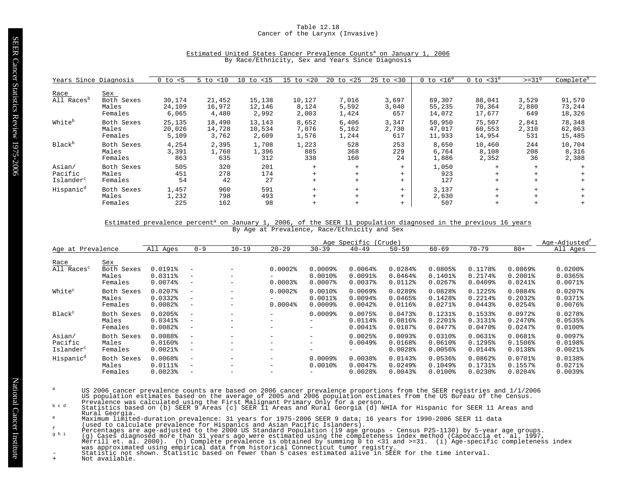# Table 12.18 Cancer of the Larynx (Invasive)

| Years Since Diagnosis                      |                                       | $0$ to $< 5$              | <10<br>$5$ to             | $10$ to $\langle 15 \rangle$ | < 20<br>$15$ to          | 20<br>< 25<br>to        | $25$ to $< 30$        | $< 16^e$<br>0 to           | $0$ to $<$ 31 $^e$         | $>=319$               | Complete <sup>h</sup>      |
|--------------------------------------------|---------------------------------------|---------------------------|---------------------------|------------------------------|--------------------------|-------------------------|-----------------------|----------------------------|----------------------------|-----------------------|----------------------------|
| Race<br>All Races <sup>p</sup>             | Sex<br>Both Sexes<br>Males<br>Females | 30,174<br>24,109<br>6,065 | 21,452<br>16,972<br>4,480 | 15,138<br>12,146<br>2,992    | 10,127<br>8,124<br>2,003 | 7,016<br>5,592<br>1,424 | 3,697<br>3,040<br>657 | 69,307<br>55,235<br>14,072 | 88,041<br>70,364<br>17,677 | 3,529<br>2,880<br>649 | 91,570<br>73,244<br>18,326 |
| White <sup>b</sup>                         | Both Sexes<br>Males<br>Females        | 25,135<br>20,026<br>5,109 | 18,490<br>14,728<br>3,762 | 13,143<br>10,534<br>2,609    | 8,652<br>7,076<br>1,576  | 6,406<br>5,162<br>1,244 | 3,347<br>2,730<br>617 | 58,950<br>47,017<br>11,933 | 75,507<br>60,553<br>14,954 | 2,841<br>2,310<br>531 | 78,348<br>62,863<br>15,485 |
| Black <sup>b</sup>                         | Both Sexes<br>Males<br>Females        | 4,254<br>3,391<br>863     | 2,395<br>1,760<br>635     | 1,708<br>1,396<br>312        | 1,223<br>885<br>338      | 528<br>368<br>160       | 253<br>229<br>24      | 8,650<br>6,764<br>1,886    | 10,460<br>8,108<br>2,352   | 244<br>208<br>36      | 10,704<br>8,316<br>2,388   |
| Asian/<br>Pacific<br>Islander <sup>c</sup> | Both Sexes<br>Males<br>Females        | 505<br>451<br>54          | 320<br>278<br>42          | 201<br>174<br>27             | $+$<br>$+$<br>$+$        | $+$<br>$+$<br>$+$       | $+$<br>$+$<br>$+$     | 1,050<br>923<br>127        | $+$<br>$+$<br>$+$          |                       |                            |
| Hispanic <sup>d</sup>                      | Both Sexes<br>Males<br>Females        | 1,457<br>1,232<br>225     | 960<br>798<br>162         | 591<br>493<br>98             | $+$<br>$+$               | $+$<br>$+$              | $+$<br>$+$<br>$+$     | 3,137<br>2,630<br>507      | $+$<br>$+$<br>$+$          |                       |                            |

# Estimated United States Cancer Prevalence Counts<sup>a</sup> on January 1, 2006 By Race/Ethnicity, Sex and Years Since Diagnosis

# Estimated prevalence percent<sup>a</sup> on January 1, 2006, of the SEER 11 population diagnosed in the previous 16 years By Age at Prevalence, Race/Ethnicity and Sex

|                                            |                                                 |                                                     |                                                                                  |                                                                                  |                                                                                      |                                                     | Age Specific (Crude)                             |                                                           |                                                     |                                                                |                                                        | Age-Adjusted <sup>t</sup>                                      |
|--------------------------------------------|-------------------------------------------------|-----------------------------------------------------|----------------------------------------------------------------------------------|----------------------------------------------------------------------------------|--------------------------------------------------------------------------------------|-----------------------------------------------------|--------------------------------------------------|-----------------------------------------------------------|-----------------------------------------------------|----------------------------------------------------------------|--------------------------------------------------------|----------------------------------------------------------------|
| Age at Prevalence                          |                                                 | All Ages                                            | $0 - 9$                                                                          | $10 - 19$                                                                        | $20 - 29$                                                                            | $30 - 39$                                           | $40 - 49$                                        | $50 - 59$                                                 | $60 - 69$                                           | $70 - 79$                                                      | $80+$                                                  | All Ages                                                       |
| Race<br>$\overline{Al}$ Races <sup>c</sup> | <u>Sex</u><br>Both<br>Sexes<br>Males<br>Females | 0.0191%<br>0.0311%<br>$0.0074$ $8$                  | $\overline{\phantom{a}}$<br>$\overline{\phantom{m}}$<br>$\overline{\phantom{m}}$ | $\overline{\phantom{m}}$<br>$\overline{\phantom{m}}$<br>$\qquad \qquad -$        | $0.0002$ $%$<br>$0.0003$ <sup>8</sup>                                                | $0.0009$ <sup>8</sup><br>$0.0010$ %<br>$0.0007$ $8$ | $0.0064$ $%$<br>$0.0091$ $8$<br>$0.0037$ $8$     | 0.0284%<br>$0.0464\%$<br>0.0112%                          | 0.0805%<br>$0.1401$ $%$<br>$0.0267$ $%$             | 0.1178%<br>$0.2174$ <sup>8</sup><br>$0.0409$ <sup>8</sup>      | $0.0869$ <sup>\$</sup><br>$0.2001$ $8$<br>$0.0241$ $8$ | $0.0200$ $%$<br>0.0365%<br>$0.0071$ %                          |
| White <sup>c</sup>                         | Both Sexes<br>Males<br>Females                  | $0.0207$ $8$<br>$0.0332$ $%$<br>$0.0082$ $% 0.0082$ | $\overline{\phantom{a}}$<br>$\overline{\phantom{m}}$<br>$\overline{\phantom{m}}$ | $\overline{\phantom{m}}$<br>$\overline{\phantom{m}}$<br>$\overline{\phantom{m}}$ | $0.0002$ $%$<br>$0.0004$ $%$                                                         | $0.0010$ %<br>$0.0011$ %<br>$0.0009$ <sup>\$</sup>  | $0.0069$ <sup>8</sup><br>0.0094%<br>$0.0042$ $%$ | 0.0289%<br>0.0465%<br>0.0116%                             | 0.0828%<br>0.1428%<br>$0.0271$ %                    | $0.1225$ <sup>8</sup><br>$0.2214$ $%$<br>$0.0443$ <sup>8</sup> | 0.0884%<br>0.2032%<br>$0.0254$ <sup>8</sup>            | $0.0207$ %<br>$0.0371$ %<br>$0.0076$ <sup>8</sup>              |
| Black <sup>c</sup>                         | Both Sexes<br>Males<br>Females                  | 0.0205%<br>$0.0341$ $%$<br>$0.0082$ $% 0.0082$      | $\overline{\phantom{a}}$<br>$\overline{\phantom{m}}$<br>$\overline{\phantom{m}}$ | $\overline{\phantom{m}}$<br>$\overline{\phantom{m}}$                             | $\overline{\phantom{0}}$<br>$\overline{\phantom{0}}$<br>-                            | 0.0009%<br>-                                        | 0.0075%<br>0.0114%<br>$0.0041$ %                 | 0.0473%<br>0.0816%<br>0.0187%                             | $0.1231$ $%$<br>$0.2201$ $%$<br>$0.0477$ %          | 0.1533%<br>0.31318<br>$0.0470$ $8$                             | 0.0972%<br>$0.2470$ $%$<br>$0.0247$ $8$                | $0.0278$ <sup>*</sup><br>$0.0535$ <sup>8</sup><br>$0.0100$ $8$ |
| Asian/<br>Pacific<br>Islander <sup>c</sup> | Both Sexes<br>Males<br>Females                  | 0.0088%<br>$0.0160$ $%$<br>$0.0021$ %               | $\overline{\phantom{a}}$<br>$\overline{\phantom{a}}$<br>$\overline{\phantom{m}}$ | $\overline{\phantom{0}}$<br>$\overline{\phantom{m}}$                             | $\qquad \qquad -$<br>-<br>$\overline{\phantom{0}}$                                   | -<br>-<br>-                                         | 0.0025%<br>$0.0049$ <sup>8</sup><br>-            | 0.0093%<br>0.0168%<br>$0.0028$ <sup>\$</sup>              | $0.0310$ $%$<br>$0.0610$ %<br>$0.0056$ <sup>8</sup> | $0.0631$ $8$<br>0.1295%<br>$0.0144$ $%$                        | 0.0681%<br>0.1506%<br>0.0138%                          | $0.0097$ $8$<br>0.0198%<br>$0.0021$ $8$                        |
| Hispanic <sup>d</sup>                      | Both Sexes<br>Males<br>Females                  | 0.0068%<br>$0.0111$ %<br>$0.0023$ <sup>8</sup>      | $\overline{\phantom{a}}$<br>$\overline{\phantom{a}}$<br>$\overline{\phantom{a}}$ | $-$<br>$\overline{\phantom{m}}$<br>$\overline{\phantom{m}}$                      | $\overline{\phantom{0}}$<br>$\qquad \qquad \blacksquare$<br>$\overline{\phantom{0}}$ | $0.0009$ <sup>8</sup><br>$0.0010$ %                 | 0.0038<br>$0.0047$ $8$<br>$0.0028$ <sup>\$</sup> | 0.0143%<br>$0.0249$ <sup>8</sup><br>$0.0043$ <sup>*</sup> | 0.0536%<br>$0.1049$ <sup>8</sup><br>$0.0100$ %      | 0.0862<br>0.1731%<br>$0.0230$ <sup>*</sup>                     | $0.0701$ %<br>0.1557%<br>$0.0204$ $%$                  | 0.0138%<br>$0.0271$ %<br>$0.0039$ <sup>*</sup>                 |

- US 2006 cancer prevalence counts are based on 2006 cancer prevalence proportions from the SEER registries and 1/1/2006<br>US population estimates based on the average of 2005 and 2006 population estimates from the US Bureau o
- Rural Georgia.
- 
- 
- 
- Maximum limited-duration prevalence: 31 years for 1975-2006 SEER 9 data; 16 years for 1990-2006 SEER 11 data<br>
(used to claculate prevalence for Hispanics and Asian Pacific Islanders).<br>
Percentages are age-adjusted to the 2
	-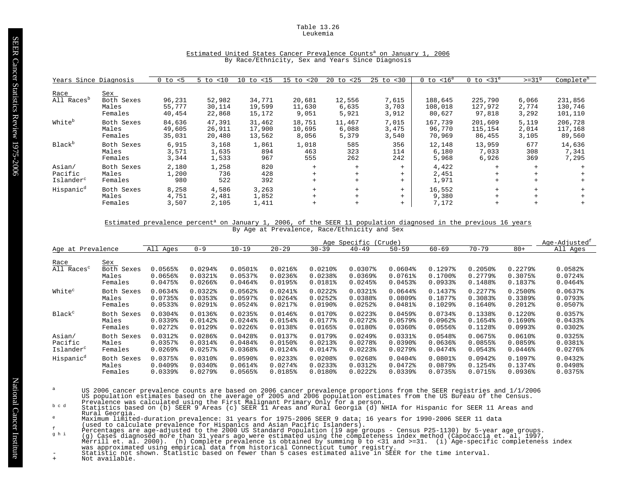Table 13.26 Leukemia

| Years Since Diagnosis  |            | $0$ to $< 5$ | $5$ to $< 10$ | $10$ to $\langle 15 \rangle$ | $15$ to $< 20$ | $20$ to $< 25$ | $25$ to $< 30$ | $0$ to $< 16^e$ | $0$ to $<$ 31 $^{\circ}$ | $>=319$ | Complete <sup>h</sup> |
|------------------------|------------|--------------|---------------|------------------------------|----------------|----------------|----------------|-----------------|--------------------------|---------|-----------------------|
| Race                   | Sex        |              |               |                              |                |                |                |                 |                          |         |                       |
| All Races <sup>b</sup> | Both Sexes | 96,231       | 52,982        | 34,771                       | 20,681         | 12,556         | 7,615          | 188,645         | 225,790                  | 6,066   | 231,856               |
|                        | Males      | 55,777       | 30,114        | 19,599                       | 11,630         | 6,635          | 3,703          | 108,018         | 127,972                  | 2,774   | 130,746               |
|                        | Females    | 40,454       | 22,868        | 15,172                       | 9,051          | 5,921          | 3,912          | 80,627          | 97,818                   | 3,292   | 101,110               |
| White <sup>b</sup>     | Both Sexes | 84,636       | 47,391        | 31,462                       | 18,751         | 11,467         | 7,015          | 167,739         | 201,609                  | 5.119   | 206,728               |
|                        | Males      | 49,605       | 26,911        | 17,900                       | 10,695         | 6,088          | 3,475          | 96,770          | 115,154                  | 2,014   | 117,168               |
|                        | Females    | 35,031       | 20,480        | 13,562                       | 8,056          | 5,379          | 3,540          | 70,969          | 86,455                   | 3,105   | 89,560                |
| Black <sup>b</sup>     | Both Sexes | 6,915        | 3,168         | 1,861                        | 1,018          | 585            | 356            | 12,148          | 13,959                   | 677     | 14,636                |
|                        | Males      | 3,571        | 1,635         | 894                          | 463            | 323            | 114            | 6,180           | 7,033                    | 308     | 7,341                 |
|                        | Females    | 3,344        | 1,533         | 967                          | 555            | 262            | 242            | 5,968           | 6,926                    | 369     | 7,295                 |
| Asian/                 | Both Sexes | 2,180        | 1,258         | 820                          | $+$            | $+$            | $+$            | 4,422           |                          | $+$     |                       |
| Pacific                | Males      | 1,200        | 736           | 428                          | $+$            | $+$            | $+$            | 2,451           |                          |         |                       |
| Islander <sup>c</sup>  | Females    | 980          | 522           | 392                          | $+$            | $+$            | $+$            | 1,971           |                          | $+$     |                       |
| Hispanic <sup>d</sup>  | Both Sexes | 8,258        | 4,586         | 3,263                        | $+$            | $+$            | $+$            | 16,552          | $+$                      |         |                       |
|                        | Males      | 4,751        | 2,481         | 1,852                        | $+$            | $+$            | $+$            | 9,380           |                          |         |                       |
|                        | Females    | 3,507        | 2,105         | 1,411                        | $+$            | $+$            | $+$            | 7,172           |                          |         |                       |

# Estimated United States Cancer Prevalence Counts<sup>a</sup> on January 1, 2006 By Race/Ethnicity, Sex and Years Since Diagnosis

#### Estimated prevalence percent<sup>a</sup> on January 1, 2006, of the SEER 11 population diagnosed in the previous 16 years By Age at Prevalence, Race/Ethnicity and Sex

|                                |                                       |                               |                                                                |                                  |                                                                |                                                  | Age Specific                                              | (Crude)                                         |                                                                |                                                           |                                         | Age-Adjusted <sup>t</sup>                                |
|--------------------------------|---------------------------------------|-------------------------------|----------------------------------------------------------------|----------------------------------|----------------------------------------------------------------|--------------------------------------------------|-----------------------------------------------------------|-------------------------------------------------|----------------------------------------------------------------|-----------------------------------------------------------|-----------------------------------------|----------------------------------------------------------|
| Age at Prevalence              |                                       | All Ages                      | $0 - 9$                                                        | $10 - 19$                        | $20 - 29$                                                      | $30 - 39$                                        | $40 - 49$                                                 | $50 - 59$                                       | $60 - 69$                                                      | $70 - 79$                                                 | $80+$                                   | All Ages                                                 |
| Race<br>All Races <sup>c</sup> | Sex<br>Both Sexes<br>Males<br>Females | 0.0565%<br>0.0656%<br>0.0475% | $0.0294$ <sup>8</sup><br>$0.0321$ $8$<br>$0.0266$ <sup>8</sup> | $0.0501$ %<br>0.05378<br>0.0464% | $0.0216$ <sup>8</sup><br>$0.0236$ <sup>8</sup><br>$0.0195$ $%$ | $0.0210$ $8$<br>$0.0238$ <sup>8</sup><br>0.0181% | 0.03078<br>$0.0369$ <sup>8</sup><br>$0.0245$ <sup>8</sup> | 0.0604<br>$0.0761$ $%$<br>$0.0453$ <sup>*</sup> | $0.1297$ <sup>8</sup><br>$0.1700$ $%$<br>$0.0933$ <sup>8</sup> | $0.2050$ <sup>8</sup><br>$0.2779$ <sup>8</sup><br>0.1488% | $0.2279$ $8$<br>0.3075%<br>$0.1837$ $%$ | 0.0582<br>$0.0724$ <sup>8</sup><br>$0.0464$ <sup>8</sup> |
| White <sup>c</sup>             | Both Sexes                            | 0.0634%                       | $0.0322$ <sup>8</sup>                                          | $0.0562$ $%$                     | $0.0241$ $%$                                                   | $0.0222$ $8$                                     | 0.0321%                                                   | $0.0644$ $%$                                    | 0.1437%                                                        | $0.2277$ $%$                                              | $0.2500$ $8$                            | $0.0637$ $%$                                             |
|                                | Males                                 | 0.0735%                       | 0.03538                                                        | 0.0597%                          | $0.0264$ <sup>8</sup>                                          | 0.0252                                           | 0.0388%                                                   | $0.0809$ <sup>8</sup>                           | 0.1877%                                                        | 0.3083%                                                   | 0.3389%                                 | 0.0793%                                                  |
|                                | Females                               | $0.0533$ <sup>8</sup>         | $0.0291$ $%$                                                   | $0.0524$ <sup>8</sup>            | 0.0217%                                                        | $0.0190$ <sup>8</sup>                            | $0.0252$ <sup>8</sup>                                     | 0.0481%                                         | $0.1029$ <sup>8</sup>                                          | $0.1640$ <sup>8</sup>                                     | 0.2012%                                 | $0.0507$ $%$                                             |
| Black <sup>c</sup>             | Both Sexes                            | 0.0304%                       | $0.0136$ <sup>8</sup>                                          | 0.0235%                          | $0.0146$ <sup>8</sup>                                          | $0.0170$ %                                       | $0.0223$ <sup>8</sup>                                     | $0.0459$ <sup>*</sup>                           | 0.0734%                                                        | 0.1338%                                                   | $0.1220$ $%$                            | 0.0357%                                                  |
|                                | Males                                 | $0.0339$ <sup>8</sup>         | 0.0142%                                                        | $0.0244$ $%$                     | 0.0154%                                                        | 0.0177%                                          | $0.0272$ $8$                                              | $0.0579$ <sup>8</sup>                           | 0.0962                                                         | 0.1654%                                                   | 0.1690%                                 | $0.0433$ <sup>8</sup>                                    |
|                                | Females                               | $0.0272$ $%$                  | $0.0129$ <sup>\$</sup>                                         | $0.0226$ $8$                     | 0.0138%                                                        | 0.0165%                                          | $0.0180$ %                                                | $0.0360$ $%$                                    | 0.0556%                                                        | 0.1128%                                                   | $0.0993$ $8$                            | $0.0302$ $%$                                             |
| Asian/                         | Both Sexes                            | $0.0312$ $%$                  | $0.0286$ <sup>8</sup>                                          | 0.0428                           | 0.0137%                                                        | 0.0179%                                          | $0.0249$ <sup>8</sup>                                     | $0.0331$ $%$                                    | 0.0548%                                                        | 0.0675%                                                   | $0.0610$ %                              | 0.0325%                                                  |
| Pacific                        | Males                                 | 0.0357%                       | 0.0314%                                                        | 0.0484%                          | $0.0150$ <sup>8</sup>                                          | $0.0213$ <sup>8</sup>                            | 0.0278                                                    | $0.0390$ <sup>8</sup>                           | 0.0636                                                         | 0.0855%                                                   | 0.0859%                                 | 0.0381%                                                  |
| Islander <sup>c</sup>          | Females                               | $0.0269$ <sup>8</sup>         | $0.0257$ <sup>8</sup>                                          | $0.0368$ <sup>*</sup>            | 0.0124%                                                        | 0.0147%                                          | $0.0223$ <sup>8</sup>                                     | $0.0279$ <sup>8</sup>                           | 0.0474%                                                        | $0.0543$ <sup>*</sup>                                     | $0.0446$ $%$                            | $0.0276$ <sup>8</sup>                                    |
| Hispanic <sup>d</sup>          | Both Sexes                            | 0.0375%                       | $0.0310$ <sup>8</sup>                                          | $0.0590$ <sup>8</sup>            | 0.02338                                                        | 0.0208                                           | 0.0268                                                    | 0.0404%                                         | $0.0801$ $%$                                                   | $0.0942$ $%$                                              | 0.10978                                 | 0.0432                                                   |
|                                | Males                                 | $0.0409$ <sup>8</sup>         | $0.0340$ <sup>8</sup>                                          | $0.0614$ $%$                     | $0.0274$ <sup>8</sup>                                          | 0.02338                                          | $0.0312$ $%$                                              | 0.0472                                          | 0.0879%                                                        | $0.1254$ <sup>8</sup>                                     | 0.1374%                                 | $0.0498$ <sup>*</sup>                                    |
|                                | Females                               | $0.0339$ <sup>8</sup>         | $0.0279$ <sup>8</sup>                                          | 0.0565%                          | 0.0185%                                                        | $0.0180$ <sup>2</sup>                            | $0.0222$ <sup>8</sup>                                     | $0.0339$ <sup>8</sup>                           | 0.0735%                                                        | 0.0715%                                                   | $0.0936$ <sup>2</sup>                   | 0.0375%                                                  |

- US 2006 cancer prevalence counts are based on 2006 cancer prevalence proportions from the SEER registries and 1/1/2006<br>US population estimates based on the average of 2005 and 2006 population estimates from the US Bureau o
- Rural Georgia.
- 
- 
- 
- Maximum limited-duration prevalence: 31 years for 1975-2006 SEER 9 data; 16 years for 1990-2006 SEER 11 data<br>
(used to claculate prevalence for Hispanics and Asian Pacific Islanders).<br>
Percentages are age-adjusted to the 2
-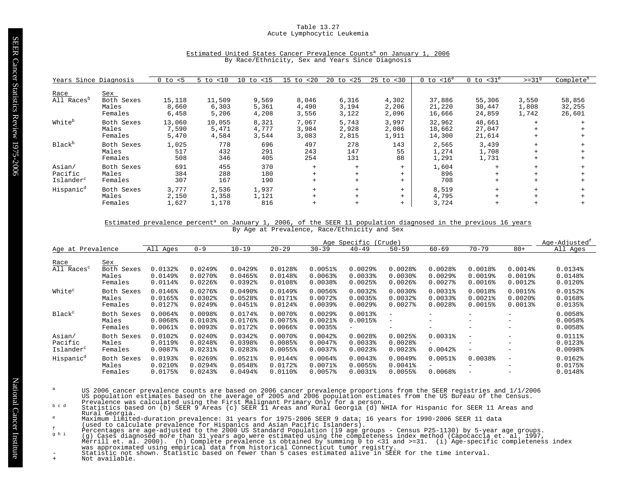# Table 13.27 Acute Lymphocytic Leukemia

| Years Since Diagnosis                      |                                       | $0$ to $< 5$             | <10<br>5 to              | $10$ to $< 15$          | < 20<br>$15$ to         | $20$ to $< 25$          | $25$ to $< 30$          | $< 16^e$<br>0 to           | $0$ to $<$ 31 $^e$         | $>=319$                 | Complete <sup>h</sup>      |
|--------------------------------------------|---------------------------------------|--------------------------|--------------------------|-------------------------|-------------------------|-------------------------|-------------------------|----------------------------|----------------------------|-------------------------|----------------------------|
| Race<br>All Races <sup>b</sup>             | Sex<br>Both Sexes<br>Males<br>Females | 15,118<br>8,660<br>6,458 | 11,509<br>6,303<br>5,206 | 9,569<br>5,361<br>4,208 | 8,046<br>4,490<br>3,556 | 6,316<br>3,194<br>3,122 | 4,302<br>2,206<br>2,096 | 37,886<br>21,220<br>16,666 | 55,306<br>30,447<br>24,859 | 3,550<br>1,808<br>1,742 | 58,856<br>32,255<br>26,601 |
| White <sup>b</sup>                         | Both Sexes<br>Males<br>Females        | 13,060<br>7,590<br>5,470 | 10,055<br>5,471<br>4,584 | 8,321<br>4,777<br>3,544 | 7,067<br>3,984<br>3,083 | 5,743<br>2,928<br>2,815 | 3,997<br>2,086<br>1,911 | 32,962<br>18,662<br>14,300 | 48,661<br>27,047<br>21,614 | $+$<br>$+$<br>$+$       |                            |
| Black <sup>b</sup>                         | Both Sexes<br>Males<br>Females        | 1,025<br>517<br>508      | 778<br>432<br>346        | 696<br>291<br>405       | 497<br>243<br>254       | 278<br>147<br>131       | 143<br>55<br>88         | 2,565<br>1,274<br>1,291    | 3,439<br>1,708<br>1,731    | $+$<br>$+$<br>$+$       |                            |
| Asian/<br>Pacific<br>Islander <sup>c</sup> | Both Sexes<br>Males<br>Females        | 691<br>384<br>307        | 455<br>288<br>167        | 370<br>180<br>190       | $+$<br>$+$<br>$+$       | $+$<br>$+$<br>$+$       | $+$<br>$+$<br>$+$       | 1,604<br>896<br>708        | $+$<br>$+$<br>$+$          | $+$<br>$+$<br>$+$       |                            |
| Hispanic <sup>d</sup>                      | Both Sexes<br>Males<br>Females        | 3,777<br>2,150<br>1,627  | 2,536<br>1,358<br>1,178  | 1,937<br>1,121<br>816   | $+$                     | $+$<br>$+$              | $+$<br>$+$<br>$+$       | 8,519<br>4,795<br>3,724    | $+$<br>$+$<br>$+$          | $+$<br>$^{+}$           |                            |

# Estimated United States Cancer Prevalence Counts<sup>a</sup> on January 1, 2006 By Race/Ethnicity, Sex and Years Since Diagnosis

# Estimated prevalence percent<sup>a</sup> on January 1, 2006, of the SEER 11 population diagnosed in the previous 16 years By Age at Prevalence, Race/Ethnicity and Sex

|                                            |                                              |                                                  |                                                                         |                                                                         |                                                  |                                                            | Age Specific                                              | (Crude)                                                   |                                                  |                                                           |                                                      | Age-Adjusted <sup>t</sup>                      |
|--------------------------------------------|----------------------------------------------|--------------------------------------------------|-------------------------------------------------------------------------|-------------------------------------------------------------------------|--------------------------------------------------|------------------------------------------------------------|-----------------------------------------------------------|-----------------------------------------------------------|--------------------------------------------------|-----------------------------------------------------------|------------------------------------------------------|------------------------------------------------|
| Age at Prevalence                          |                                              | All Ages                                         | $0 - 9$                                                                 | $10 - 19$                                                               | $20 - 29$                                        | $30 - 39$                                                  | $40 - 49$                                                 | $50 - 59$                                                 | $60 - 69$                                        | $70 - 79$                                                 | $80+$                                                | All Ages                                       |
| Race<br>All Races <sup>c</sup>             | <u>Sex</u><br>Both Sexes<br>Males<br>Females | $0.0132$ $%$<br>$0.0149$ <sup>8</sup><br>0.0114% | $0.0249$ <sup>8</sup><br>$0.0270$ $%$<br>$0.0226$ <sup>8</sup>          | $0.0429$ <sup>*</sup><br>$0.0465$ <sup>8</sup><br>$0.0392$ <sup>*</sup> | 0.0128%<br>0.0148%<br>0.0108%                    | 0.0051%<br>$0.0063$ <sup>8</sup><br>$0.0038$ <sup>\$</sup> | $0.0029$ <sup>8</sup><br>0.00338<br>$0.0025$ <sup>8</sup> | 0.0028<br>$0.0030$ <sup>§</sup><br>$0.0026$ <sup>\$</sup> | 0.0028<br>$0.0029$ <sup>\$</sup><br>$0.0027$ $8$ | $0.0018$ %<br>$0.0019$ <sup>8</sup><br>$0.0016$ $8$       | $0.0014$ %<br>0.0019%<br>$0.0012$ $8$                | 0.0134%<br>0.0148%<br>$0.0120$ <sup>§</sup>    |
| White <sup>c</sup>                         | Both Sexes<br>Males<br>Females               | 0.0146%<br>0.0165%<br>$0.0127$ %                 | $0.0276$ <sup>8</sup><br>$0.0302$ $%$<br>$0.0249$ <sup>\$</sup>         | $0.0490$ <sup>8</sup><br>0.0528<br>$0.0451$ $%$                         | $0.0149$ <sup>8</sup><br>0.0171%<br>0.0124%      | 0.0056%<br>$0.0072$ $8$<br>$0.0039$ $%$                    | $0.0032$ $%$<br>0.0035%<br>$0.0029$ <sup>\$</sup>         | $0.0030$ <sup>8</sup><br>$0.0032$ $8$<br>$0.0027$ $8$     | $0.0031$ $8$<br>0.00338<br>0.0028                | $0.0018$ %<br>$0.0021$ $8$<br>0.0015%                     | 0.0015%<br>$0.0020$ $8$<br>$0.0013$ %                | $0.0152$ $%$<br>0.0168<br>$0.0135$ %           |
| Black <sup>c</sup>                         | Both Sexes<br>Males<br>Females               | 0.0064%<br>0.0068%<br>$0.0061$ %                 | 0.0098<br>0.01038<br>0.00938                                            | 0.0174%<br>0.0176%<br>0.0172%                                           | $0.0070$ $%$<br>0.0075%<br>$0.0066$ <sup>8</sup> | $0.0029$ <sup>8</sup><br>$0.0021$ $8$<br>$0.0035$ $%$      | 0.0013%<br>0.0015%<br>$-$                                 | $\qquad \qquad =$<br>$\overline{\phantom{0}}$             | $\overline{\phantom{0}}$<br>$-$<br>$-$           | -<br>$\overline{\phantom{m}}$<br>$\overline{\phantom{m}}$ | $-$<br>$\overline{\phantom{0}}$<br>$\qquad \qquad -$ | 0.0058<br>0.0058<br>$0.0058$ <sup>*</sup>      |
| Asian/<br>Pacific<br>Islander <sup>c</sup> | Both Sexes<br>Males<br>Females               | $0.0102$ $%$<br>0.0119%<br>$0.0087$ $%$          | $0.0240$ <sup>8</sup><br>$0.0248$ <sup>8</sup><br>$0.0231$ $8$          | $0.0342$ $%$<br>$0.0398$ <sup>*</sup><br>$0.0283$ <sup>*</sup>          | $0.0070$ $8$<br>0.0085%<br>0.0055%               | $0.0042$ $%$<br>$0.0047$ $8$<br>$0.0037$ $8$               | 0.0028<br>0.00338<br>$0.0023$ <sup>8</sup>                | 0.0025%<br>0.0028<br>$0.0023$ <sup>*</sup>                | 0.0031%<br>Ξ.<br>$0.0042$ $%$                    | $\overline{\phantom{a}}$<br>$\overline{\phantom{m}}$      | $-$<br>-                                             | 0.0111%<br>$0.0123$ <sup>8</sup><br>0.0098     |
| Hispanic <sup>d</sup>                      | Both Sexes<br>Males<br>Females               | 0.0193%<br>$0.0210$ $%$<br>0.0175%               | $0.0269$ <sup>8</sup><br>$0.0294$ <sup>8</sup><br>$0.0243$ <sup>8</sup> | $0.0521$ $%$<br>0.0548%<br>$0.0494$ <sup>8</sup>                        | 0.0144%<br>0.0172%<br>$0.0110$ $8$               | $0.0064$ $%$<br>$0.0071$ %<br>0.0057%                      | $0.0043$ <sup>8</sup><br>0.0055%<br>$0.0031$ %            | $0.0049$ <sup>8</sup><br>$0.0041$ %<br>0.0055%            | 0.0051%<br>-<br>0.0068                           | 0.0038<br>$\overline{\phantom{m}}$                        | $\qquad \qquad -$<br>$\overline{\phantom{a}}$        | $0.0162$ $% 0.0162$<br>0.0175%<br>$0.0148$ $%$ |

- US 2006 cancer prevalence counts are based on 2006 cancer prevalence proportions from the SEER registries and 1/1/2006<br>US population estimates based on the average of 2005 and 2006 population estimates from the US Bureau o
- Rural Georgia.
- 
- 
- 
- Maximum limited-duration prevalence: 31 years for 1975-2006 SEER 9 data; 16 years for 1990-2006 SEER 11 data<br>
(used to claculate prevalence for Hispanics and Asian Pacific Islanders).<br>
Percentages are age-adjusted to the 2
-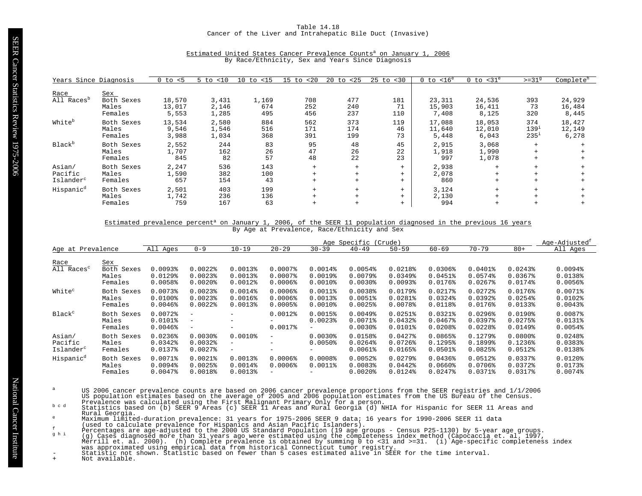Table 14.18 Cancer of the Liver and Intrahepatic Bile Duct (Invasive)

| Years Since Diagnosis                      |                                       | $0$ to $< 5$              | $5$ to $< 10$           | $10$ to $<$ 15      | $15$ to $< 20$    | 20<br>to <25      | $25$ to $< 30$    | $0$ to $< 16^e$           | $0$ to $<$ 31 $^{\circ}$  | $>=319$                       | Complete <sup>h</sup>     |
|--------------------------------------------|---------------------------------------|---------------------------|-------------------------|---------------------|-------------------|-------------------|-------------------|---------------------------|---------------------------|-------------------------------|---------------------------|
| Race<br>All Races <sup>b</sup>             | Sex<br>Both Sexes<br>Males<br>Females | 18,570<br>13,017<br>5,553 | 3,431<br>2,146<br>1,285 | 1,169<br>674<br>495 | 708<br>252<br>456 | 477<br>240<br>237 | 181<br>71<br>110  | 23,311<br>15,903<br>7,408 | 24,536<br>16,411<br>8,125 | 393<br>73<br>320              | 24,929<br>16,484<br>8,445 |
| White <sup>b</sup>                         | Both Sexes<br>Males<br>Females        | 13,534<br>9,546<br>3,988  | 2,580<br>1,546<br>1,034 | 884<br>516<br>368   | 562<br>171<br>391 | 373<br>174<br>199 | 119<br>46<br>73   | 17,088<br>11,640<br>5,448 | 18,053<br>12,010<br>6,043 | 374<br>$139^{1}$<br>$235^{1}$ | 18,427<br>12,149<br>6,278 |
| Black <sup>b</sup>                         | Both Sexes<br>Males<br>Females        | 2,552<br>1,707<br>845     | 244<br>162<br>82        | 83<br>26<br>57      | 95<br>47<br>48    | 48<br>26<br>22    | 45<br>22<br>23    | 2,915<br>1,918<br>997     | 3,068<br>1,990<br>1,078   | $+$                           |                           |
| Asian/<br>Pacific<br>Islander <sup>c</sup> | Both Sexes<br>Males<br>Females        | 2,247<br>1,590<br>657     | 536<br>382<br>154       | 143<br>100<br>43    | $+$<br>$+$<br>$+$ | $+$<br>$+$<br>$+$ | $+$<br>$+$<br>$+$ | 2,938<br>2,078<br>860     |                           |                               |                           |
| Hispanic <sup>d</sup>                      | Both Sexes<br>Males<br>Females        | 2,501<br>1,742<br>759     | 403<br>236<br>167       | 199<br>136<br>63    | $+$<br>$+$<br>$+$ | $+$               | $+$<br>$+$<br>$+$ | 3,124<br>2,130<br>994     |                           |                               |                           |

# Estimated United States Cancer Prevalence Counts<sup>a</sup> on January 1, 2006 By Race/Ethnicity, Sex and Years Since Diagnosis

#### Estimated prevalence percent<sup>a</sup> on January 1, 2006, of the SEER 11 population diagnosed in the previous 16 years By Age at Prevalence, Race/Ethnicity and Sex

|                                            |                                       | Age Specific<br>(Crude)                    |                                                                    |                                                  |                                                                            |                                                     |                                                              |                                                           |                                                       |                                                            |                                                     | Age-Adjusted <sup>r</sup>                           |
|--------------------------------------------|---------------------------------------|--------------------------------------------|--------------------------------------------------------------------|--------------------------------------------------|----------------------------------------------------------------------------|-----------------------------------------------------|--------------------------------------------------------------|-----------------------------------------------------------|-------------------------------------------------------|------------------------------------------------------------|-----------------------------------------------------|-----------------------------------------------------|
| Age at Prevalence                          |                                       | All Ages                                   | $0 - 9$                                                            | $10 - 19$                                        | $20 - 29$                                                                  | $30 - 39$                                           | $40 - 49$                                                    | $50 - 59$                                                 | $60 - 69$                                             | $70 - 79$                                                  | $80+$                                               | All Ages                                            |
| Race<br>All Races <sup>c</sup>             | Sex<br>Both Sexes<br>Males<br>Females | 0.0093%<br>$0.0129$ <sup>8</sup><br>0.0058 | $0.0022$ $8$<br>$0.0023$ <sup>8</sup><br>$0.0020$ $8$              | $0.0013$ <sup>8</sup><br>0.00138<br>$0.0012$ $8$ | $0.0007$ $8$<br>$0.0007$ $8$<br>$0.0006$ <sup>2</sup>                      | $0.0014$ %<br>0.0019%<br>$0.0010$ $8$               | 0.0054%<br>$0.0079$ <sup>8</sup><br>$0.0030$ <sup>\$</sup>   | 0.0218%<br>$0.0349$ <sup>8</sup><br>$0.0093$ <sup>*</sup> | 0.0306%<br>0.0451%<br>$0.0176$ <sup>8</sup>           | $0.0401$ %<br>0.0574%<br>$0.0267$ $%$                      | $0.0243$ <sup>8</sup><br>$0.0367$ $%$<br>0.0174%    | 0.0094%<br>0.0138%<br>$0.0056$ <sup>8</sup>         |
| White <sup>c</sup>                         | Both Sexes<br>Males<br>Females        | 0.0073<br>$0.0100$ %<br>$0.0046$ $%$       | $0.0023$ <sup>8</sup><br>$0.0023$ <sup>8</sup><br>$0.0022$ $8$     | 0.0014%<br>0.0016%<br>$0.0013$ <sup>8</sup>      | $0.0006$ <sup>8</sup><br>$0.0006$ <sup>8</sup><br>$0.0005$ <sup>8</sup>    | $0.0011$ %<br>0.0013%<br>$0.0010$ $8$               | 0.0038<br>0.0051%<br>$0.0025$ <sup>8</sup>                   | 0.0179%<br>$0.0281$ $%$<br>$0.0078$ <sup>*</sup>          | $0.0217$ %<br>$0.0324$ <sup>8</sup><br>0.0118%        | $0.0272$ $8$<br>$0.0392$ $%$<br>$0.0176$ <sup>8</sup>      | $0.0176$ <sup>8</sup><br>0.0254%<br>0.01338         | $0.0071$ %<br>$0.0102$ $%$<br>$0.0043$ <sup>*</sup> |
| Black <sup>c</sup>                         | Both Sexes<br>Males<br>Females        | $0.0072$ $%$<br>$0.0101$ %<br>$0.0046$ $%$ | $\overline{\phantom{a}}$<br>$\qquad \qquad -$<br>$\qquad \qquad -$ | -<br>-<br>-                                      | $0.0012$ $%$<br>$0.0017$ %                                                 | 0.0015%<br>$0.0023$ <sup>8</sup><br>Ξ.              | $0.0049$ <sup>8</sup><br>$0.0071$ %<br>$0.0030$ <sup>§</sup> | $0.0251$ %<br>0.0432<br>$0.0101$ %                        | $0.0321$ $8$<br>$0.0467$ $%$<br>0.0208                | $0.0296$ <sup>8</sup><br>0.03978<br>$0.0228$ <sup>\$</sup> | $0.0190$ <sup>8</sup><br>0.0275%<br>$0.0149$ $*$    | 0.0087%<br>$0.0131$ %<br>$0.0054$ $%$               |
| Asian/<br>Pacific<br>Islander <sup>c</sup> | Both Sexes<br>Males<br>Females        | $0.0236$ <sup>8</sup><br>0.0342<br>0.0137% | $0.0030$ <sup>8</sup><br>$0.0032$ $8$<br>$0.0027$ $8$              | $0.0010$ %<br>$-$<br>$-$                         | $-$<br>$-$<br>$-$                                                          | $0.0030$ <sup>8</sup><br>$0.0050$ <sup>8</sup><br>- | 0.0158%<br>$0.0264$ <sup>8</sup><br>$0.0061$ $8$             | $0.0427$ $8$<br>$0.0726$ <sup>8</sup><br>0.0165%          | 0.0865%<br>0.1295%<br>$0.0501$ $%$                    | $0.1279$ <sup>8</sup><br>0.1899%<br>$0.0825$ <sup>*</sup>  | $0.0800$ %<br>$0.1236$ <sup>8</sup><br>$0.0512$ $%$ | $0.0248$ <sup>*</sup><br>0.0383%<br>0.0138%         |
| Hispanic <sup>d</sup>                      | Both Sexes<br>Males<br>Females        | 0.0071%<br>0.0094<br>$0.0047$ $8$          | $0.0021$ $8$<br>0.0025%<br>0.0018%                                 | $0.0013$ <sup>8</sup><br>$0.0014$ %<br>0.00138   | $0.0006$ <sup>8</sup><br>$0.0006$ <sup>8</sup><br>$\overline{\phantom{0}}$ | 0.0008<br>$0.0011$ %                                | $0.0052$ $%$<br>0.0083%<br>$0.0020$ $8$                      | $0.0279$ <sup>8</sup><br>$0.0442$ $%$<br>0.0124%          | $0.0436$ <sup>8</sup><br>$0.0660$ $%$<br>$0.0247$ $%$ | $0.0512$ $%$<br>$0.0706$ <sup>8</sup><br>$0.0371$ %        | 0.03378<br>0.0372<br>0.0317%                        | $0.0120$ $%$<br>0.0173%<br>$0.0074$ $8$             |

- US 2006 cancer prevalence counts are based on 2006 cancer prevalence proportions from the SEER registries and 1/1/2006<br>US population estimates based on the average of 2005 and 2006 population estimates from the US Bureau o
- Rural Georgia.
- 
- 
- 
- Maximum limited-duration prevalence: 31 years for 1975-2006 SEER 9 data; 16 years for 1990-2006 SEER 11 data<br>
(used to claculate prevalence for Hispanics and Asian Pacific Islanders).<br>
Percentages are age-adjusted to the 2
-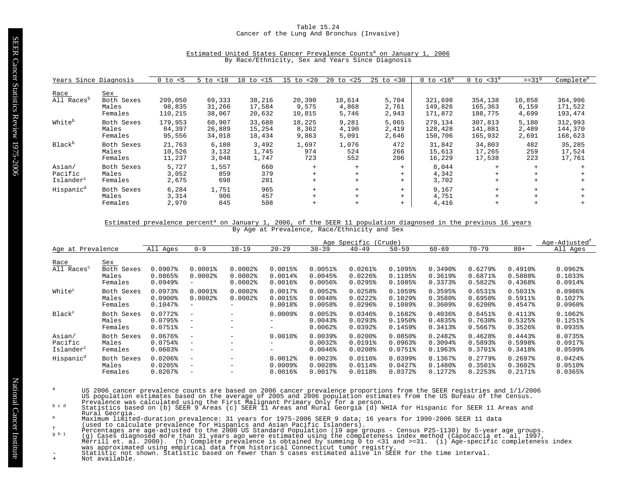## Table 15.24 Cancer of the Lung And Bronchus (Invasive)

| Years Since Diagnosis                      |                                       | $0$ to $< 5$                 | 5 to<br>< 10               | $10$ to $< 15$             | < 20<br>$15$ to           | to $<25$<br>20           | $25$ to $< 30$          | $< 16^e$<br>0 to              | $0$ to $<$ 31 $^{\circ}$      | $>=319$                  | Complete <sup>h</sup>         |
|--------------------------------------------|---------------------------------------|------------------------------|----------------------------|----------------------------|---------------------------|--------------------------|-------------------------|-------------------------------|-------------------------------|--------------------------|-------------------------------|
| Race<br>All Races <sup>b</sup>             | Sex<br>Both Sexes<br>Males<br>Females | 209,050<br>98,835<br>110,215 | 69,333<br>31,266<br>38,067 | 38,216<br>17,584<br>20,632 | 20,390<br>9,575<br>10,815 | 10,614<br>4,868<br>5,746 | 5,704<br>2,761<br>2,943 | 321,698<br>149,826<br>171,872 | 354,138<br>165,363<br>188,775 | 10,858<br>6,159<br>4,699 | 364,996<br>171,522<br>193,474 |
| White <sup>b</sup>                         | Both Sexes<br>Males<br>Females        | 179,953<br>84,397<br>95,556  | 60,907<br>26,889<br>34,018 | 33,688<br>15,254<br>18,434 | 18,225<br>8,362<br>9,863  | 9,281<br>4,190<br>5,091  | 5,065<br>2,419<br>2,646 | 279,134<br>128,428<br>150,706 | 307,813<br>141,881<br>165,932 | 5,180<br>2,489<br>2,691  | 312,993<br>144,370<br>168,623 |
| Black <sup>b</sup>                         | Both Sexes<br>Males<br>Females        | 21,763<br>10,526<br>11,237   | 6,180<br>3,132<br>3,048    | 3,492<br>1,745<br>1,747    | 1,697<br>974<br>723       | 1,076<br>524<br>552      | 472<br>266<br>206       | 31,842<br>15,613<br>16,229    | 34,803<br>17,265<br>17,538    | 482<br>259<br>223        | 35,285<br>17,524<br>17,761    |
| Asian/<br>Pacific<br>Islander <sup>c</sup> | Both Sexes<br>Males<br>Females        | 5,727<br>3,052<br>2,675      | 1,557<br>859<br>698        | 660<br>379<br>281          | $+$<br>$+$<br>$+$         | $+$<br>$+$<br>$+$        | $+$<br>$+$<br>$+$       | 8,044<br>4,342<br>3,702       | $+$<br>$+$<br>$+$             | $+$<br>$+$               |                               |
| Hispanic <sup>d</sup>                      | Both Sexes<br>Males<br>Females        | 6,284<br>3,314<br>2,970      | 1,751<br>906<br>845        | 965<br>457<br>508          | $+$<br>$+$<br>$+$         | $+$<br>$+$               | $+$<br>$+$<br>$+$       | 9,167<br>4,751<br>4,416       | $+$<br>$+$<br>$+$             | $+$                      |                               |

# Estimated United States Cancer Prevalence Counts<sup>a</sup> on January 1, 2006 By Race/Ethnicity, Sex and Years Since Diagnosis

#### Estimated prevalence percent<sup>a</sup> on January 1, 2006, of the SEER 11 population diagnosed in the previous 16 years By Age at Prevalence, Race/Ethnicity and Sex

|                                            |                                              | Age Specific<br>(Crude)                          |                                                                                  |                                              |                                                                |                                                                |                                                                         |                                                              |                                             |                                                       |                                             | Age-Adjusted <sup>f</sup>                                    |
|--------------------------------------------|----------------------------------------------|--------------------------------------------------|----------------------------------------------------------------------------------|----------------------------------------------|----------------------------------------------------------------|----------------------------------------------------------------|-------------------------------------------------------------------------|--------------------------------------------------------------|---------------------------------------------|-------------------------------------------------------|---------------------------------------------|--------------------------------------------------------------|
| Age at Prevalence                          |                                              | All Ages                                         | $0 - 9$                                                                          | $10 - 19$                                    | $20 - 29$                                                      | $30 - 39$                                                      | $40 - 49$                                                               | $50 - 59$                                                    | $60 - 69$                                   | $70 - 79$                                             | $80+$                                       | All Ages                                                     |
| Race<br>All Races <sup>c</sup>             | <u>Sex</u><br>Both Sexes<br>Males<br>Females | $0.0907$ $8$<br>0.0865%<br>$0.0949$ <sup>*</sup> | $0.0001$ $8$<br>$0.0002$ $%$<br>$\qquad \qquad -$                                | $0.0002$ $8$<br>$0.0002$ $8$<br>$0.0002$ $%$ | 0.0015%<br>$0.0014$ %<br>$0.0016$ <sup>8</sup>                 | 0.0051%<br>0.0045%<br>$0.0056$ <sup>8</sup>                    | $0.0261$ $%$<br>$0.0226$ <sup>8</sup><br>$0.0295$ <sup>8</sup>          | 0.1095%<br>0.1105%<br>0.1085%                                | $0.3490$ <sup>8</sup><br>0.3619%<br>0.3373% | $0.6279$ <sup>8</sup><br>0.6871%<br>0.5822%           | $0.4910$ %<br>0.5888%<br>0.4368%            | 0.0962<br>0.1033%<br>0.0914%                                 |
| White <sup>c</sup>                         | Both Sexes<br>Males<br>Females               | 0.0973%<br>$0.0900$ <sup>8</sup><br>0.1047%      | $0.0001$ %<br>$0.0002$ $%$<br>$\qquad \qquad -$                                  | $0.0002$ $8$<br>$0.0002$ $8$                 | 0.0017%<br>0.0015%<br>$0.0018$ %                               | $0.0052$ $% 0.0052$<br>0.0048<br>0.0058                        | $0.0258$ <sup>*</sup><br>$0.0222$ $8$<br>$0.0296$ <sup>8</sup>          | 0.1059%<br>$0.1029$ <sup>8</sup><br>0.1089%                  | 0.3595%<br>0.3580%<br>$0.3609$ <sup>8</sup> | 0.6531<br>$0.6950$ <sup>8</sup><br>$0.6200$ $%$       | 0.5031%<br>0.5911%<br>0.4547%               | $0.0986$ <sup>2</sup><br>$0.1027$ %<br>$0.0960$ <sup>8</sup> |
| Black <sup>c</sup>                         | Both Sexes<br>Males<br>Females               | 0.0772%<br>0.0795%<br>0.0751%                    | $\overline{\phantom{a}}$<br>$\overline{\phantom{m}}$<br>$\overline{\phantom{m}}$ | -<br>-<br>-                                  | $0.0009$ <sup>8</sup><br>-<br>$-$                              | $0.0053$ <sup>8</sup><br>$0.0043$ <sup>8</sup><br>$0.0062$ $%$ | $0.0346$ <sup>8</sup><br>$0.0293$ <sup>8</sup><br>$0.0392$ <sup>*</sup> | 0.1682%<br>$0.1950$ <sup>*</sup><br>0.1459%                  | $0.4036$ <sup>8</sup><br>0.4835%<br>0.3413% | 0.6451%<br>$0.7630$ <sup>8</sup><br>$0.5667$ $*$      | $0.4113$ <sup>8</sup><br>0.5325%<br>0.3526% | $0.1062$ $%$<br>$0.1251$ $%$<br>$0.0935$ <sup>*</sup>        |
| Asian/<br>Pacific<br>Islander <sup>c</sup> | Both Sexes<br>Males<br>Females               | 0.0676%<br>0.0754%<br>$0.0603$ <sup>8</sup>      | $\overline{\phantom{a}}$<br>-<br>$\overline{\phantom{m}}$                        | -<br>-<br>-                                  | $0.0010$ $8$<br>$\overline{\phantom{0}}$<br>$-$                | $0.0039$ <sup>8</sup><br>$0.0032$ $%$<br>$0.0046$ <sup>8</sup> | $0.0200$ $8$<br>0.0191%<br>0.0208                                       | $0.0850$ <sup>*</sup><br>$0.0963$ <sup>8</sup><br>$0.0751$ % | 0.2482<br>$0.3094$ <sup>8</sup><br>0.1963%  | 0.4628%<br>0.5893%<br>0.3701%                         | 0.4443<br>0.5998%<br>0.3418%                | 0.0735%<br>0.0917%<br>$0.0599$ <sup>8</sup>                  |
| Hispanic <sup>d</sup>                      | Both Sexes<br>Males<br>Females               | $0.0206$ <sup>8</sup><br>0.0205%<br>0.02078      | $\overline{\phantom{a}}$<br>-<br>-                                               | -<br>-                                       | $0.0012$ $%$<br>$0.0009$ <sup>8</sup><br>$0.0016$ <sup>2</sup> | $0.0023$ <sup>8</sup><br>0.0028<br>$0.0017$ %                  | 0.0116%<br>0.0114%<br>0.0118%                                           | $0.0399$ <sup>8</sup><br>$0.0427$ $8$<br>0.0372%             | 0.1367%<br>0.1480%<br>0.1272%               | $0.2779$ $8$<br>$0.3501$ $%$<br>$0.2253$ <sup>8</sup> | $0.2697$ $%$<br>0.3602%<br>0.2171%          | $0.0424$ <sup>8</sup><br>$0.0510$ %<br>$0.0365$ <sup>2</sup> |

- US 2006 cancer prevalence counts are based on 2006 cancer prevalence proportions from the SEER registries and 1/1/2006<br>US population estimates based on the average of 2005 and 2006 population estimates from the US Bureau o
- Rural Georgia.
- 
- 
- 
- Maximum limited-duration prevalence: 31 years for 1975-2006 SEER 9 data; 16 years for 1990-2006 SEER 11 data<br>
(used to claculate prevalence for Hispanics and Asian Pacific Islanders).<br>
Percentages are age-adjusted to the 2
-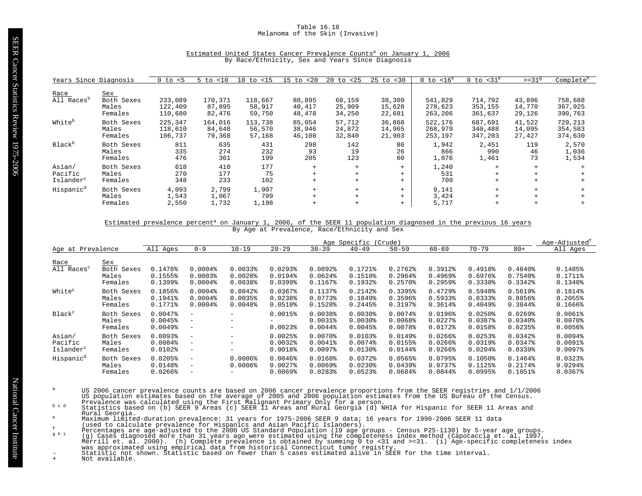# Table 16.18 Melanoma of the Skin (Invasive)

| Estimated United States Cancer Prevalence Counts <sup>a</sup> on January 1, 2006 |  |                                                  |  |  |  |  |  |
|----------------------------------------------------------------------------------|--|--------------------------------------------------|--|--|--|--|--|
|                                                                                  |  | By Race/Ethnicity, Sex and Years Since Diagnosis |  |  |  |  |  |

| Years Since Diagnosis  |            | $0$ to $< 5$ | $5$ to $< 10$ | $10$ to $\langle 15$ | $15$ to $< 20$ | $20 \text{ to } 25$ | $25$ to $< 30$ | $0$ to $< 16^e$ | $0$ to $<$ 31 $^{\circ}$ | $>=31^9$ | Complete <sup>h</sup> |
|------------------------|------------|--------------|---------------|----------------------|----------------|---------------------|----------------|-----------------|--------------------------|----------|-----------------------|
|                        |            |              |               |                      |                |                     |                |                 |                          |          |                       |
| Race                   | <u>Sex</u> |              |               |                      |                |                     |                |                 |                          |          |                       |
| All Races <sup>p</sup> | Both Sexes | 233,089      | 170,371       | 118,667              | 88,895         | 60,159              | 38,309         | 541,829         | 714,792                  | 43,896   | 758,688               |
|                        | Males      | 122,409      | 87,895        | 58,917               | 40,417         | 25,909              | 15,628         | 278,623         | 353,155                  | 14,770   | 367,925               |
|                        | Females    | 110,680      | 82,476        | 59,750               | 48,478         | 34,250              | 22,681         | 263,206         | 361,637                  | 29,126   | 390,763               |
|                        |            |              |               |                      |                |                     |                |                 |                          |          |                       |
| White <sup>b</sup>     | Both Sexes | 225,347      | 164,016       | 113,738              | 85,054         | 57,712              | 36,868         | 522,176         | 687,691                  | 41,522   | 729,213               |
|                        | Males      | 118,610      | 84,648        | 56,570               | 38,946         | 24,872              | 14,965         | 268,979         | 340,488                  | 14,095   | 354,583               |
|                        | Females    | 106,737      | 79,368        | 57,168               | 46,108         | 32,840              | 21,903         | 253,197         | 347,203                  | 27,427   | 374,630               |
|                        |            |              |               |                      |                |                     |                |                 |                          |          |                       |
| Black <sup>b</sup>     | Both Sexes | 811          | 635           | 431                  | 298            | 142                 | 86             | 1,942           | 2,451                    | 119      | 2,570                 |
|                        | Males      | 335          | 274           | 232                  | 93             | 19                  | 26             | 866             | 990                      | 46       | 1,036                 |
|                        | Females    | 476          | 361           | 199                  | 205            | 123                 | 60             | 1,076           | 1,461                    | 73       | 1,534                 |
|                        |            |              |               |                      |                |                     |                |                 |                          |          |                       |
| Asian/                 | Both Sexes | 618          | 410           | 177                  | $+$            | $+$                 | $+$            | 1,240           | $+$                      | $+$      |                       |
| Pacific                | Males      | 270          | 177           | 75                   | $+$            | $+$                 | $+$            | 531             |                          | $+$      |                       |
| Islander <sup>c</sup>  | Females    | 348          | 233           | 102                  | $+$            | $+$                 | $+$            | 709             | $+$                      | $+$      |                       |
|                        |            |              |               |                      |                |                     |                |                 |                          |          |                       |
| Hispanic <sup>d</sup>  | Both Sexes | 4,093        | 2,799         | 1,907                | $+$            | $+$                 | $+$            | 9,141           | $+$                      | $+$      |                       |
|                        | Males      | 1,543        | 1,067         | 709                  | $+$            | $+$                 | $+$            | 3,424           | $+$                      | $+$      |                       |
|                        | Females    | 2,550        | 1,732         | 1,198                | $^{+}$         | $+$                 | $+$            | 5,717           | $+$                      | $+$      |                       |

# Estimated prevalence percent<sup>a</sup> on January 1, 2006, of the SEER 11 population diagnosed in the previous 16 years By Age at Prevalence, Race/Ethnicity and Sex

|                                            |                                       | Age Specific<br>(Crude)                        |                                                                                  |                                                |                                                                |                                                     |                                                                |                                                 |                                                                |                                                                         | Age-Adjusted <sup>t</sup>                                               |                                                     |
|--------------------------------------------|---------------------------------------|------------------------------------------------|----------------------------------------------------------------------------------|------------------------------------------------|----------------------------------------------------------------|-----------------------------------------------------|----------------------------------------------------------------|-------------------------------------------------|----------------------------------------------------------------|-------------------------------------------------------------------------|-------------------------------------------------------------------------|-----------------------------------------------------|
| Age at Prevalence                          |                                       | All Ages                                       | $0 - 9$                                                                          | $10 - 19$                                      | $20 - 29$                                                      | $30 - 39$                                           | $40 - 49$                                                      | $50 - 59$                                       | $60 - 69$                                                      | $70 - 79$                                                               | $80+$                                                                   | All Ages                                            |
| Race<br>All Races <sup>c</sup>             | Sex<br>Both Sexes<br>Males<br>Females | 0.1476%<br>0.1555%<br>$0.1399$ <sup>8</sup>    | $0.0004$ $8$<br>0.00038<br>$0.0004\$                                             | 0.00338<br>$0.0028$ <sup>*</sup><br>0.0038     | 0.02938<br>0.0194%<br>$0.0399$ <sup>s</sup>                    | 0.0892<br>0.0624<br>0.1167%                         | $0.1721$ $%$<br>$0.1510$ <sup>8</sup><br>0.1932%               | 0.2762<br>$0.2964$ <sup>8</sup><br>$0.2570$ $8$ | $0.3912$ $%$<br>$0.4969$ <sup>8</sup><br>$0.2959$ <sup>8</sup> | $0.4918$ <sup>*</sup><br>$0.6976$ <sup>8</sup><br>$0.3330$ <sup>8</sup> | 0.4840%<br>0.7540%<br>0.3342%                                           | 0.1485%<br>0.1711%<br>$0.1340$ %                    |
| White <sup>c</sup>                         | Both Sexes<br>Males<br>Females        | 0.1856%<br>0.1941%<br>0.1771%                  | $0.0004$ $8$<br>$0.0004$ $8$<br>$0.0004$ $%$                                     | $0.0042$ $%$<br>0.0035%<br>0.0048              | $0.0367$ $%$<br>$0.0238$ <sup>8</sup><br>$0.0510$ <sup>8</sup> | 0.1137%<br>$0.0773$ <sup>*</sup><br>0.1528%         | $0.2142$ $%$<br>0.1849%<br>0.2445%                             | 0.3395%<br>0.3596%<br>0.3197%                   | $0.4729$ <sup>8</sup><br>$0.5933$ <sup>8</sup><br>0.3614%      | $0.5940$ <sup>8</sup><br>0.8333%<br>$0.4049$ <sup>8</sup>               | 0.5619%<br>0.8856%<br>0.3844%                                           | 0.1814%<br>0.2055%<br>$0.1666$ <sup>8</sup>         |
| Black <sup>c</sup>                         | Both Sexes<br>Males<br>Females        | 0.0047%<br>$0.0045$ $%$<br>$0.0049$ $%$        | $\overline{\phantom{a}}$<br>$\overline{\phantom{a}}$<br>$\overline{\phantom{m}}$ | -<br>-<br>-                                    | 0.0015%<br>$0.0023$ <sup>8</sup>                               | $0.0038$ <sup>8</sup><br>$0.0031$ %<br>$0.0044$ $%$ | $0.0038$ <sup>8</sup><br>$0.0030$ <sup>§</sup><br>$0.0045$ $%$ | 0.0074%<br>0.0068<br>0.0078                     | 0.0196%<br>$0.0227$ $8$<br>$0.0172$ %                          | $0.0250$ <sup>*</sup><br>0.0387%<br>0.0158%                             | $0.0269$ <sup>8</sup><br>$0.0340$ <sup>8</sup><br>$0.0235$ <sup>8</sup> | $0.0061$ %<br>$0.0070$ $8$<br>$0.0056$ <sup>8</sup> |
| Asian/<br>Pacific<br>Islander <sup>c</sup> | Both Sexes<br>Males<br>Females        | $0.0093$ <sup>8</sup><br>0.0084%<br>$0.0102$ % | $\overline{\phantom{m}}$<br>$\overline{\phantom{a}}$<br>$\overline{\phantom{m}}$ | -<br>-<br>-                                    | 0.0025%<br>$0.0032$ $%$<br>$0.0018$ <sup>8</sup>               | $0.0070$ $%$<br>$0.0041$ %<br>$0.0097$ $8$          | $0.0103$ <sup>8</sup><br>0.0074%<br>$0.0130$ <sup>8</sup>      | $0.0149$ <sup>8</sup><br>0.0155%<br>$0.0144$ %  | 0.0266%<br>$0.0266$ <sup>8</sup><br>$0.0266$ <sup>8</sup>      | $0.0253$ <sup>8</sup><br>$0.0319$ <sup>8</sup><br>$0.0204$ <sup>8</sup> | 0.0342%<br>0.0347%<br>$0.0339$ <sup>8</sup>                             | 0.0094%<br>$0.0091$ %<br>$0.0097$ $8$               |
| Hispanic <sup>d</sup>                      | Both Sexes<br>Males<br>Females        | 0.0205%<br>0.0148%<br>$0.0266$ <sup>8</sup>    | $\overline{\phantom{m}}$<br>$\overline{\phantom{m}}$<br>$\overline{\phantom{m}}$ | $0.0006$ <sup>8</sup><br>$0.0006$ <sup>8</sup> | $0.0046$ <sup>8</sup><br>$0.0027$ $8$<br>$0.0069$ <sup>s</sup> | 0.0168%<br>0.0069%<br>0.0283%                       | $0.0372$ $%$<br>$0.0230$ <sup>8</sup><br>$0.0523$ <sup>8</sup> | 0.0565%<br>$0.0439$ <sup>8</sup><br>0.0684%     | 0.0795%<br>0.0737%<br>0.0844%                                  | $0.1050$ <sup>8</sup><br>0.1125%<br>$0.0995$ <sup>8</sup>               | 0.1464%<br>0.2174%<br>0.1051%                                           | $0.0323$ <sup>8</sup><br>0.0294%<br>$0.0367$ $%$    |

- US 2006 cancer prevalence counts are based on 2006 cancer prevalence proportions from the SEER registries and 1/1/2006<br>US population estimates based on the average of 2005 and 2006 population estimates from the US Bureau o
- Rural Georgia.
- 
- 
- 
- Maximum limited-duration prevalence: 31 years for 1975-2006 SEER 9 data; 16 years for 1990-2006 SEER 11 data<br>
(used to claculate prevalence for Hispanics and Asian Pacific Islanders).<br>
Percentages are age-adjusted to the 2
-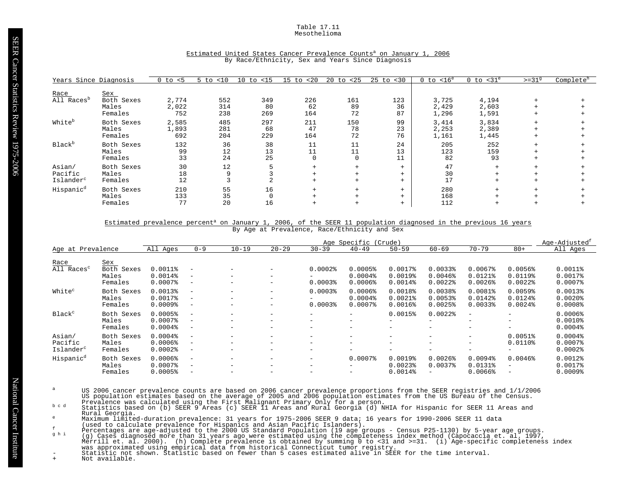#### Table 17.11 Mesothelioma

| Years Since Diagnosis                      |                                | $0$ to $< 5$          | $5$ to $< 10$     | $10$ to $< 15$   | $15$ to $< 20$                | $20$ to $< 25$          | $25$ to $< 30$          | $0$ to $< 16^e$         | $0$ to $<$ 31 $^{\circ}$ | $>=319$ | Complete <sup>h</sup> |
|--------------------------------------------|--------------------------------|-----------------------|-------------------|------------------|-------------------------------|-------------------------|-------------------------|-------------------------|--------------------------|---------|-----------------------|
| Race<br>All Races <sup>b</sup>             | <u>Sex</u><br>Both Sexes       |                       |                   | 349              | 226                           |                         | 123                     |                         | 4,194                    |         |                       |
|                                            | Males<br>Females               | 2,774<br>2,022<br>752 | 552<br>314<br>238 | 80<br>269        | 62<br>164                     | 161<br>89<br>72         | 36<br>87                | 3,725<br>2,429<br>1,296 | 2,603<br>1,591           |         |                       |
| White <sup>b</sup>                         | Both Sexes<br>Males<br>Females | 2,585<br>1,893<br>692 | 485<br>281<br>204 | 297<br>68<br>229 | 211<br>47<br>164              | 150<br>78<br>72         | 99<br>23<br>76          | 3,414<br>2,253<br>1,161 | 3,834<br>2,389<br>1,445  | $+$     |                       |
| Black <sup>b</sup>                         | Both Sexes<br>Males<br>Females | 132<br>99<br>33       | 36<br>12<br>24    | 38<br>13<br>25   | 11<br>11<br>$\Omega$          | 11<br>11<br>$\mathbf 0$ | 24<br>13<br>11          | 205<br>123<br>82        | 252<br>159<br>93         | $+$     |                       |
| Asian/<br>Pacific<br>Islander <sup>c</sup> | Both Sexes<br>Males<br>Females | 30<br>18<br>12        | 12<br>9           |                  | $+$<br>$+$<br>$+$             | $^{+}$<br>$+$<br>$+$    | $+$<br>$+$<br>$+$       | 47<br>30<br>17          | $+$<br>$+$<br>$+$        |         |                       |
| Hispanic <sup>d</sup>                      | Both Sexes<br>Males<br>Females | 210<br>133<br>77      | 55<br>35<br>20    | 16<br>0<br>16    | $+$<br>$\ddot{}$<br>$\ddot{}$ | $+$<br>$+$              | $+$<br>$+$<br>$\ddot{}$ | 280<br>168<br>112       | $+$<br>$\pm$<br>$+$      |         |                       |

# Estimated United States Cancer Prevalence Counts<sup>a</sup> on January 1, 2006 By Race/Ethnicity, Sex and Years Since Diagnosis

# Estimated prevalence percent<sup>a</sup> on January 1, 2006, of the SEER 11 population diagnosed in the previous 16 years By Age at Prevalence, Race/Ethnicity and Sex

|                                            |                                              |                                                  |                                                                                  |                                                                                  |                                                                                  |                                                | Age Specific (Crude)                                           |                                                |                                                               |                                                             |                                                                                  | Age-Adjusted <sup>1</sup>                           |
|--------------------------------------------|----------------------------------------------|--------------------------------------------------|----------------------------------------------------------------------------------|----------------------------------------------------------------------------------|----------------------------------------------------------------------------------|------------------------------------------------|----------------------------------------------------------------|------------------------------------------------|---------------------------------------------------------------|-------------------------------------------------------------|----------------------------------------------------------------------------------|-----------------------------------------------------|
| Age at Prevalence                          |                                              | All Ages                                         | $0 - 9$                                                                          | $10 - 19$                                                                        | $20 - 29$                                                                        | $30 - 39$                                      | $40 - 49$                                                      | $50 - 59$                                      | $60 - 69$                                                     | $70 - 79$                                                   | $80+$                                                                            | All Ages                                            |
| Race<br>$\overline{Al}$ Races <sup>c</sup> | <u>Sex</u><br>Both Sexes<br>Males<br>Females | $0.0011$ %<br>$0.0014$ %<br>$0.0007$ $8$         | $\overline{\phantom{0}}$<br>$\overline{\phantom{m}}$<br>$\overline{\phantom{m}}$ | $\overline{\phantom{m}}$<br>$\overline{\phantom{m}}$<br>$\overline{\phantom{m}}$ | $\overline{\phantom{m}}$<br>$\overline{\phantom{m}}$<br>$\overline{\phantom{m}}$ | $0.0002$ $%$<br>$0.0003$ <sup>8</sup>          | 0.0005%<br>$0.0004$ $%$<br>$0.0006$ <sup>8</sup>               | 0.0017%<br>0.0019%<br>$0.0014$ %               | 0.00338<br>$0.0046$ <sup>8</sup><br>$0.0022$ $8$              | $0.0067$ $8$<br>$0.0121$ %<br>$0.0026$ <sup>8</sup>         | 0.0056%<br>$0.0119$ <sup>8</sup><br>$0.0022$ $8$                                 | $0.0011$ %<br>0.00178<br>$0.0007$ $8$               |
| White <sup>c</sup>                         | Both Sexes<br>Males<br>Females               | 0.0013%<br>0.0017%<br>$0.0009$ $8$               | $\equiv$<br>$\overline{\phantom{m}}$                                             | $\overline{\phantom{m}}$<br>$\overline{\phantom{m}}$<br>$\overline{\phantom{m}}$ | $\overline{\phantom{m}}$<br>$\overline{\phantom{m}}$                             | $0.0003$ <sup>8</sup><br>$0.0003$ <sup>8</sup> | $0.0006$ <sup>8</sup><br>$0.0004$ <sup>8</sup><br>$0.0007$ $8$ | $0.0018$ %<br>$0.0021$ %<br>$0.0016$ $%$       | 0.0038%<br>0.0053%<br>0.0025%                                 | 0.0081%<br>$0.0142$ $%$<br>0.00338                          | 0.0059%<br>$0.0124$ <sup>8</sup><br>$0.0024$ $%$                                 | 0.0013%<br>$0.0020$ $%$<br>0.0008                   |
| Black <sup>c</sup>                         | Both Sexes<br>Males<br>Females               | 0.0005%<br>$0.0007$ $8$<br>$0.0004$ $8$          | $\equiv$<br>$\overline{\phantom{m}}$<br>$\overline{\phantom{m}}$                 | $\overline{\phantom{m}}$<br>$\overline{\phantom{m}}$<br>$\overline{\phantom{m}}$ | $\overline{\phantom{m}}$<br>$\overline{\phantom{m}}$<br>$\overline{\phantom{m}}$ | -<br>-<br>-                                    | $\overline{\phantom{0}}$<br>$-$<br>$\overline{\phantom{0}}$    | 0.0015%<br>-<br>$-$                            | $0.0022$ $8$<br>$\overline{\phantom{0}}$<br>$\qquad \qquad -$ | $\overline{\phantom{0}}$<br>$\qquad \qquad$<br>$-$          | $\overline{\phantom{0}}$<br>$\overline{\phantom{m}}$<br>$\overline{\phantom{0}}$ | $0.0006$ <sup>8</sup><br>$0.0010$ %<br>$0.0004$ $8$ |
| Asian/<br>Pacific<br>Islander <sup>c</sup> | Both Sexes<br>Males<br>Females               | 0.0004%<br>$0.0006$ <sup>8</sup><br>$0.0002$ $8$ | $\equiv$<br>$\equiv$                                                             | $\overline{\phantom{m}}$<br>$\overline{\phantom{0}}$                             | $\overline{\phantom{m}}$<br>$\overline{\phantom{m}}$<br>$\overline{\phantom{m}}$ | -<br>-<br>-                                    | $\overline{\phantom{0}}$<br>$\overline{\phantom{0}}$<br>$-$    | $\overline{\phantom{0}}$<br>-<br>-             | $\qquad \qquad -$<br>$-$<br>$\overline{\phantom{m}}$          | $-$<br>$\overline{\phantom{0}}$<br>$\overline{\phantom{0}}$ | 0.0051%<br>$0.0110$ %<br>$\overline{\phantom{m}}$                                | $0.0004$ $8$<br>$0.0007$ $8$<br>$0.0002$ $%$        |
| Hispanic <sup>d</sup>                      | Both Sexes<br>Males<br>Females               | $0.0006$ <sup>8</sup><br>$0.0007$ $8$<br>0.0005% | $\overline{\phantom{m}}$<br>$\overline{\phantom{0}}$<br>$\qquad \qquad -$        | $\overline{\phantom{m}}$<br>$\overline{\phantom{m}}$<br>$\overline{\phantom{0}}$ | $\overline{\phantom{m}}$<br>$\overline{\phantom{m}}$<br>$\overline{\phantom{m}}$ | -<br>-                                         | $0.0007$ $8$<br>$-$<br>$\overline{\phantom{0}}$                | 0.0019%<br>$0.0023$ <sup>8</sup><br>$0.0014$ % | $0.0026$ <sup>8</sup><br>0.00378                              | $0.0094$ $%$<br>$0.0131$ %<br>$0.0066$ <sup>8</sup>         | 0.0046%<br>$\overline{\phantom{0}}$<br>$\qquad \qquad -$                         | $0.0012$ $%$<br>0.00178<br>$0.0009$ <sup>8</sup>    |

- US 2006 cancer prevalence counts are based on 2006 cancer prevalence proportions from the SEER registries and 1/1/2006<br>US population estimates based on the average of 2005 and 2006 population estimates from the US Bureau o
- Rural Georgia.
- 
- 
- Maximum limited-duration prevalence: 31 years for 1975-2006 SEER 9 data; 16 years for 1990-2006 SEER 11 data<br>
(used to claculate prevalence for Hispanics and Asian Pacific Islanders).<br>
Percentages are age-adjusted to the 2
-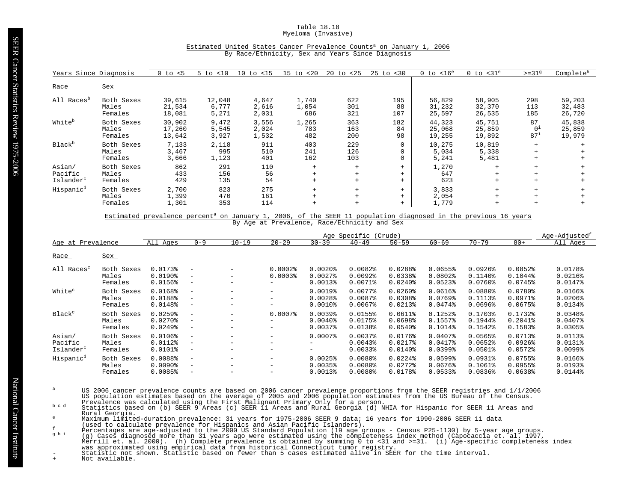#### Table 18.18 Myeloma (Invasive)

# Estimated United States Cancer Prevalence Counts<sup>a</sup> on January 1, 2006 By Race/Ethnicity, Sex and Years Since Diagnosis

| Years Since Diagnosis                      |                                | $0$ to $< 5$               | < 10<br>5 to             | $10$ to $\langle 15$    | $15$ to $< 20$        | $20 \text{ to } 25$ | $25$ to $< 30$    | $0$ to $< 16^e$            | $0$ to $<$ 31 $^e$         | $>=319$                                 | Complete <sup>h</sup>      |
|--------------------------------------------|--------------------------------|----------------------------|--------------------------|-------------------------|-----------------------|---------------------|-------------------|----------------------------|----------------------------|-----------------------------------------|----------------------------|
| Race                                       | Sex                            |                            |                          |                         |                       |                     |                   |                            |                            |                                         |                            |
| All Races <sup>b</sup>                     | Both Sexes<br>Males<br>Females | 39,615<br>21,534<br>18,081 | 12,048<br>6,777<br>5,271 | 4,647<br>2,616<br>2,031 | 1,740<br>1,054<br>686 | 622<br>301<br>321   | 195<br>88<br>107  | 56,829<br>31,232<br>25,597 | 58,905<br>32,370<br>26,535 | 298<br>113<br>185                       | 59,203<br>32,483<br>26,720 |
| White <sup>b</sup>                         | Both Sexes<br>Males<br>Females | 30,902<br>17,260<br>13,642 | 9,472<br>5,545<br>3,927  | 3,556<br>2,024<br>1,532 | 1,265<br>783<br>482   | 363<br>163<br>200   | 182<br>84<br>98   | 44,323<br>25,068<br>19,255 | 45,751<br>25,859<br>19,892 | 87<br>0 <sup>1</sup><br>$87^{\text{i}}$ | 45,838<br>25,859<br>19,979 |
| Black <sup>b</sup>                         | Both Sexes<br>Males<br>Females | 7,133<br>3,467<br>3,666    | 2,118<br>995<br>1,123    | 911<br>510<br>401       | 403<br>241<br>162     | 229<br>126<br>103   | $\mathbf 0$       | 10,275<br>5,034<br>5,241   | 10,819<br>5,338<br>5,481   | $+$<br>$+$<br>$+$                       |                            |
| Asian/<br>Pacific<br>Islander <sup>c</sup> | Both Sexes<br>Males<br>Females | 862<br>433<br>429          | 291<br>156<br>135        | 110<br>56<br>54         | $+$<br>$+$<br>$+$     | $+$<br>$+$<br>$+$   | $+$<br>$+$<br>$+$ | 1,270<br>647<br>623        | $+$<br>$+$<br>$+$          | $+$<br>$+$<br>$+$                       |                            |
| Hispanic <sup>d</sup>                      | Both Sexes<br>Males<br>Females | 2,700<br>1,399<br>1,301    | 823<br>470<br>353        | 275<br>161<br>114       | $+$<br>$+$            | $+$<br>$+$<br>$+$   | $+$<br>$+$<br>$+$ | 3,833<br>2,054<br>1,779    | $+$<br>$+$<br>$+$          | $+$<br>$+$                              |                            |

Estimated prevalence percent<sup>a</sup> on January 1, 2006, of the SEER 11 population diagnosed in the previous 16 years By Age at Prevalence, Race/Ethnicity and Sex

|                                            |                                |                                                  |                                                                                  |                 |                                                      |                                                                | Age Specific                                                    | (Crude)                                                   |                                                           |                                                           |                                                  | Age-Adjusted <sup>t</sup>                                 |
|--------------------------------------------|--------------------------------|--------------------------------------------------|----------------------------------------------------------------------------------|-----------------|------------------------------------------------------|----------------------------------------------------------------|-----------------------------------------------------------------|-----------------------------------------------------------|-----------------------------------------------------------|-----------------------------------------------------------|--------------------------------------------------|-----------------------------------------------------------|
| Age at Prevalence                          |                                | All Ages                                         | $0 - 9$                                                                          | $10 - 19$       | $20 - 29$                                            | $30 - 39$                                                      | $40 - 49$                                                       | $50 - 59$                                                 | $60 - 69$                                                 | $70 - 79$                                                 | $80+$                                            | All Ages                                                  |
| <u>Race</u>                                | Sex                            |                                                  |                                                                                  |                 |                                                      |                                                                |                                                                 |                                                           |                                                           |                                                           |                                                  |                                                           |
| All Races <sup>c</sup>                     | Both Sexes<br>Males<br>Females | 0.0173%<br>$0.0190$ <sup>8</sup><br>0.0156%      | $\overline{\phantom{m}}$<br>$\overline{\phantom{m}}$<br>$\overline{\phantom{m}}$ | -<br>-          | $0.0002$ $%$<br>0.00038<br>$\qquad \qquad -$         | $0.0020$ $8$<br>$0.0027$ $8$<br>$0.0013$ <sup>8</sup>          | $0.0082$ $% 0.0082$<br>$0.0092$ $%$<br>$0.0071$ %               | $0.0288$ <sup>*</sup><br>0.0338%<br>$0.0240$ <sup>8</sup> | 0.0655%<br>$0.0802$ $%$<br>$0.0523$ <sup>8</sup>          | $0.0926$ <sup>8</sup><br>$0.1140$ $%$<br>$0.0760$ $8$     | 0.0852<br>0.1044%<br>$0.0745$ $%$                | 0.0178%<br>$0.0216$ <sup>8</sup><br>0.0147%               |
| White <sup>c</sup>                         | Both Sexes<br>Males<br>Females | 0.0168%<br>0.0188%<br>0.0148%                    | $\overline{\phantom{a}}$<br>$\overline{\phantom{m}}$<br>$\qquad \qquad -$        | -<br>-<br>-     | $\qquad \qquad -$<br>$-$<br>$\qquad \qquad -$        | 0.0019%<br>0.0028<br>$0.0010$ $8$                              | 0.0077%<br>0.0087%<br>$0.0067$ $8$                              | $0.0260$ <sup>8</sup><br>0.0308<br>$0.0213$ <sup>*</sup>  | 0.0616%<br>$0.0769$ <sup>8</sup><br>0.0474%               | $0.0880$ <sup>2</sup><br>0.1113%<br>$0.0696$ <sup>8</sup> | 0.0780%<br>0.0971%<br>0.0675%                    | $0.0166$ <sup>8</sup><br>$0.0206$ <sup>8</sup><br>0.0134% |
| Black <sup>c</sup>                         | Both Sexes<br>Males<br>Females | 0.0259%<br>$0.0270$ $%$<br>$0.0249$ <sup>8</sup> | $\overline{\phantom{m}}$<br>$\qquad \qquad -$<br>$\overline{\phantom{m}}$        | -<br>-          | $0.0007$ $8$<br>-<br>$-$                             | $0.0039$ <sup>8</sup><br>$0.0040$ <sup>§</sup><br>$0.0037$ $8$ | 0.0155%<br>0.0175%<br>0.0138%                                   | $0.0611$ %<br>0.0698%<br>$0.0540$ <sup>8</sup>            | 0.1252%<br>0.1557%<br>0.1014%                             | $0.1703$ <sup>*</sup><br>0.1944%<br>$0.1542$ $%$          | 0.1732%<br>$0.2041$ $8$<br>0.1583%               | 0.0348%<br>$0.0407$ $8$<br>0.0305%                        |
| Asian/<br>Pacific<br>Islander <sup>c</sup> | Both Sexes<br>Males<br>Females | 0.0106%<br>0.0112%<br>$0.0101$ %                 | $\overline{\phantom{a}}$<br>$\overline{\phantom{m}}$<br>-                        | $-$<br>-<br>$-$ | $\qquad \qquad -$<br>$-$<br>$\overline{\phantom{0}}$ | $0.0007$ $8$<br>н.                                             | 0.0037%<br>$0.0043$ <sup>8</sup><br>0.00338                     | 0.0176%<br>$0.0217$ %<br>$0.0140$ $%$                     | $0.0407$ %<br>0.0417%<br>$0.0399$ <sup>8</sup>            | 0.0565%<br>$0.0652$ $% 0.0652$<br>$0.0501$ %              | 0.0713%<br>$0.0926$ <sup>8</sup><br>$0.0572$ $%$ | 0.0113%<br>0.0131%<br>$0.0099$ $%$                        |
| Hispanic <sup>d</sup>                      | Both Sexes<br>Males<br>Females | 0.0088<br>$0.0090$ <sup>8</sup><br>0.0085%       | $\overline{\phantom{a}}$<br>$\overline{\phantom{m}}$<br>-                        | -<br>-<br>-     | $\qquad \qquad -$<br>$-$<br>$-$                      | 0.0025%<br>0.0035%<br>0.0013%                                  | $0.0080$ $%$<br>$0.0080$ <sup>8</sup><br>$0.0080$ <sup>\$</sup> | $0.0224$ <sup>8</sup><br>0.0272<br>0.0178%                | $0.0599$ <sup>8</sup><br>0.0676%<br>$0.0533$ <sup>8</sup> | $0.0931$ %<br>$0.1061$ $%$<br>$0.0836$ <sup>8</sup>       | 0.0755%<br>0.0955%<br>0.0638%                    | $0.0166$ <sup>8</sup><br>0.0193%<br>0.0144%               |

- US 2006 cancer prevalence counts are based on 2006 cancer prevalence proportions from the SEER registries and 1/1/2006<br>US population estimates based on the average of 2005 and 2006 population estimates from the US Bureau o
- Rural Georgia.
- 
- 
- 
- Maximum limited-duration prevalence: 31 years for 1975-2006 SEER 9 data; 16 years for 1990-2006 SEER 11 data<br>
(used to claculate prevalence for Hispanics and Asian Pacific Islanders).<br>
Percentages are age-adjusted to the 2
-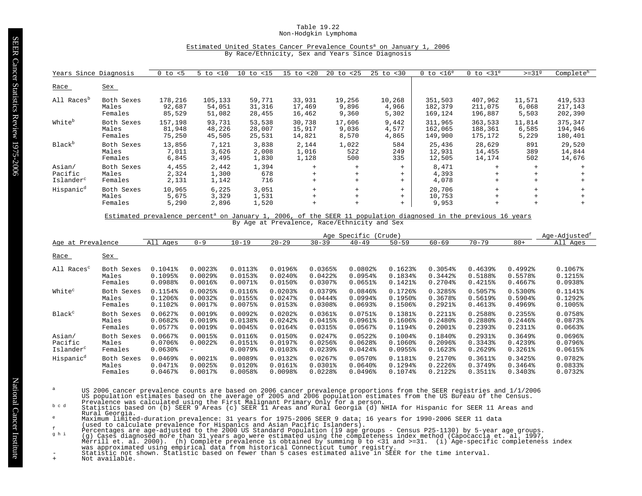#### Table 19.22 Non-Hodgkin Lymphoma

# Estimated United States Cancer Prevalence Counts<sup>a</sup> on January 1, 2006 By Race/Ethnicity, Sex and Years Since Diagnosis

| Years Since Diagnosis                      |                                | $0$ to $< 5$                | < 10<br>5 to                | 10<br>to $<$ 15            | $15$ to $< 20$             | $20 \text{ to } 25$      | $25$ to $< 30$           | $0$ to $< 16^e$               | $0$ to $<$ 31 $^{\circ}$      | $>=31^9$                 | Complete <sup>h</sup>         |
|--------------------------------------------|--------------------------------|-----------------------------|-----------------------------|----------------------------|----------------------------|--------------------------|--------------------------|-------------------------------|-------------------------------|--------------------------|-------------------------------|
| Race                                       | <u>Sex</u>                     |                             |                             |                            |                            |                          |                          |                               |                               |                          |                               |
| All Races <sup>p</sup>                     | Both Sexes<br>Males<br>Females | 178,216<br>92,687<br>85,529 | 105,133<br>54,051<br>51,082 | 59,771<br>31,316<br>28,455 | 33,931<br>17,469<br>16,462 | 19,256<br>9,896<br>9,360 | 10,268<br>4,966<br>5,302 | 351,503<br>182,379<br>169,124 | 407,962<br>211,075<br>196,887 | 11,571<br>6,068<br>5,503 | 419,533<br>217,143<br>202,390 |
| White <sup>b</sup>                         | Both Sexes<br>Males<br>Females | 157,198<br>81,948<br>75,250 | 93,731<br>48,226<br>45,505  | 53,538<br>28,007<br>25,531 | 30,738<br>15,917<br>14,821 | 17,606<br>9,036<br>8,570 | 9,442<br>4,577<br>4,865  | 311,965<br>162,065<br>149,900 | 363,533<br>188,361<br>175,172 | 11,814<br>6,585<br>5,229 | 375,347<br>194,946<br>180,401 |
| Black <sup>b</sup>                         | Both Sexes<br>Males<br>Females | 13,856<br>7,011<br>6,845    | 7,121<br>3,626<br>3,495     | 3,838<br>2,008<br>1,830    | 2,144<br>1,016<br>1,128    | 1,022<br>522<br>500      | 584<br>249<br>335        | 25,436<br>12,931<br>12,505    | 28,629<br>14,455<br>14,174    | 891<br>389<br>502        | 29,520<br>14,844<br>14,676    |
| Asian/<br>Pacific<br>Islander <sup>c</sup> | Both Sexes<br>Males<br>Females | 4,455<br>2,324<br>2,131     | 2,442<br>1,300<br>1,142     | 1,394<br>678<br>716        | $+$<br>$+$<br>$+$          | $+$<br>$+$<br>$+$        | $+$<br>$+$<br>$+$        | 8,471<br>4,393<br>4,078       | $+$<br>$+$                    | $+$                      |                               |
| Hispanic <sup>d</sup>                      | Both Sexes<br>Males<br>Females | 10,965<br>5,675<br>5,290    | 6,225<br>3,329<br>2,896     | 3,051<br>1,531<br>1,520    | $+$<br>$+$<br>$+$          | $+$<br>$+$<br>$+$        | $+$<br>$+$<br>$+$        | 20,706<br>10,753<br>9,953     | $+$<br>$+$                    |                          |                               |

Estimated prevalence percent<sup>a</sup> on January 1, 2006, of the SEER 11 population diagnosed in the previous 16 years By Age at Prevalence, Race/Ethnicity and Sex

|                        |            |                        |                        |                       |                       |                        | Age Specific           | (Crude)               |                       |                       |                       | Age-Adjusted <sup>t</sup> |
|------------------------|------------|------------------------|------------------------|-----------------------|-----------------------|------------------------|------------------------|-----------------------|-----------------------|-----------------------|-----------------------|---------------------------|
| Age at Prevalence      |            | All Ages               | $0 - 9$                | $10 - 19$             | $20 - 29$             | $30 - 39$              | $40 - 49$              | $50 - 59$             | $60 - 69$             | $70 - 79$             | $80+$                 | All Ages                  |
| Race                   | <u>Sex</u> |                        |                        |                       |                       |                        |                        |                       |                       |                       |                       |                           |
| All Races <sup>c</sup> | Both Sexes | $0.1041$ %             | $0.0023$ <sup>\$</sup> | 0.0113%               | $0.0196$ <sup>8</sup> | 0.0365%                | 0.0802                 | $0.1623$ <sup>8</sup> | 0.3054%               | $0.4639$ <sup>8</sup> | 0.4992                | 0.1067%                   |
|                        | Males      | 0.1095%                | $0.0029$ <sup>\$</sup> | 0.0153%               | 0.0240                | 0.0422                 | $0.0954$ <sup>8</sup>  | 0.1834%               | 0.3442%               | 0.5188%               | 0.5578%               | 0.1215%                   |
|                        | Females    | 0.0988%                | $0.0016$ <sup>8</sup>  | $0.0071$ %            | $0.0150$ %            | $0.0307$ $%$           | $0.0651$ $%$           | 0.1421%               | $0.2704$ $%$          | 0.4215%               | 0.4667%               | $0.0938$ <sup>*</sup>     |
| White <sup>c</sup>     | Both Sexes | 0.1154%                | 0.0025%                | $0.0116$ $%$          | 0.02038               | $0.0379$ <sup>8</sup>  | $0.0846$ <sup>8</sup>  | $0.1726$ <sup>2</sup> | 0.3285%               | $0.5057$ $%$          | 0.5300%               | 0.1141%                   |
|                        | Males      | 0.1206%                | $0.0032$ $%$           | 0.0155%               | $0.0247$ $%$          | $0.0444$ <sup>8</sup>  | $0.0994$ <sup>8</sup>  | $0.1950$ <sup>8</sup> | 0.3678%               | 0.5619%               | 0.5904%               | 0.1292%                   |
|                        | Females    | 0.1102%                | $0.0017$ %             | $0.0075$ $8$          | $0.0153$ <sup>*</sup> | 0.0308                 | 0.0693                 | $0.1506$ <sup>8</sup> | $0.2921$ $%$          | 0.4613                | 0.4969%               | $0.1005$ %                |
| Black <sup>c</sup>     | Both Sexes | $0.0627$ $8$           | 0.0019%                | $0.0092$ $%$          | $0.0202$ $%$          | $0.0361$ $%$           | $0.0751$ %             | 0.1381%               | $0.2211$ $%$          | $0.2588$ <sup>8</sup> | 0.2355%               | 0.0758%                   |
|                        | Males      | 0.0682                 | 0.0019%                | 0.0138%               | $0.0242$ <sup>8</sup> | 0.0415%                | $0.0961$ $%$           | $0.1606$ <sup>2</sup> | 0.2480%               | 0.2880%               | $0.2446$ <sup>8</sup> | 0.0873%                   |
|                        | Females    | $0.0577$ %             | 0.0019%                | 0.0045%               | 0.0164%               | 0.0315%                | $0.0567$ $%$           | 0.1194%               | $0.2001$ $%$          | 0.23938               | 0.2311%               | $0.0663$ <sup>8</sup>     |
| Asian/                 | Both Sexes | $0.0667$ $8$           | 0.0015%                | $0.0116$ <sup>8</sup> | $0.0150$ %            | $0.0247$ $8$           | 0.0522                 | $0.1004\$             | 0.1840%               | $0.2931$ $%$          | 0.3649%               | 0.0696%                   |
| Pacific                | Males      | $0.0706$ <sup>8</sup>  | 0.0022                 | $0.0151$ %            | 0.0197%               | $0.0256$ <sup>8</sup>  | $0.0628$ <sup>\$</sup> | $0.1060$ $%$          | $0.2096$ <sup>8</sup> | 0.3343%               | 0.4239%               | $0.0796$ <sup>8</sup>     |
| Islander <sup>c</sup>  | Females    | $0.0630$ <sup>\$</sup> | -                      | $0.0079$ $%$          | 0.01038               | $0.0239$ <sup>8</sup>  | $0.0424$ <sup>8</sup>  | $0.0955$ <sup>8</sup> | 0.1623%               | $0.2629$ <sup>8</sup> | 0.3261%               | 0.0615%                   |
| Hispanic <sup>d</sup>  | Both Sexes | $0.0469$ <sup>8</sup>  | $0.0021$ $%$           | 0.0089%               | $0.0132$ $%$          | $0.0267$ $%$           | $0.0570$ %             | 0.1181%               | $0.2170$ $%$          | $0.3611$ $%$          | 0.3425%               | 0.0782%                   |
|                        | Males      | 0.0471%                | $0.0025$ <sup>8</sup>  | $0.0120$ <sup>§</sup> | $0.0161$ <sup>8</sup> | $0.0301$ $8$           | $0.0640$ <sup>8</sup>  | $0.1294$ <sup>8</sup> | $0.2226$ <sup>8</sup> | $0.3749$ <sup>8</sup> | 0.3464%               | $0.0833$ <sup>8</sup>     |
|                        | Females    | $0.0467$ $%$           | 0.00178                | 0.0058                | 0.0098                | $0.0228$ <sup>\$</sup> | $0.0496$ <sup>8</sup>  | 0.1074%               | 0.2122%               | 0.3511%               | 0.3403%               | $0.0732$ $%$              |

- US 2006 cancer prevalence counts are based on 2006 cancer prevalence proportions from the SEER registries and 1/1/2006<br>US population estimates based on the average of 2005 and 2006 population estimates from the US Bureau o
- Rural Georgia.
- 
- 
- 
- Maximum limited-duration prevalence: 31 years for 1975-2006 SEER 9 data; 16 years for 1990-2006 SEER 11 data<br>
(used to claculate prevalence for Hispanics and Asian Pacific Islanders).<br>
Percentages are age-adjusted to the 2
-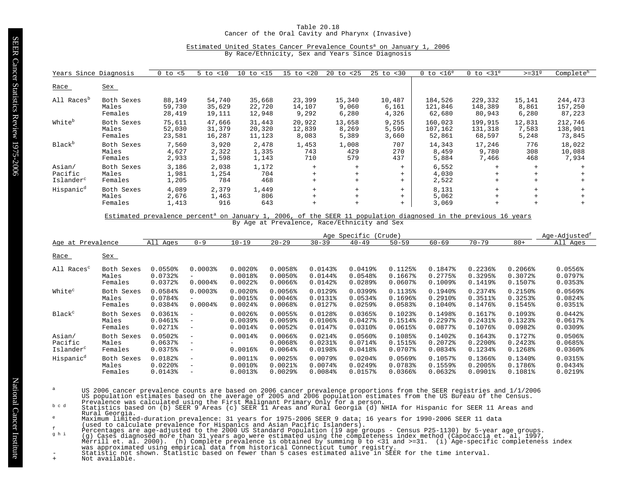#### Table 20.18 Cancer of the Oral Cavity and Pharynx (Invasive)

# Estimated United States Cancer Prevalence Counts<sup>a</sup> on January 1, 2006

By Race/Ethnicity, Sex and Years Since Diagnosis

| Years Since Diagnosis  |                                | $0$ to $< 5$            | <10<br>$5$ to         | 10<br>to <15        | $15$ to $< 20$    | $20$ to $< 25$    | $25$ to $< 30$    | $0$ to $< 16^e$         | $0$ to $<$ 31 $^{\circ}$ | $>=319$           | Complete <sup>h</sup> |
|------------------------|--------------------------------|-------------------------|-----------------------|---------------------|-------------------|-------------------|-------------------|-------------------------|--------------------------|-------------------|-----------------------|
| Race                   | <u>Sex</u>                     |                         |                       |                     |                   |                   |                   |                         |                          |                   |                       |
| All Races <sup>b</sup> | Both Sexes                     | 88,149                  | 54,740                | 35,668              | 23,399            | 15,340            | 10,487            | 184,526                 | 229,332                  | 15,141            | 244,473               |
|                        | Males                          | 59,730                  | 35,629                | 22,720              | 14,107            | 9,060             | 6,161             | 121,846                 | 148,389                  | 8,861             | 157,250               |
|                        | Females                        | 28,419                  | 19,111                | 12,948              | 9,292             | 6,280             | 4,326             | 62,680                  | 80,943                   | 6,280             | 87,223                |
| White <sup>b</sup>     | Both Sexes                     | 75,611                  | 47,666                | 31,443              | 20,922            | 13,658            | 9,255             | 160,023                 | 199,915                  | 12,831            | 212,746               |
|                        | Males                          | 52,030                  | 31,379                | 20,320              | 12,839            | 8,269             | 5,595             | 107,162                 | 131,318                  | 7,583             | 138,901               |
|                        | Females                        | 23,581                  | 16,287                | 11,123              | 8,083             | 5,389             | 3,660             | 52,861                  | 68,597                   | 5,248             | 73,845                |
| Black <sup>b</sup>     | Both Sexes                     | 7,560                   | 3,920                 | 2,478               | 1,453             | 1,008             | 707               | 14,343                  | 17,246                   | 776               | 18,022                |
|                        | Males                          | 4,627                   | 2,322                 | 1,335               | 743               | 429               | 270               | 8,459                   | 9,780                    | 308               | 10,088                |
|                        | Females                        | 2,933                   | 1,598                 | 1,143               | 710               | 579               | 437               | 5,884                   | 7,466                    | 468               | 7,934                 |
| Asian/                 | Both Sexes                     | 3,186                   | 2,038                 | 1,172               | $+$               | $+$               | $+$               | 6,552                   | $+$                      | $+$               |                       |
| Pacific                | Males                          | 1,981                   | 1,254                 | 704                 | $+$               | $+$               | $+$               | 4,030                   | $+$                      | $+$               |                       |
| Islander <sup>c</sup>  | Females                        | 1,205                   | 784                   | 468                 | $+$               | $+$               | $+$               | 2,522                   | $+$                      | $+$               |                       |
| Hispanic <sup>d</sup>  | Both Sexes<br>Males<br>Females | 4,089<br>2,676<br>1,413 | 2,379<br>1,463<br>916 | 1,449<br>806<br>643 | $+$<br>$+$<br>$+$ | $+$<br>$+$<br>$+$ | $+$<br>$+$<br>$+$ | 8,131<br>5,062<br>3,069 | $+$<br>$+$<br>$+$        | $+$<br>$+$<br>$+$ |                       |

Estimated prevalence percent<sup>a</sup> on January 1, 2006, of the SEER 11 population diagnosed in the previous 16 years By Age at Prevalence, Race/Ethnicity and Sex

|                                            |                                |                                    |                                                                                  |                                     |                                                          |                                         | Age Specific                          | (Crude)                       |                              |                                    |                               | Age-Adjusted <sup>t</sup>                        |
|--------------------------------------------|--------------------------------|------------------------------------|----------------------------------------------------------------------------------|-------------------------------------|----------------------------------------------------------|-----------------------------------------|---------------------------------------|-------------------------------|------------------------------|------------------------------------|-------------------------------|--------------------------------------------------|
| Age at Prevalence                          |                                | All Ages                           | $0 - 9$                                                                          | $10 - 19$                           | $20 - 29$                                                | $30 - 39$                               | $40 - 49$                             | $50 - 59$                     | $60 - 69$                    | $70 - 79$                          | $80+$                         | All Ages                                         |
| Race                                       | <u>Sex</u>                     |                                    |                                                                                  |                                     |                                                          |                                         |                                       |                               |                              |                                    |                               |                                                  |
| All Races <sup>c</sup>                     | Both Sexes                     | 0.0550%                            | 0.00038                                                                          | $0.0020$ $8$                        | 0.0058                                                   | $0.0143$ <sup>8</sup>                   | $0.0419$ <sup>8</sup>                 | 0.1125%                       | 0.1847%                      | $0.2236$ <sup>8</sup>              | $0.2066$ <sup>8</sup>         | $0.0556$ <sup>8</sup>                            |
|                                            | Males                          | $0.0732$ $%$                       | -                                                                                | $0.0018$ %                          | $0.0050$ <sup>8</sup>                                    | 0.0144%                                 | 0.0548                                | 0.1667%                       | $0.2775$ <sup>8</sup>        | 0.3295%                            | 0.3072%                       | $0.0797$ $8$                                     |
|                                            | Females                        | 0.0372%                            | $0.0004$ $8$                                                                     | 0.0022                              | $0.0066$ $8$                                             | 0.0142%                                 | $0.0289$ <sup>8</sup>                 | $0.0607$ $8$                  | $0.1009$ $%$                 | $0.1419$ $%$                       | 0.1507%                       | 0.0353                                           |
| White <sup>c</sup>                         | Both Sexes                     | 0.0584%                            | 0.00038                                                                          | $0.0020$ $8$                        | $0.0056$ <sup>8</sup>                                    | $0.0129$ <sup>8</sup>                   | $0.0399$ <sup>8</sup>                 | 0.1135%                       | $0.1940$ <sup>8</sup>        | $0.2374$ <sup>8</sup>              | 0.2150%                       | 0.0569%                                          |
|                                            | Males                          | 0.0784%                            | $\qquad \qquad -$                                                                | 0.0015%                             | $0.0046$ <sup>8</sup>                                    | $0.0131$ %                              | 0.0534%                               | 0.1696%                       | $0.2910$ $%$                 | 0.3511%                            | 0.3253%                       | $0.0824$ <sup>8</sup>                            |
|                                            | Females                        | 0.0384%                            | $0.0004$ $8$                                                                     | $0.0024$ $%$                        | 0.0068                                                   | $0.0127$ %                              | $0.0259$ <sup>8</sup>                 | 0.0583%                       | $0.1040$ <sup>8</sup>        | 0.1476%                            | 0.1545%                       | $0.0351$ $%$                                     |
| <b>Black<sup>c</sup></b>                   | Both Sexes                     | 0.0361%                            | $\overline{\phantom{a}}$                                                         | $0.0026$ <sup>8</sup>               | 0.0055%                                                  | 0.0128%                                 | 0.0365%                               | 0.1023%                       | 0.1498%                      | $0.1617$ %                         | 0.1093%                       | $0.0442$ $%$                                     |
|                                            | Males                          | $0.0461$ $%$                       | $\overline{\phantom{a}}$                                                         | $0.0039$ <sup>8</sup>               | 0.0059%                                                  | 0.0106%                                 | $0.0427$ $8$                          | 0.1514%                       | $0.2297$ <sup>8</sup>        | $0.2431$ $%$                       | 0.1323%                       | 0.0617%                                          |
|                                            | Females                        | $0.0271$ %                         | $\overline{\phantom{m}}$                                                         | $0.0014$ $8$                        | $0.0052$ $%$                                             | $0.0147$ %                              | $0.0310$ <sup>8</sup>                 | $0.0615$ $%$                  | 0.0877%                      | $0.1076$ <sup>8</sup>              | 0.0982%                       | $0.0309$ <sup>8</sup>                            |
| Asian/<br>Pacific<br>Islander <sup>c</sup> | Both Sexes<br>Males<br>Females | $0.0502$ $%$<br>0.0637%<br>0.0375% | $\overline{\phantom{a}}$<br>$\overline{\phantom{m}}$<br>$\overline{\phantom{m}}$ | $0.0014$ %<br>$0.0016$ <sup>2</sup> | $0.0066$ <sup>8</sup><br>0.0068<br>$0.0064$ <sup>8</sup> | $0.0214$ $%$<br>$0.0231$ $8$<br>0.0198% | $0.0560$ $%$<br>$0.0714$ %<br>0.0418% | 0.1085%<br>0.1515%<br>0.0707% | 0.1402%<br>0.2072<br>0.0834% | 0.1643%<br>$0.2200$ $%$<br>0.1234% | 0.1727%<br>0.2423%<br>0.1268% | 0.0506%<br>$0.0685$ <sup>8</sup><br>$0.0360$ $%$ |
| Hispanic <sup>d</sup>                      | Both Sexes                     | $0.0182$ $%$                       | $\overline{\phantom{a}}$                                                         | $0.0011$ %                          | 0.0025%                                                  | $0.0079$ $%$                            | $0.0204$ <sup>8</sup>                 | 0.0569%                       | 0.1057%                      | $0.1366$ <sup>8</sup>              | 0.1340%                       | 0.0315%                                          |
|                                            | Males                          | $0.0220$ $%$                       | $\overline{\phantom{m}}$                                                         | $0.0010$ $8$                        | $0.0021$ $8$                                             | 0.0074%                                 | $0.0249$ <sup>8</sup>                 | 0.0783%                       | 0.1559%                      | 0.2005%                            | 0.1786%                       | $0.0434$ <sup>8</sup>                            |
|                                            | Females                        | 0.0143%                            | $\overline{\phantom{m}}$                                                         | $0.0013$ <sup>8</sup>               | $0.0029$ <sup>s</sup>                                    | 0.0084%                                 | 0.0157%                               | $0.0366$ <sup>8</sup>         | $0.0632$ $% 0.0632$          | $0.0901$ $%$                       | 0.1081%                       | $0.0219$ <sup>8</sup>                            |

- US 2006 cancer prevalence counts are based on 2006 cancer prevalence proportions from the SEER registries and 1/1/2006<br>US population estimates based on the average of 2005 and 2006 population estimates from the US Bureau o
- Rural Georgia.
- 
- 
- 
- Maximum limited-duration prevalence: 31 years for 1975-2006 SEER 9 data; 16 years for 1990-2006 SEER 11 data<br>
(used to claculate prevalence for Hispanics and Asian Pacific Islanders).<br>
Percentages are age-adjusted to the 2
- 

+ Not available.

National Cancer Institute

National Cancer Institute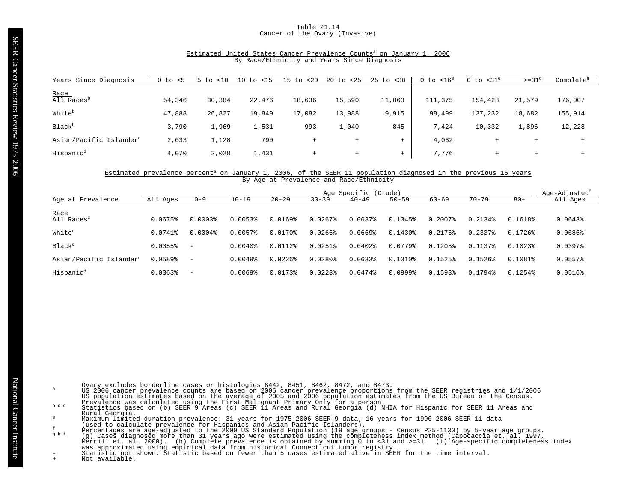# Table 21.14 Cancer of the Ovary (Invasive)

# Estimated United States Cancer Prevalence Counts<sup>a</sup> on January 1, 2006 By Race/Ethnicity and Years Since Diagnosis

| Years Since Diagnosis               | 0 to<br>$\leq$ 5 | < 10<br>$5$ to | $<$ 15<br>10<br>to | 15<br>20<br>t.o | 20<br>< 25<br>to | $25$ to $< 30$ | $0$ to $< 16^e$ | 0 to $<$ 31 $^{\circ}$ | $>=31^9$ | Complete <sup>h</sup> |
|-------------------------------------|------------------|----------------|--------------------|-----------------|------------------|----------------|-----------------|------------------------|----------|-----------------------|
|                                     |                  |                |                    |                 |                  |                |                 |                        |          |                       |
| Race<br>All Races <sup>D</sup>      | 54,346           | 30,384         | 22,476             | 18,636          | 15,590           | 11,063         | 111,375         | 154,428                | 21,579   | 176,007               |
| White <sup>b</sup>                  | 47,888           | 26,827         | 19,849             | 17,082          | 13,988           | 9,915          | 98,499          | 137,232                | 18,682   | 155,914               |
| <b>Black</b> <sup>b</sup>           | 3,790            | 1,969          | 1,531              | 993             | 1,040            | 845            | 7,424           | 10,332                 | 1,896    | 12,228                |
| Asian/Pacific Islander <sup>c</sup> | 2,033            | 1,128          | 790                | $+$             | $^{+}$           | $+$            | 4,062           | $^+$                   | $+$      |                       |
| Hispanic <sup>d</sup>               | 4,070            | 2,028          | 1,431              | $+$             | $+$              | $+$            | 7.776           | $^{+}$                 | $+$      | ÷                     |

#### Estimated prevalence percent<sup>a</sup> on January 1, 2006, of the SEER 11 population diagnosed in the previous 16 years By Age at Prevalence and Race/Ethnicity

|                                     |              |                          |              |                       |                       | Age Specific (Crude) |                       |              |                       |              | Age-Adjusted <sup>t</sup> |
|-------------------------------------|--------------|--------------------------|--------------|-----------------------|-----------------------|----------------------|-----------------------|--------------|-----------------------|--------------|---------------------------|
| Age at Prevalence                   | All Ages     | $0 - 9$                  | $10 - 19$    | $20 - 29$             | $30 - 39$             | $40 - 49$            | $50 - 59$             | $60 - 69$    | $70 - 79$             | $80+$        | All Ages                  |
| Race<br>All Races <sup>c</sup>      |              |                          |              |                       |                       |                      |                       |              |                       |              |                           |
|                                     | 0.0675%      | $0.0003$ $8$             | 0.0053%      | $0.0169$ $%$          | $0.0267$ $8$          | $0.0637$ $8$         | 0.1345%               | $0.2007$ $%$ | $0.2134$ $%$          | 0.1618%      | $0.0643$ <sup>8</sup>     |
| White <sup>c</sup>                  | $0.0741$ $%$ | $0.0004\$                | 0.0057%      | 0.0170%               | $0.0266$ $%$          | $0.0669$ $%$         | $0.1430$ <sup>8</sup> | $0.2176$ $%$ | $0.2337$ $%$          | 0.1726       | $0.0686$ <sup>8</sup>     |
| Black <sup>c</sup>                  | 0.0355%      | $\overline{\phantom{m}}$ | $0.0040$ $8$ | $0.0112$ $%$          | 0.0251%               | $0.0402$ $%$         | 0.0779%               | 0.1208%      | 0.1137%               | $0.1023$ $8$ | $0.0397$ $8$              |
| Asian/Pacific Islander <sup>c</sup> | 0.0589%      | $\overline{\phantom{m}}$ | $0.0049$ $%$ | $0.0226$ <sup>8</sup> | $0.0280$ $8$          | $0.0633$ $8$         | $0.1310$ %            | 0.1525%      | $0.1526$ <sup>8</sup> | $0.1081$ $%$ | 0.0557%                   |
| Hispanic <sup>d</sup>               | 0.0363%      | $\overline{\phantom{m}}$ | $0.0069$ $%$ | 0.0173%               | $0.0223$ <sup>8</sup> | 0.0474%              | $0.0999$ <sup>8</sup> | 0.1593%      | 794%<br>0.1           | 0.1254       | 0.0516%                   |

Ovary excludes borderline cases or histologies 8442, 8451, 8462, 8472, and 8473.<br>US 2006 cancer prevalence counts are based on 2006 cancer prevalence proportions from the SEER registries and 1/1/2006<br>US population estimate

Rural Georgia.

Maximum limited-duration prevalence: 31 years for 1975-2006 SEER 9 data; 16 years for 1990-2006 SEER 11 data<br>
(used to claculate prevalence for Hispanics and Asian Pacific Islanders).<br>
Percentages are age-adjusted to the 2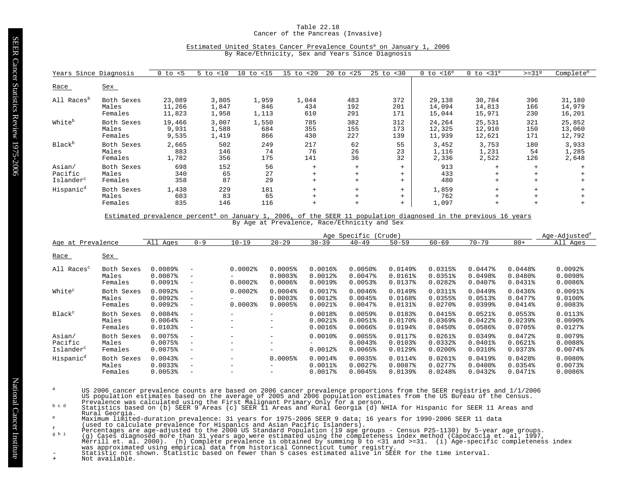#### Table 22.18 Cancer of the Pancreas (Invasive)

# Estimated United States Cancer Prevalence Counts<sup>a</sup> on January 1, 2006

By Race/Ethnicity, Sex and Years Since Diagnosis

| Years Since Diagnosis                      |                                | $0$ to $< 5$               | < 10<br>5 to            | $10$ to $< 15$        | $15$ to $< 20$      | $20$ to $< 25$    | $25$ to $< 30$    | $0$ to $< 16^e$            | $0$ to $<$ 31 $^{\circ}$   | $>=319$               | Complete <sup>h</sup>      |
|--------------------------------------------|--------------------------------|----------------------------|-------------------------|-----------------------|---------------------|-------------------|-------------------|----------------------------|----------------------------|-----------------------|----------------------------|
| Race                                       | Sex                            |                            |                         |                       |                     |                   |                   |                            |                            |                       |                            |
| All Races <sup>b</sup>                     | Both Sexes<br>Males<br>Females | 23,089<br>11,266<br>11,823 | 3,805<br>1,847<br>1,958 | 1,959<br>846<br>1,113 | 1,044<br>434<br>610 | 483<br>192<br>291 | 372<br>201<br>171 | 29,138<br>14,094<br>15,044 | 30,784<br>14,813<br>15,971 | 396<br>166<br>230     | 31,180<br>14,979<br>16,201 |
| White <sup>b</sup>                         | Both Sexes<br>Males<br>Females | 19,466<br>9,931<br>9,535   | 3,007<br>1,588<br>1,419 | 1,550<br>684<br>866   | 785<br>355<br>430   | 382<br>155<br>227 | 312<br>173<br>139 | 24,264<br>12,325<br>11,939 | 25,531<br>12,910<br>12,621 | 321<br>150<br>171     | 25,852<br>13,060<br>12,792 |
| Black <sup>b</sup>                         | Both Sexes<br>Males<br>Females | 2,665<br>883<br>1,782      | 502<br>146<br>356       | 249<br>74<br>175      | 217<br>76<br>141    | 62<br>26<br>36    | 55<br>23<br>32    | 3,452<br>1,116<br>2,336    | 3,753<br>1,231<br>2,522    | 180<br>54<br>126      | 3,933<br>1,285<br>2,648    |
| Asian/<br>Pacific<br>Islander <sup>c</sup> | Both Sexes<br>Males<br>Females | 698<br>340<br>358          | 152<br>65<br>87         | 56<br>27<br>29        | $+$<br>$+$<br>$+$   | $+$<br>$+$<br>$+$ | $+$<br>$+$<br>$+$ | 913<br>433<br>480          | $+$<br>$+$<br>$+$          | $+$<br>$\overline{+}$ |                            |
| Hispanic <sup>d</sup>                      | Both Sexes<br>Males<br>Females | 1,438<br>603<br>835        | 229<br>83<br>146        | 181<br>65<br>116      | $+$<br>$+$<br>$+$   | $+$<br>$+$<br>$+$ | $+$<br>$+$<br>$+$ | 1,859<br>762<br>1,097      | $+$<br>$+$<br>$+$          | $+$                   |                            |

Estimated prevalence percent<sup>a</sup> on January 1, 2006, of the SEER 11 population diagnosed in the previous 16 years By Age at Prevalence, Race/Ethnicity and Sex

|                                            |                                | Age-Adjusted <sup>t</sup><br>Age Specific<br>(Crude) |                                                                           |                       |                               |                            |                                             |                                             |                                                 |                                     |                                                  |                                                   |
|--------------------------------------------|--------------------------------|------------------------------------------------------|---------------------------------------------------------------------------|-----------------------|-------------------------------|----------------------------|---------------------------------------------|---------------------------------------------|-------------------------------------------------|-------------------------------------|--------------------------------------------------|---------------------------------------------------|
| Age at Prevalence                          |                                | All Ages                                             | $0 - 9$                                                                   | $10 - 19$             | $20 - 29$                     | $30 - 39$                  | $40 - 49$                                   | $50 - 59$                                   | $60 - 69$                                       | $70 - 79$                           | $80+$                                            | All Ages                                          |
| Race                                       | Sex                            |                                                      |                                                                           |                       |                               |                            |                                             |                                             |                                                 |                                     |                                                  |                                                   |
| All Races <sup>c</sup>                     | Both Sexes                     | 0.0089%                                              | $\overline{\phantom{m}}$                                                  | $0.0002$ $%$          | $0.0005$ <sup>8</sup>         | 0.0016%                    | $0.0050$ <sup>8</sup>                       | $0.0149$ <sup>8</sup>                       | 0.0315%                                         | $0.0447$ $8$                        | 0.0448                                           | $0.0092$ $%$                                      |
|                                            | Males                          | 0.0087%                                              | $\qquad \qquad -$                                                         | Ξ.                    | 0.00038                       | $0.0012$ $8$               | $0.0047$ $8$                                | $0.0161$ %                                  | 0.0351%                                         | 0.0498%                             | $0.0480$ <sup>*</sup>                            | 0.0098                                            |
|                                            | Females                        | $0.0091$ %                                           | $\overline{\phantom{m}}$                                                  | $0.0002$ $%$          | $0.0006$ <sup>8</sup>         | $0.0019$ <sup>8</sup>      | $0.0053$ <sup>8</sup>                       | 0.0137%                                     | $0.0282$ <sup>*</sup>                           | $0.0407$ $%$                        | 0.0431%                                          | $0.0086$ <sup>\$</sup>                            |
| White <sup>c</sup>                         | Both Sexes                     | $0.0092$ $%$                                         | $\overline{\phantom{a}}$                                                  | $0.0002$ $%$          | $0.0004$ <sup>8</sup>         | $0.0017$ %                 | $0.0046$ <sup>8</sup>                       | $0.0149$ <sup>8</sup>                       | $0.0311$ $%$                                    | $0.0449$ <sup>8</sup>               | $0.0436$ <sup>8</sup>                            | $0.0091$ %                                        |
|                                            | Males                          | $0.0092$ $%$                                         | $\overline{\phantom{a}}$                                                  | -                     | 0.00038                       | $0.0012$ $8$               | 0.0045%                                     | 0.0168%                                     | 0.0355%                                         | 0.0513%                             | 0.0477%                                          | $0.0100$ %                                        |
|                                            | Females                        | $0.0092$ $%$                                         | $\qquad \qquad -$                                                         | $0.0003$ <sup>8</sup> | 0.0005%                       | $0.0021$ $8$               | $0.0047$ $8$                                | $0.0131$ %                                  | $0.0270$ $%$                                    | $0.0399$ <sup>8</sup>               | 0.0414%                                          | $0.0083$ <sup>*</sup>                             |
| Black <sup>c</sup>                         | Both Sexes                     | 0.0084%                                              | $\overline{\phantom{a}}$                                                  | -                     | $-$                           | 0.0018%                    | 0.0059%                                     | 0.0183%                                     | 0.0415%                                         | $0.0521$ %                          | 0.0553%                                          | 0.0113%                                           |
|                                            | Males                          | $0.0064$ <sup>8</sup>                                | $\overline{\phantom{a}}$                                                  | -                     | -                             | $0.0021$ $8$               | 0.0051%                                     | $0.0170$ %                                  | $0.0369$ <sup>8</sup>                           | $0.0422$ $%$                        | $0.0239$ <sup>8</sup>                            | $0.0090$ <sup>8</sup>                             |
|                                            | Females                        | 0.01038                                              | $-$                                                                       | -                     | -                             | $0.0016$ <sup>8</sup>      | $0.0066$ <sup>8</sup>                       | 0.0194%                                     | $0.0450$ <sup>8</sup>                           | $0.0586$ <sup>8</sup>               | 0.0705%                                          | $0.0127$ %                                        |
| Asian/<br>Pacific<br>Islander <sup>c</sup> | Both Sexes<br>Males<br>Females | 0.0075%<br>0.0075%<br>$0.0075$ <sup>8</sup>          | $\overline{\phantom{m}}$<br>$\overline{\phantom{m}}$<br>$\qquad \qquad -$ | -<br>-<br>Ξ.          | $\qquad \qquad -$<br>$-$<br>- | $0.0010$ %<br>$0.0012$ $%$ | 0.0055%<br>$0.0043$ <sup>8</sup><br>0.0065% | 0.0117%<br>0.0103%<br>$0.0129$ <sup>8</sup> | $0.0261$ $%$<br>0.0332<br>$0.0200$ <sup>8</sup> | 0.0349%<br>$0.0401$ %<br>$0.0310$ % | 0.0472%<br>$0.0621$ $8$<br>$0.0373$ <sup>8</sup> | 0.0079%<br>$0.0088$ <sup>\$</sup><br>$0.0074$ $8$ |
| Hispanic <sup>d</sup>                      | Both Sexes                     | $0.0043$ <sup>8</sup>                                | $\overline{\phantom{a}}$                                                  | -                     | 0.0005%                       | $0.0014$ %                 | 0.0035%                                     | $0.0114$ %                                  | $0.0261$ $%$                                    | $0.0419$ <sup>8</sup>               | 0.0428                                           | $0.0080$ $%$                                      |
|                                            | Males                          | 0.00338                                              | $\overline{\phantom{m}}$                                                  | -                     | $\qquad \qquad -$             | $0.0011$ %                 | $0.0027$ $8$                                | 0.0087%                                     | $0.0277$ $8$                                    | $0.0400$ $%$                        | 0.0354%                                          | 0.0073%                                           |
|                                            | Females                        | $0.0053$ <sup>8</sup>                                | $\overline{\phantom{m}}$                                                  | -                     | -                             | 0.0017%                    | $0.0045$ <sup>8</sup>                       | 0.0139%                                     | 0.0248%                                         | 0.0432%                             | 0.0471%                                          | $0.0086$ $%$                                      |

- US 2006 cancer prevalence counts are based on 2006 cancer prevalence proportions from the SEER registries and 1/1/2006<br>US population estimates based on the average of 2005 and 2006 population estimates from the US Bureau o
- Rural Georgia.
- 
- 
- 
- Maximum limited-duration prevalence: 31 years for 1975-2006 SEER 9 data; 16 years for 1990-2006 SEER 11 data<br>
(used to claculate prevalence for Hispanics and Asian Pacific Islanders).<br>
Percentages are age-adjusted to the 2
-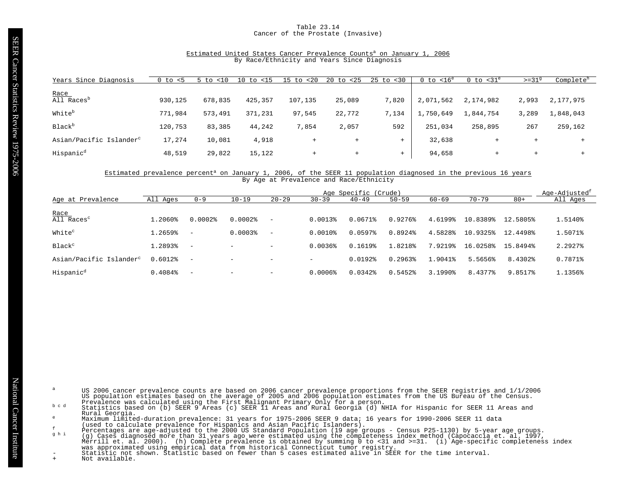## Table 23.14 Cancer of the Prostate (Invasive)

# Estimated United States Cancer Prevalence Counts<sup>a</sup> on January 1, 2006 By Race/Ethnicity and Years Since Diagnosis

| Years Since Diagnosis               | 0 to<br>$\leq$ 5 | < 10<br>5 to | < 15<br>10<br>to | < 20<br>$15$ to | 20<br>$25$<br>to | $25$ to $< 30$ | $0$ to $<$ 16 $^{\rm e}$ | 0 to $<$ 31 $^{\circ}$ | $>=319$        | Complete <sup>h</sup> |
|-------------------------------------|------------------|--------------|------------------|-----------------|------------------|----------------|--------------------------|------------------------|----------------|-----------------------|
| Race                                |                  |              |                  |                 |                  |                |                          |                        |                |                       |
| All Races <sup>D</sup>              | 930,125          | 678,835      | 425,357          | 107,135         | 25,089           | 7,820          | 2,071,562                | 2,174,982              | 2,993          | 2,177,975             |
| Whiteb                              | 771,984          | 573,491      | 371,231          | 97,545          | 22,772           | 7,134          | 1,750,649                | 1,844,754              | 3,289          | 1,848,043             |
| Black <sup>b</sup>                  | 120,753          | 83,385       | 44,242           | 7,854           | 2,057            | 592            | 251,034                  | 258,895                | 267            | 259,162               |
| Asian/Pacific Islander <sup>c</sup> | 17,274           | 10,081       | 4,918            | $+$             | $+$              |                | 32,638                   |                        | $\overline{+}$ |                       |
| Hispanic <sup>d</sup>               | 48,519           | 29,822       | 15,122           | $+$             | $+$              | $^{+}$         | 94,658                   | $^+$                   | $+$            |                       |

#### Estimated prevalence percent<sup>a</sup> on January 1, 2006, of the SEER 11 population diagnosed in the previous 16 years By Age at Prevalence and Race/Ethnicity

|                                     | Age Specific (Crude) |                          |                          |                          |                       |              |                       |           |           |          |          |
|-------------------------------------|----------------------|--------------------------|--------------------------|--------------------------|-----------------------|--------------|-----------------------|-----------|-----------|----------|----------|
| Age at Prevalence                   | All Ages             | $0 - 9$                  | $10 - 19$                | $20 - 29$                | $30 - 39$             | $40 - 49$    | $50 - 59$             | $60 - 69$ | $70 - 79$ | $80+$    | All Ages |
| Race<br>All Races <sup>c</sup>      | 1.2060%              |                          | $0.0002$ $%$             |                          |                       |              |                       |           |           |          |          |
|                                     |                      | $0.0002$ $8$             |                          | $\overline{\phantom{a}}$ | 0.0013%               | 0.0671%      | 0.9276%               | 4.6199%   | 10.8389%  | 12.5805% | 1.5140%  |
| White <sup>c</sup>                  | 1.2659%              | $\overline{\phantom{m}}$ | $0.0003$ <sup>8</sup>    | $\overline{\phantom{a}}$ | $0.0010$ $%$          | $0.0597$ $%$ | 0.8924%               | 4.5828%   | 10.9325%  | 12.4498% | 1.5071%  |
| Black <sup>c</sup>                  | 1.2893%              | $\overline{\phantom{a}}$ | $\overline{\phantom{0}}$ | $\overline{\phantom{0}}$ | $0.0036$ <sup>8</sup> | 0.1619%      | 1.8218%               | 7.9219%   | 16.0258%  | 15.8494% | 2.2927%  |
| Asian/Pacific Islander <sup>c</sup> | $0.6012$ $%$         | $\overline{\phantom{m}}$ | -                        | $\overline{\phantom{0}}$ |                       | 0.0192%      | $0.2963$ <sup>8</sup> | 1.9041%   | 5.5656%   | 8.4302%  | 0.7871%  |
| Hispanic <sup>d</sup>               | 0.4084%              | $\overline{\phantom{a}}$ | $-$                      | $\overline{\phantom{a}}$ | $0.0006$ $%$          | 0.0342       | 0.5452%               | 3.1990%   | 8.4377%   | 9.8517%  | 1.1356%  |

- US 2006 cancer prevalence counts are based on 2006 cancer prevalence proportions from the SEER registries and 1/1/2006<br>US population estimates based on the average of 2005 and 2006 population estimates from the US Bureau o
- Rural Georgia.
- 
- 
- Maximum limited-duration prevalence: 31 years for 1975-2006 SEER 9 data; 16 years for 1990-2006 SEER 11 data<br>
(used to claculate prevalence for Hispanics and Asian Pacific Islanders).<br>
Percentages are age-adjusted to the 2
	-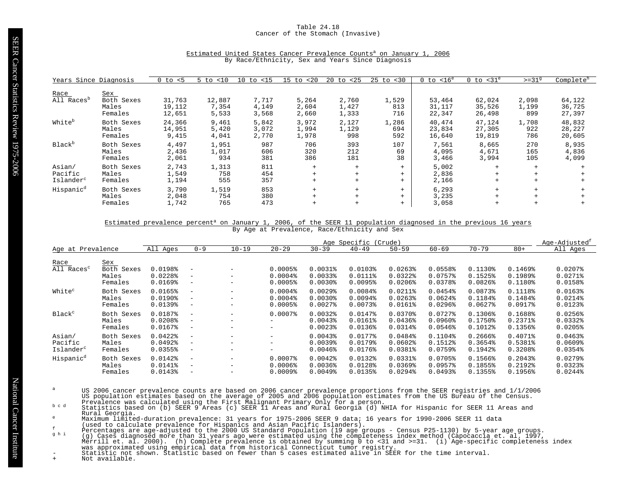# Table 24.18 Cancer of the Stomach (Invasive)

| Years Since Diagnosis                      |                                       | $~<$ 5<br>0 to             | < 10<br>5 to             | $10$ to $< 15$          | $15$ to $< 20$          | $20$ to $< 25$          | $25$ to $< 30$      | $0$ to $< 16^e$            | $0$ to $<$ 31 $^{\circ}$   | $>=31^9$              | Complete <sup>h</sup>      |
|--------------------------------------------|---------------------------------------|----------------------------|--------------------------|-------------------------|-------------------------|-------------------------|---------------------|----------------------------|----------------------------|-----------------------|----------------------------|
| Race<br>All Races <sup>b</sup>             | Sex<br>Both Sexes<br>Males<br>Females | 31,763<br>19,112<br>12,651 | 12,887<br>7,354<br>5,533 | 7,717<br>4,149<br>3,568 | 5,264<br>2,604<br>2,660 | 2,760<br>1,427<br>1,333 | 1,529<br>813<br>716 | 53,464<br>31,117<br>22,347 | 62,024<br>35,526<br>26,498 | 2,098<br>1,199<br>899 | 64,122<br>36,725<br>27,397 |
| White <sup>b</sup>                         | Both Sexes<br>Males<br>Females        | 24,366<br>14,951<br>9,415  | 9,461<br>5,420<br>4,041  | 5,842<br>3,072<br>2,770 | 3,972<br>1,994<br>1,978 | 2,127<br>1,129<br>998   | 1,286<br>694<br>592 | 40,474<br>23,834<br>16,640 | 47,124<br>27,305<br>19,819 | 1,708<br>922<br>786   | 48,832<br>28,227<br>20,605 |
| Black <sup>b</sup>                         | Both Sexes<br>Males<br>Females        | 4,497<br>2,436<br>2,061    | 1,951<br>1,017<br>934    | 987<br>606<br>381       | 706<br>320<br>386       | 393<br>212<br>181       | 107<br>69<br>38     | 7,561<br>4,095<br>3,466    | 8,665<br>4,671<br>3,994    | 270<br>165<br>105     | 8,935<br>4,836<br>4,099    |
| Asian/<br>Pacific<br>Islander <sup>c</sup> | Both Sexes<br>Males<br>Females        | 2,743<br>1,549<br>1,194    | 1,313<br>758<br>555      | 811<br>454<br>357       | $+$<br>$+$<br>$+$       | $+$<br>$+$<br>$+$       | $+$<br>$+$<br>$+$   | 5,002<br>2,836<br>2,166    | $+$<br>$+$<br>$+$          | $+$<br>$+$<br>$+$     | $^{+}$                     |
| Hispanic <sup>d</sup>                      | Both Sexes<br>Males<br>Females        | 3,790<br>2,048<br>1,742    | 1,519<br>754<br>765      | 853<br>380<br>473       | $+$<br>$+$<br>$+$       | $+$<br>$+$              | $+$<br>$+$<br>$+$   | 6,293<br>3,235<br>3,058    | $+$<br>$+$<br>$+$          | $+$<br>$+$            |                            |

# Estimated United States Cancer Prevalence Counts<sup>a</sup> on January 1, 2006 By Race/Ethnicity, Sex and Years Since Diagnosis

# Estimated prevalence percent<sup>a</sup> on January 1, 2006, of the SEER 11 population diagnosed in the previous 16 years By Age at Prevalence, Race/Ethnicity and Sex

|                                            |                                       | Age Specific<br>(Crude)                                   |                                                                                  |               |                                                                |                                                                         |                                                |                                                                |                                                                |                                                            |                                             | Age-Adjusted <sup>t</sup>                                               |
|--------------------------------------------|---------------------------------------|-----------------------------------------------------------|----------------------------------------------------------------------------------|---------------|----------------------------------------------------------------|-------------------------------------------------------------------------|------------------------------------------------|----------------------------------------------------------------|----------------------------------------------------------------|------------------------------------------------------------|---------------------------------------------|-------------------------------------------------------------------------|
| Age at Prevalence                          |                                       | All Ages                                                  | $0 - 9$                                                                          | $10 - 19$     | $20 - 29$                                                      | $30 - 39$                                                               | $40 - 49$                                      | $50 - 59$                                                      | $60 - 69$                                                      | $70 - 79$                                                  | $80 +$                                      | All Ages                                                                |
| Race<br>All Races <sup>c</sup>             | Sex<br>Both Sexes<br>Males<br>Females | 0.0198%<br>0.0228<br>0.0169%                              | $\overline{\phantom{m}}$<br>$\qquad \qquad -$<br>$\overline{\phantom{m}}$        | -<br>-        | 0.0005%<br>$0.0004$ <sup>8</sup><br>$0.0005$ <sup>8</sup>      | $0.0031$ %<br>0.00338<br>$0.0030$ <sup>§</sup>                          | 0.0103%<br>$0.0111$ %<br>$0.0095$ <sup>8</sup> | $0.0263$ <sup>8</sup><br>$0.0322$ $%$<br>$0.0206$ <sup>8</sup> | 0.0558%<br>$0.0757$ $%$<br>0.0378%                             | $0.1130$ <sup>2</sup><br>0.1525%<br>$0.0826$ <sup>\$</sup> | 0.1469%<br>0.1989%<br>0.1180%               | $0.0207$ $8$<br>$0.0271$ $%$<br>0.0158%                                 |
| White <sup>c</sup>                         | Both Sexes<br>Males<br>Females        | 0.0165%<br>$0.0190$ <sup>8</sup><br>$0.0139$ <sup>8</sup> | $\overline{\phantom{m}}$<br>$-$<br>$\overline{\phantom{m}}$                      | $-$<br>-<br>- | $0.0004$ $%$<br>$0.0004$ <sup>8</sup><br>0.0005%               | $0.0029$ <sup>8</sup><br>$0.0030$ <sup>8</sup><br>$0.0027$ $8$          | 0.0084%<br>$0.0094$ $%$<br>0.0073%             | $0.0211$ $%$<br>$0.0263$ <sup>8</sup><br>$0.0161$ %            | 0.0454%<br>0.0624<br>$0.0296$ <sup>8</sup>                     | $0.0873$ <sup>8</sup><br>0.1184%<br>$0.0627$ $8$           | 0.1118%<br>0.1484%<br>0.0917%               | 0.0163%<br>$0.0214$ $%$<br>$0.0123$ <sup>8</sup>                        |
| Black <sup>c</sup>                         | Both Sexes<br>Males<br>Females        | 0.0187%<br>0.0208<br>$0.0167$ %                           | $\overline{\phantom{m}}$<br>$\qquad \qquad -$<br>$\overline{\phantom{m}}$        | $-$<br>-      | $0.0007$ $8$<br>$-$<br>$-$                                     | $0.0032$ $%$<br>$0.0043$ <sup>8</sup><br>$0.0023$ <sup>8</sup>          | 0.0147%<br>$0.0161$ %<br>$0.0136$ <sup>8</sup> | $0.0370$ $%$<br>0.0436%<br>0.0314%                             | $0.0727$ $8$<br>$0.0960$ <sup>8</sup><br>$0.0546$ <sup>8</sup> | 0.1306%<br>0.1750%<br>$0.1012$ $8$                         | 0.1688%<br>$0.2371$ $8$<br>0.1356%          | 0.0256%<br>$0.0332$ $%$<br>$0.0205$ <sup>8</sup>                        |
| Asian/<br>Pacific<br>Islander <sup>c</sup> | Both Sexes<br>Males<br>Females        | $0.0422$ $%$<br>$0.0492$ $%$<br>0.0355%                   | $\overline{\phantom{a}}$<br>$\overline{\phantom{0}}$<br>$\overline{\phantom{m}}$ | $-$<br>-      | $\overline{\phantom{0}}$<br>$-$<br>$-$                         | $0.0043$ <sup>8</sup><br>$0.0039$ <sup>8</sup><br>$0.0046$ <sup>8</sup> | 0.0177%<br>0.0179%<br>0.0176%                  | 0.0484%<br>0.0602<br>$0.0381$ $%$                              | 0.1104%<br>0.1512%<br>$0.0759$ <sup>*</sup>                    | $0.2666$ <sup>8</sup><br>0.3654%<br>0.1942%                | 0.4071%<br>0.5381%<br>0.3208%               | $0.0463$ <sup>8</sup><br>$0.0609$ <sup>8</sup><br>$0.0354$ <sup>8</sup> |
| Hispanic <sup>d</sup>                      | Both Sexes<br>Males<br>Females        | $0.0142$ $%$<br>$0.0141$ %<br>$0.0143$ <sup>8</sup>       | $\overline{\phantom{a}}$<br>$\overline{\phantom{0}}$<br>$\overline{\phantom{m}}$ | -<br>-        | $0.0007$ $8$<br>$0.0006$ <sup>8</sup><br>$0.0009$ <sup>8</sup> | $0.0042$ $%$<br>$0.0036$ <sup>8</sup><br>$0.0049$ $%$                   | 0.0132%<br>0.0128%<br>0.0135%                  | $0.0331$ $%$<br>$0.0369$ <sup>8</sup><br>0.0294%               | 0.0705%<br>$0.0957$ <sup>8</sup><br>0.0493%                    | $0.1566$ <sup>8</sup><br>0.1855%<br>0.1355%                | $0.2043$ <sup>8</sup><br>0.2192%<br>0.1956% | $0.0279$ <sup>8</sup><br>$0.0323$ <sup>8</sup><br>$0.0244$ <sup>8</sup> |

- US 2006 cancer prevalence counts are based on 2006 cancer prevalence proportions from the SEER registries and 1/1/2006<br>US population estimates based on the average of 2005 and 2006 population estimates from the US Bureau o
- Rural Georgia.
- 
- 
- 
- Maximum limited-duration prevalence: 31 years for 1975-2006 SEER 9 data; 16 years for 1990-2006 SEER 11 data<br>
(used to claculate prevalence for Hispanics and Asian Pacific Islanders).<br>
Percentages are age-adjusted to the 2
-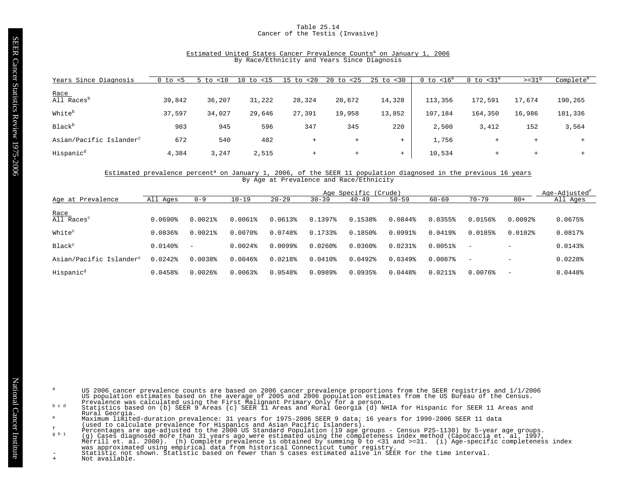# Table 25.14 Cancer of the Testis (Invasive)

# Estimated United States Cancer Prevalence Counts<sup>a</sup> on January 1, 2006 By Race/Ethnicity and Years Since Diagnosis

| Years Since Diagnosis               | 0 to<br>< 5 | < 10<br>to | $15$<br>10<br>to | 20<br>$15$ to | < 25<br>20<br>to | $25$ to $< 30$ | $0$ to $<$ 16 $^{\rm e}$ | $0$ to $<$ 31 $^{\circ}$ | $>=319$ | Complete <sup>h</sup> |
|-------------------------------------|-------------|------------|------------------|---------------|------------------|----------------|--------------------------|--------------------------|---------|-----------------------|
|                                     |             |            |                  |               |                  |                |                          |                          |         |                       |
| Race<br>All Races <sup>D</sup>      | 39,842      | 36,207     | 31,222           | 28,324        | 20,672           | 14,328         | 113,356                  | 172,591                  | 17,674  | 190,265               |
| Whiteb                              | 37,597      | 34,027     | 29,646           | 27,391        | 19,958           | 13,852         | 107,184                  | 164,350                  | 16,986  | 181,336               |
| Black <sup>b</sup>                  | 903         | 945        | 596              | 347           | 345              | 220            | 2,500                    | 3,412                    | 152     | 3,564                 |
| Asian/Pacific Islander <sup>c</sup> | 672         | 540        | 482              | $^{+}$        | $+$              | $+$            | 1,756                    | $+$                      | $+$     |                       |
| Hispanic <sup>d</sup>               | 4,384       | 3,247      | 2,515            | $+$           | $+$              | $+$            | 10,534                   | $^{+}$                   | $+$     |                       |

#### Estimated prevalence percent<sup>a</sup> on January 1, 2006, of the SEER 11 population diagnosed in the previous 16 years By Age at Prevalence and Race/Ethnicity

|                                     | Age Specific (Crude) |                          |                       |                       |                       |              |                       |              |                          |              | Age-Adjusted <sup>t</sup> |
|-------------------------------------|----------------------|--------------------------|-----------------------|-----------------------|-----------------------|--------------|-----------------------|--------------|--------------------------|--------------|---------------------------|
| Age at Prevalence                   | All<br>Aqes          | $0 - 9$                  | $10 - 19$             | $20 - 29$             | $30 - 39$             | $40 - 49$    | $50 - 59$             | $60 - 69$    | $70 - 79$                | $80+$        | All Ages                  |
| <u>Race</u>                         |                      |                          |                       |                       |                       |              |                       |              |                          |              |                           |
| All Races <sup>c</sup>              | 0.0690               | $0.0021$ $8$             | $0.0061$ $8$          | 0.0613%               | 0.13978               | 0.1538%      | 0.0844%               | 0.0355%      | $0.0156$ <sup>8</sup>    | $0.0092$ $8$ | 0.0675%                   |
| White <sup>c</sup>                  | 0.0836%              | $0.0021$ $8$             | $0.0070$ $%$          | 0.0748%               | 0.1733%               | $0.1850$ $%$ | $0.0991$ $%$          | $0.0419$ $%$ | 0.0185%                  | $0.0102$ $%$ | 0.0817%                   |
| Black <sup>c</sup>                  | $0.0140$ $%$         | $\overline{\phantom{a}}$ | $0.0024$ $8$          | $0.0099$ <sup>8</sup> | $0.0260$ <sup>8</sup> | $0.0360$ $8$ | $0.0231$ $%$          | 0.0051%      | $\overline{\phantom{a}}$ | -            | 0.01438                   |
| Asian/Pacific Islander <sup>c</sup> | $0.0242$ $%$         | 0.0038                   | $0.0046$ <sup>2</sup> | 0.0218%               | $0.0410$ %            | $0.0492$ $%$ | $0.0349$ <sup>8</sup> | 0.0087%      | $\overline{\phantom{0}}$ |              | $0.0228$ <sup>\$</sup>    |
| Hispanic <sup>d</sup>               | 0.0458%              | $0.0026$ $%$             | $0.0063$ <sup>8</sup> | 0.0548%               | 0.0989%               | 0.0935%      | 0.0448%               | $0.0211$ $8$ | $0.0076$ <sup>8</sup>    | -            | 0.0448                    |

- US 2006 cancer prevalence counts are based on 2006 cancer prevalence proportions from the SEER registries and 1/1/2006<br>US population estimates based on the average of 2005 and 2006 population estimates from the US Bureau o
- Rural Georgia.
- 
- Maximum limited-duration prevalence: 31 years for 1975-2006 SEER 9 data; 16 years for 1990-2006 SEER 11 data<br>
(used to claculate prevalence for Hispanics and Asian Pacific Islanders).<br>
Percentages are age-adjusted to the 2
- 
-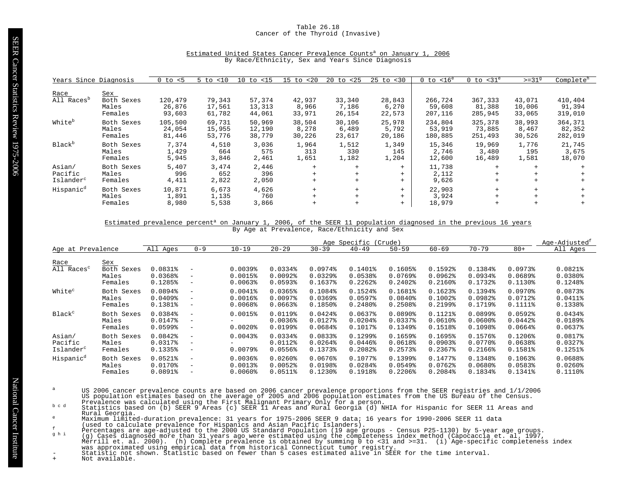# Table 26.18 Cancer of the Thyroid (Invasive)

| Years Since Diagnosis                      |                                       | $0$ to $< 5$                | < 10<br>$5$ to             | $10$ to $< 15$             | < 20<br>15<br>to          | 20<br>to <25              | $25$ to $< 30$            | $0$ to $< 16^e$              | $0$ to $<$ 31 $^{\circ}$     | $>=31^9$                   | Complete <sup>h</sup>        |
|--------------------------------------------|---------------------------------------|-----------------------------|----------------------------|----------------------------|---------------------------|---------------------------|---------------------------|------------------------------|------------------------------|----------------------------|------------------------------|
| Race<br>All Races <sup>b</sup>             | Sex<br>Both Sexes<br>Males<br>Females | 120,479<br>26,876<br>93,603 | 79,343<br>17,561<br>61,782 | 57,374<br>13,313<br>44,061 | 42,937<br>8,966<br>33,971 | 33,340<br>7,186<br>26,154 | 28,843<br>6,270<br>22,573 | 266,724<br>59,608<br>207,116 | 367,333<br>81,388<br>285,945 | 43,071<br>10,006<br>33,065 | 410,404<br>91,394<br>319,010 |
| White <sup>b</sup>                         | Both Sexes<br>Males<br>Females        | 105,500<br>24,054<br>81,446 | 69,731<br>15,955<br>53,776 | 50,969<br>12,190<br>38,779 | 38,504<br>8,278<br>30,226 | 30,106<br>6,489<br>23,617 | 25,978<br>5,792<br>20,186 | 234,804<br>53,919<br>180,885 | 325,378<br>73,885<br>251,493 | 38,993<br>8,467<br>30,526  | 364,371<br>82,352<br>282,019 |
| Black <sup>b</sup>                         | Both Sexes<br>Males<br>Females        | 7,374<br>1,429<br>5,945     | 4,510<br>664<br>3,846      | 3,036<br>575<br>2,461      | 1,964<br>313<br>1,651     | 1,512<br>330<br>1,182     | 1,349<br>145<br>1,204     | 15,346<br>2,746<br>12,600    | 19,969<br>3,480<br>16,489    | 1,776<br>195<br>1,581      | 21,745<br>3,675<br>18,070    |
| Asian/<br>Pacific<br>Islander <sup>c</sup> | Both Sexes<br>Males<br>Females        | 5,407<br>996<br>4,411       | 3,474<br>652<br>2,822      | 2,446<br>396<br>2,050      | $+$<br>$+$<br>$+$         |                           | $+$<br>$+$<br>$+$         | 11,738<br>2,112<br>9,626     | $+$<br>$+$<br>$+$            | $+$<br>$+$<br>$+$          |                              |
| Hispanic <sup>d</sup>                      | Both Sexes<br>Males<br>Females        | 10,871<br>1,891<br>8,980    | 6,673<br>1,135<br>5,538    | 4,626<br>760<br>3,866      | $+$<br>$+$<br>$+$         | $+$                       | $+$<br>$+$<br>$+$         | 22,903<br>3,924<br>18,979    | $+$<br>$+$<br>$+$            | $+$<br>$+$<br>$+$          |                              |

# Estimated United States Cancer Prevalence Counts<sup>a</sup> on January 1, 2006 By Race/Ethnicity, Sex and Years Since Diagnosis

#### Estimated prevalence percent<sup>a</sup> on January 1, 2006, of the SEER 11 population diagnosed in the previous 16 years By Age at Prevalence, Race/Ethnicity and Sex

|                                            |                                       | Age Specific<br>(Crude)                     |                                                                                  |                                       |                                                                         |                                                |                                                           |                                             |                                                  |                                                                         | Age-Adjusted <sup>1</sup>                   |                                                  |
|--------------------------------------------|---------------------------------------|---------------------------------------------|----------------------------------------------------------------------------------|---------------------------------------|-------------------------------------------------------------------------|------------------------------------------------|-----------------------------------------------------------|---------------------------------------------|--------------------------------------------------|-------------------------------------------------------------------------|---------------------------------------------|--------------------------------------------------|
| Age at Prevalence                          |                                       | All Ages                                    | $0 - 9$                                                                          | $10 - 19$                             | $20 - 29$                                                               | $30 - 39$                                      | $40 - 49$                                                 | $50 - 59$                                   | $60 - 69$                                        | $70 - 79$                                                               | $80+$                                       | All Ages                                         |
| Race<br>All Races <sup>c</sup>             | Sex<br>Both Sexes<br>Males<br>Females | 0.0831%<br>0.0368%<br>0.1285%               | $\overline{\phantom{m}}$<br>$\qquad \qquad -$<br>$\overline{\phantom{m}}$        | 0.0039%<br>$0.0015$ %<br>0.0063       | $0.0334$ <sup>8</sup><br>$0.0092$ <sup>8</sup><br>$0.0593$ <sup>8</sup> | 0.0974%<br>$0.0329$ <sup>8</sup><br>0.1637%    | $0.1401$ $8$<br>$0.0538$ <sup>8</sup><br>0.2262           | 0.1605%<br>$0.0769$ <sup>8</sup><br>0.2402  | 0.1592<br>0.0962<br>$0.2160$ $%$                 | 0.1384%<br>$0.0934$ <sup>8</sup><br>$0.1732$ $8$                        | 0.0973%<br>0.0689%<br>0.1130%               | $0.0821$ $%$<br>$0.0380$ $%$<br>0.1248%          |
| White <sup>c</sup>                         | Both Sexes<br>Males<br>Females        | 0.0894%<br>$0.0409$ <sup>8</sup><br>0.1381% | $\overline{\phantom{a}}$<br>$-$<br>$\overline{\phantom{m}}$                      | $0.0041$ %<br>0.0016%<br>0.0068       | 0.0365%<br>0.00978<br>$0.0663$ <sup>8</sup>                             | 0.1084%<br>$0.0369$ <sup>8</sup><br>0.1850%    | 0.1524%<br>0.0597%<br>$0.2480$ $%$                        | 0.1681%<br>$0.0840$ <sup>*</sup><br>0.2508% | 0.1623%<br>$0.1002$ $%$<br>$0.2199$ <sup>8</sup> | 0.1394%<br>$0.0982$ <sup>*</sup><br>$0.1719$ <sup>8</sup>               | $0.0970$ <sup>8</sup><br>0.0712%<br>0.1111% | 0.0873%<br>$0.0411$ %<br>0.1338%                 |
| Black <sup>c</sup>                         | Both Sexes<br>Males<br>Females        | 0.0384%<br>0.0147%<br>$0.0599$ <sup>8</sup> | $\overline{\phantom{m}}$<br>$\overline{\phantom{m}}$<br>$\overline{\phantom{m}}$ | 0.0015%<br>$0.0020$ $%$               | $0.0119$ <sup>*</sup><br>$0.0036$ <sup>8</sup><br>$0.0199$ <sup>s</sup> | $0.0424$ <sup>8</sup><br>$0.0127$ %<br>0.0684% | 0.0637%<br>$0.0204$ <sup>8</sup><br>0.1017%               | $0.0890$ <sup>8</sup><br>0.0337%<br>0.1349% | $0.1121$ $%$<br>$0.0610$ $%$<br>0.1518%          | $0.0899$ <sup>8</sup><br>$0.0600$ <sup>8</sup><br>$0.1098$ <sup>*</sup> | 0.0592<br>0.0442<br>$0.0664$ $%$            | $0.0434$ <sup>8</sup><br>0.0189%<br>$0.0637$ $8$ |
| Asian/<br>Pacific<br>Islander <sup>c</sup> | Both Sexes<br>Males<br>Females        | $0.0842$ $%$<br>0.0317%<br>0.1335%          | $\overline{\phantom{m}}$<br>$\overline{\phantom{m}}$<br>$\overline{\phantom{m}}$ | $0.0043$ <sup>8</sup><br>$0.0079$ $%$ | $0.0334$ <sup>8</sup><br>0.0112%<br>0.0556%                             | 0.0833%<br>$0.0264$ <sup>8</sup><br>0.1373%    | 0.1299%<br>$0.0446$ <sup>8</sup><br>$0.2082$ <sup>8</sup> | 0.1659%<br>0.0618%<br>$0.2573$ <sup>8</sup> | 0.1695%<br>$0.0903$ <sup>8</sup><br>$0.2367$ $%$ | 0.1576%<br>$0.0770$ $8$<br>$0.2166$ $%$                                 | $0.1206$ <sup>8</sup><br>0.0638%<br>0.1581% | 0.0817%<br>$0.0327$ $%$<br>0.1251%               |
| Hispanic <sup>d</sup>                      | Both Sexes<br>Males<br>Females        | $0.0521$ $%$<br>$0.0170$ %<br>$0.0891$ %    | $\overline{\phantom{m}}$<br>$\qquad \qquad -$<br>$\qquad \qquad -$               | 0.0036%<br>0.00138<br>$0.0060$ $8$    | $0.0260$ <sup>8</sup><br>0.0052<br>$0.0511$ %                           | 0.0676%<br>0.0198%<br>$0.1230$ <sup>8</sup>    | 0.1077%<br>0.0284%<br>0.1918%                             | 0.1399%<br>0.0549%<br>0.2206%               | $0.1477$ $%$<br>$0.0762$ $%$<br>0.2084%          | 0.1348%<br>0.0680%<br>0.1834%                                           | 0.1063%<br>0.0583%<br>0.1341%               | 0.0688<br>$0.0260$ <sup>8</sup><br>0.1110%       |

- US 2006 cancer prevalence counts are based on 2006 cancer prevalence proportions from the SEER registries and 1/1/2006<br>US population estimates based on the average of 2005 and 2006 population estimates from the US Bureau o
- Rural Georgia.
- 
- 
- 
- Maximum limited-duration prevalence: 31 years for 1975-2006 SEER 9 data; 16 years for 1990-2006 SEER 11 data<br>
(used to claculate prevalence for Hispanics and Asian Pacific Islanders).<br>
Percentages are age-adjusted to the 2
-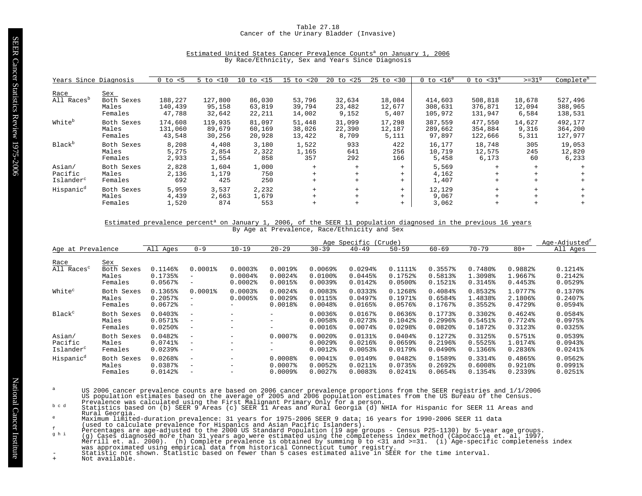# Table 27.18 Cancer of the Urinary Bladder (Invasive)

| Estimated United States Cancer Prevalence Counts <sup>a</sup> on January 1, 2006 |  |                                                  |  |  |  |  |  |
|----------------------------------------------------------------------------------|--|--------------------------------------------------|--|--|--|--|--|
|                                                                                  |  | By Race/Ethnicity, Sex and Years Since Diagnosis |  |  |  |  |  |

| Years Since Diagnosis  |            | $0$ to $< 5$ | $5$ to $< 10$ | $10$ to $\langle 15$ | $15$ to $< 20$ | 20<br>to <25 | $25$ to $< 30$ | $0$ to $< 16^e$ | $0$ to $<$ 31 $^e$ | $>=319$ | Complete <sup>h</sup> |
|------------------------|------------|--------------|---------------|----------------------|----------------|--------------|----------------|-----------------|--------------------|---------|-----------------------|
|                        |            |              |               |                      |                |              |                |                 |                    |         |                       |
| Race                   | Sex        |              |               |                      |                |              |                |                 |                    |         |                       |
| All Races <sup>p</sup> | Both Sexes | 188,227      | 127,800       | 86,030               | 53,796         | 32,634       | 18,084         | 414,603         | 508,818            | 18,678  | 527,496               |
|                        | Males      | 140,439      | 95,158        | 63,819               | 39,794         | 23,482       | 12,677         | 308,631         | 376,871            | 12,094  | 388,965               |
|                        | Females    | 47,788       | 32,642        | 22,211               | 14,002         | 9,152        | 5,407          | 105,972         | 131,947            | 6,584   | 138,531               |
|                        |            |              |               |                      |                |              |                |                 |                    |         |                       |
| White <sup>b</sup>     | Both Sexes | 174,608      | 119,935       | 81,097               | 51,448         | 31,099       | 17,298         | 387,559         | 477,550            | 14,627  | 492,177               |
|                        | Males      | 131,060      | 89,679        | 60,169               | 38,026         | 22,390       | 12,187         | 289,662         | 354,884            | 9,316   | 364,200               |
|                        | Females    | 43,548       | 30,256        | 20,928               | 13,422         | 8,709        | 5,111          | 97,897          | 122,666            | 5,311   | 127,977               |
|                        |            |              |               |                      |                |              |                |                 |                    |         |                       |
| Black <sup>b</sup>     | Both Sexes | 8,208        | 4,408         | 3,180                | 1,522          | 933          | 422            | 16,177          | 18,748             | 305     | 19,053                |
|                        | Males      | 5,275        | 2,854         | 2,322                | 1,165          | 641          | 256            | 10,719          | 12,575             | 245     | 12,820                |
|                        | Females    | 2,933        | 1,554         | 858                  | 357            | 292          | 166            | 5,458           | 6,173              | 60      | 6,233                 |
|                        |            |              |               |                      |                |              |                |                 |                    |         |                       |
| Asian/                 | Both Sexes | 2,828        | 1,604         | 1,000                | $+$            | $+$          | $+$            | 5,569           | $+$                | $+$     |                       |
| Pacific                | Males      | 2,136        | 1,179         | 750                  | $+$            | $+$          | $+$            | 4,162           |                    |         |                       |
| Islander <sup>c</sup>  | Females    | 692          | 425           | 250                  | $+$            | $+$          | $+$            | 1,407           |                    |         |                       |
| Hispanic <sup>d</sup>  | Both Sexes | 5,959        | 3,537         | 2,232                | $+$            | $+$          | $+$            | 12,129          |                    |         |                       |
|                        | Males      | 4,439        | 2,663         | 1,679                | $+$            | $+$          | $+$            | 9,067           | $+$                |         |                       |
|                        | Females    | 1,520        | 874           | 553                  | $+$            | $+$          | $+$            | 3,062           | $+$                |         |                       |
|                        |            |              |               |                      |                |              |                |                 |                    |         |                       |

#### Estimated prevalence percent<sup>a</sup> on January 1, 2006, of the SEER 11 population diagnosed in the previous 16 years By Age at Prevalence, Race/Ethnicity and Sex

|                                            |                                       | Age Specific (Crude)                                         |                                                                                  |                                                       |                                                       |                                                                 |                                                           |                                             |                                                            |                                             | Age-Adjusted <sup>t</sup>          |                                                              |
|--------------------------------------------|---------------------------------------|--------------------------------------------------------------|----------------------------------------------------------------------------------|-------------------------------------------------------|-------------------------------------------------------|-----------------------------------------------------------------|-----------------------------------------------------------|---------------------------------------------|------------------------------------------------------------|---------------------------------------------|------------------------------------|--------------------------------------------------------------|
| Age at Prevalence                          |                                       | All Ages                                                     | $0 - 9$                                                                          | $10 - 19$                                             | $20 - 29$                                             | $30 - 39$                                                       | $40 - 49$                                                 | $50 - 59$                                   | $60 - 69$                                                  | $70 - 79$                                   | $80+$                              | All Ages                                                     |
| Race<br>All Races <sup>c</sup>             | Sex<br>Both Sexes<br>Males<br>Females | 0.1146%<br>0.1735%<br>$0.0567$ $8$                           | $0.0001$ %<br>$\qquad \qquad -$<br>$\qquad \qquad -$                             | $0.0003$ <sup>8</sup><br>$0.0004$ $%$<br>$0.0002$ $8$ | $0.0019$ <sup>8</sup><br>$0.0024$ $%$<br>$0.0015$ $8$ | $0.0069$ <sup>8</sup><br>$0.0100$ $%$<br>$0.0039$ <sup>\$</sup> | $0.0294$ <sup>8</sup><br>$0.0445$ <sup>8</sup><br>0.0142% | 0.1111%<br>0.1752%<br>$0.0500$ $%$          | 0.3557%<br>0.5813%<br>$0.1521$ $%$                         | 0.7480%<br>1.3098%<br>$0.3145$ $*$          | 0.9882%<br>1.9667%<br>0.4453%      | 0.1214%<br>0.2142%<br>$0.0529$ <sup>§</sup>                  |
| White <sup>c</sup>                         | Both Sexes<br>Males<br>Females        | 0.1365%<br>$0.2057$ %<br>0.0672                              | $0.0001$ %<br>$\overline{\phantom{a}}$<br>$\overline{\phantom{m}}$               | $0.0003$ <sup>8</sup><br>0.0005%                      | $0.0024$ $8$<br>$0.0029$ <sup>8</sup><br>$0.0018$ %   | 0.0083%<br>0.0115%<br>0.0048                                    | 0.0333%<br>$0.0497$ $%$<br>0.0165%                        | 0.1268%<br>0.1971%<br>$0.0576$ <sup>8</sup> | 0.4084%<br>0.6584%<br>0.1767%                              | 0.8532<br>1.4838%<br>$0.3552$ $%$           | 1.0777%<br>2.1806%<br>$0.4729$ $8$ | 0.1370%<br>$0.2407$ $%$<br>$0.0594$ <sup>8</sup>             |
| Black <sup>c</sup>                         | Both Sexes<br>Males<br>Females        | $0.0403$ <sup>8</sup><br>0.0571%<br>$0.0250$ <sup>*</sup>    | $\overline{\phantom{m}}$<br>$\overline{\phantom{0}}$<br>$\overline{\phantom{m}}$ |                                                       | $-$<br>$-$<br>$\qquad \qquad -$                       | $0.0036$ <sup>8</sup><br>$0.0058$ <sup>*</sup><br>$0.0016$ $%$  | 0.0167%<br>$0.0273$ <sup>8</sup><br>$0.0074$ $8$          | 0.0636%<br>0.1042%<br>$0.0298$ <sup>*</sup> | 0.1773%<br>$0.2996$ <sup>8</sup><br>$0.0820$ <sup>\$</sup> | 0.3302%<br>0.5451%<br>0.1872%               | 0.4624%<br>0.7724%<br>0.3123%      | 0.0584%<br>$0.0975$ <sup>8</sup><br>$0.0325$ <sup>8</sup>    |
| Asian/<br>Pacific<br>Islander <sup>c</sup> | Both Sexes<br>Males<br>Females        | $0.0482$ <sup>*</sup><br>$0.0741$ %<br>$0.0239$ <sup>8</sup> | $\overline{\phantom{m}}$<br>$\overline{\phantom{m}}$<br>$\overline{\phantom{0}}$ | $\overline{\phantom{m}}$<br>$\overline{\phantom{m}}$  | $0.0007$ %<br>$-$<br>-                                | $0.0020$ $%$<br>$0.0029$ <sup>8</sup><br>$0.0012$ %             | 0.0131%<br>$0.0216$ <sup>8</sup><br>$0.0053$ <sup>8</sup> | $0.0404$ <sup>8</sup><br>0.0659%<br>0.0179% | 0.1272%<br>$0.2196$ <sup>8</sup><br>$0.0490$ <sup>8</sup>  | 0.3125%<br>0.5525%<br>$0.1366$ <sup>8</sup> | 0.5751%<br>1.0174%<br>0.2836%      | $0.0539$ <sup>8</sup><br>$0.0943$ <sup>8</sup><br>$0.0241$ % |
| Hispanic <sup>d</sup>                      | Both Sexes<br>Males<br>Females        | 0.0268<br>0.0387%<br>0.0142%                                 | $\overline{\phantom{m}}$<br>$\qquad \qquad -$<br>$\overline{\phantom{m}}$        | $\overline{\phantom{m}}$<br>$\overline{\phantom{m}}$  | 0.0008<br>$0.0007$ $8$<br>$0.0009$ $8$                | $0.0041$ %<br>$0.0052$ $%$<br>$0.0027$ $8$                      | 0.0149%<br>$0.0211$ $%$<br>0.00838                        | 0.0482<br>0.0735%<br>$0.0241$ %             | 0.1589%<br>0.2692<br>0.0654%                               | $0.3314$ <sup>8</sup><br>0.6008<br>0.1354%  | 0.4865%<br>0.9210%<br>0.2339%      | 0.0562<br>$0.0991$ $%$<br>$0.0251$ %                         |

- US 2006 cancer prevalence counts are based on 2006 cancer prevalence proportions from the SEER registries and 1/1/2006<br>US population estimates based on the average of 2005 and 2006 population estimates from the US Bureau o
- Rural Georgia.
- 
- 
- 
- Maximum limited-duration prevalence: 31 years for 1975-2006 SEER 9 data; 16 years for 1990-2006 SEER 11 data<br>
(used to claculate prevalence for Hispanics and Asian Pacific Islanders).<br>
Percentages are age-adjusted to the 2
-